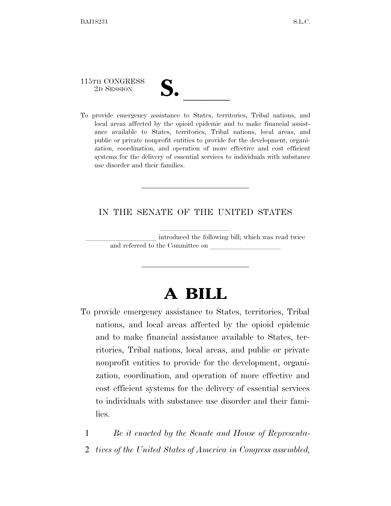# 115TH CONGRESS

115TH CONGRESS<br>
2D SESSION<br>
To provide emergency assistance to States, territories, Tribal nations, and local areas affected by the opioid epidemic and to make financial assistance available to States, territories, Tribal nations, local areas, and public or private nonprofit entities to provide for the development, organization, coordination, and operation of more effective and cost efficient systems for the delivery of essential services to individuals with substance use disorder and their families.

### IN THE SENATE OF THE UNITED STATES

introduced the following bill; which was read twice and referred to the Committee on

# **A BILL**

To provide emergency assistance to States, territories, Tribal nations, and local areas affected by the opioid epidemic and to make financial assistance available to States, territories, Tribal nations, local areas, and public or private nonprofit entities to provide for the development, organization, coordination, and operation of more effective and cost efficient systems for the delivery of essential services to individuals with substance use disorder and their families.

1 *Be it enacted by the Senate and House of Representa-*

2 *tives of the United States of America in Congress assembled,*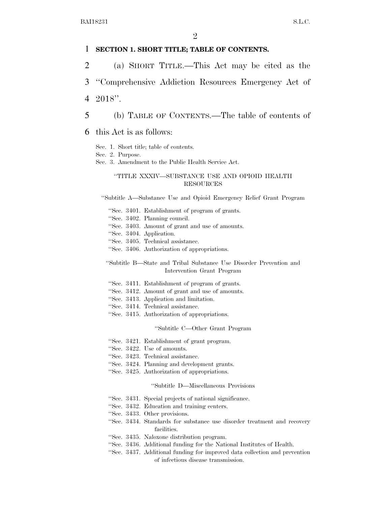#### 1 **SECTION 1. SHORT TITLE; TABLE OF CONTENTS.**

2 (a) SHORT TITLE.—This Act may be cited as the

3 ''Comprehensive Addiction Resources Emergency Act of

4 2018''.

5 (b) TABLE OF CONTENTS.—The table of contents of

6 this Act is as follows:

Sec. 1. Short title; table of contents.

Sec. 2. Purpose.

Sec. 3. Amendment to the Public Health Service Act.

#### ''TITLE XXXIV—SUBSTANCE USE AND OPIOID HEALTH RESOURCES

''Subtitle A—Substance Use and Opioid Emergency Relief Grant Program

- ''Sec. 3401. Establishment of program of grants.
- ''Sec. 3402. Planning council.
- ''Sec. 3403. Amount of grant and use of amounts.
- ''Sec. 3404. Application.
- ''Sec. 3405. Technical assistance.
- ''Sec. 3406. Authorization of appropriations.

''Subtitle B—State and Tribal Substance Use Disorder Prevention and Intervention Grant Program

- ''Sec. 3411. Establishment of program of grants.
- ''Sec. 3412. Amount of grant and use of amounts.
- ''Sec. 3413. Application and limitation.
- ''Sec. 3414. Technical assistance.
- ''Sec. 3415. Authorization of appropriations.

''Subtitle C—Other Grant Program

- ''Sec. 3421. Establishment of grant program.
- ''Sec. 3422. Use of amounts.
- ''Sec. 3423. Technical assistance.
- ''Sec. 3424. Planning and development grants.
- ''Sec. 3425. Authorization of appropriations.

#### ''Subtitle D—Miscellaneous Provisions

- ''Sec. 3431. Special projects of national significance.
- ''Sec. 3432. Education and training centers.
- ''Sec. 3433. Other provisions.
- ''Sec. 3434. Standards for substance use disorder treatment and recovery facilities.
- ''Sec. 3435. Naloxone distribution program.
- ''Sec. 3436. Additional funding for the National Institutes of Health.
- ''Sec. 3437. Additional funding for improved data collection and prevention of infectious disease transmission.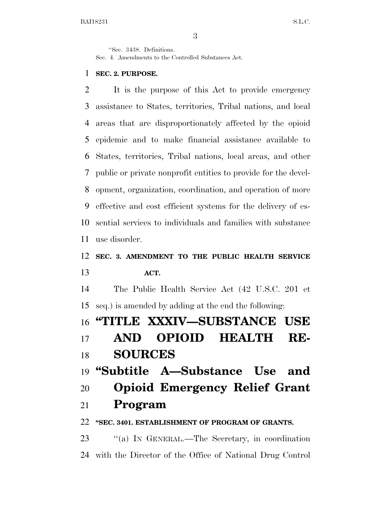''Sec. 3438. Definitions.

Sec. 4. Amendments to the Controlled Substances Act.

#### **SEC. 2. PURPOSE.**

 It is the purpose of this Act to provide emergency assistance to States, territories, Tribal nations, and local areas that are disproportionately affected by the opioid epidemic and to make financial assistance available to States, territories, Tribal nations, local areas, and other public or private nonprofit entities to provide for the devel- opment, organization, coordination, and operation of more effective and cost efficient systems for the delivery of es- sential services to individuals and families with substance use disorder.

## **SEC. 3. AMENDMENT TO THE PUBLIC HEALTH SERVICE ACT.**

 The Public Health Service Act (42 U.S.C. 201 et seq.) is amended by adding at the end the following:

## **''TITLE XXXIV—SUBSTANCE USE**

 **AND OPIOID HEALTH RE-SOURCES** 

**''Subtitle A—Substance Use and** 

**Opioid Emergency Relief Grant** 

### **Program**

#### **''SEC. 3401. ESTABLISHMENT OF PROGRAM OF GRANTS.**

 ''(a) IN GENERAL.—The Secretary, in coordination with the Director of the Office of National Drug Control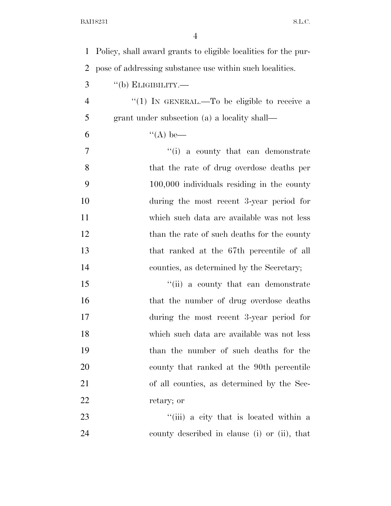| $\mathbf{1}$   | Policy, shall award grants to eligible localities for the pur- |
|----------------|----------------------------------------------------------------|
| $\overline{2}$ | pose of addressing substance use within such localities.       |
| 3              | $``$ (b) ELIGIBILITY.—                                         |
| $\overline{4}$ | "(1) IN GENERAL.—To be eligible to receive a                   |
| 5              | grant under subsection (a) a locality shall—                   |
| 6              | $\lq (A)$ be—                                                  |
| $\tau$         | $f'(i)$ a county that can demonstrate                          |
| 8              | that the rate of drug overdose deaths per                      |
| 9              | $100,000$ individuals residing in the county                   |
| 10             | during the most recent 3-year period for                       |
| 11             | which such data are available was not less                     |
| 12             | than the rate of such deaths for the county                    |
| 13             | that ranked at the 67th percentile of all                      |
| 14             | counties, as determined by the Secretary;                      |
| 15             | "(ii) a county that can demonstrate                            |
| 16             | that the number of drug overdose deaths                        |
| 17             | during the most recent 3-year period for                       |
| 18             | which such data are available was not less                     |
| 19             | than the number of such deaths for the                         |
| 20             | county that ranked at the 90th percentile                      |
| 21             | of all counties, as determined by the Sec-                     |
| 22             | retary; or                                                     |
| 23             | "(iii) a city that is located within a                         |
| 24             | county described in clause (i) or (ii), that                   |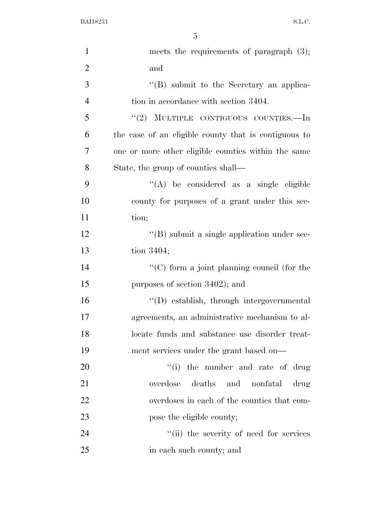| $\mathbf{1}$   | meets the requirements of paragraph $(3)$ ;          |
|----------------|------------------------------------------------------|
| $\overline{2}$ | and                                                  |
| 3              | $\lq\lq (B)$ submit to the Secretary an applica-     |
| $\overline{4}$ | tion in accordance with section 3404.                |
| 5              | "(2) MULTIPLE CONTIGUOUS COUNTIES.—In                |
| 6              | the case of an eligible county that is contiguous to |
| 7              | one or more other eligible counties within the same  |
| 8              | State, the group of counties shall—                  |
| 9              | "(A) be considered as a single eligible              |
| 10             | county for purposes of a grant under this sec-       |
| 11             | tion;                                                |
| 12             | "(B) submit a single application under sec-          |
| 13             | tion 3404;                                           |
| 14             | "(C) form a joint planning council (for the          |
| 15             | purposes of section 3402); and                       |
| 16             | "(D) establish, through intergovernmental            |
| 17             | agreements, an administrative mechanism to al-       |
| 18             | locate funds and substance use disorder treat-       |
| 19             | ment services under the grant based on—              |
| 20             | "(i) the number and rate of drug                     |
| 21             | overdose deaths and nonfatal<br>drug                 |
| 22             | overdoses in each of the counties that com-          |
| 23             | pose the eligible county;                            |
| 24             | "(ii) the severity of need for services              |
| 25             | in each such county; and                             |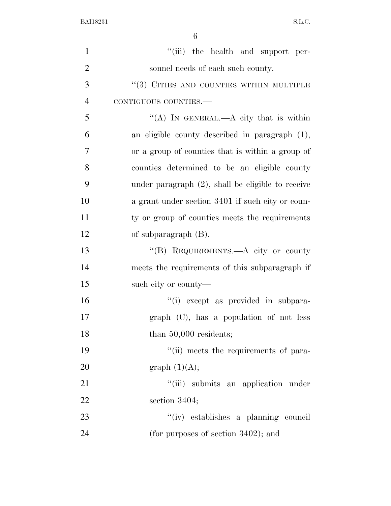| $\mathbf{1}$   | "(iii) the health and support per-                   |
|----------------|------------------------------------------------------|
| $\overline{2}$ | sonnel needs of each such county.                    |
| 3              | $``(3)$ CITIES AND COUNTIES WITHIN MULTIPLE          |
| $\overline{4}$ | CONTIGUOUS COUNTIES.-                                |
| 5              | "(A) IN GENERAL.—A city that is within               |
| 6              | an eligible county described in paragraph (1),       |
| 7              | or a group of counties that is within a group of     |
| 8              | counties determined to be an eligible county         |
| 9              | under paragraph $(2)$ , shall be eligible to receive |
| 10             | a grant under section 3401 if such city or coun-     |
| 11             | ty or group of counties meets the requirements       |
| 12             | of subparagraph $(B)$ .                              |
| 13             | "(B) REQUIREMENTS.—A city or county                  |
| 14             | meets the requirements of this subparagraph if       |
| 15             | such city or county—                                 |
| 16             | "(i) except as provided in subpara-                  |
| 17             | graph (C), has a population of not less              |
| 18             | than $50,000$ residents;                             |
| 19             | "(ii) meets the requirements of para-                |
| 20             | graph $(1)(A);$                                      |
| 21             | "(iii) submits an application under                  |
| 22             | section 3404;                                        |
| 23             | "(iv) establishes a planning council                 |
| 24             | (for purposes of section $3402$ ); and               |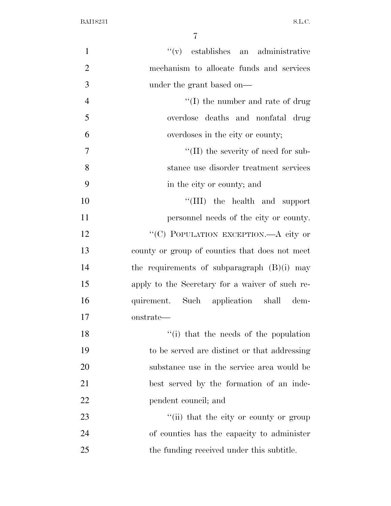| $\mathbf{1}$   | $f'(v)$ establishes an administrative           |
|----------------|-------------------------------------------------|
| $\overline{2}$ | mechanism to allocate funds and services        |
| 3              | under the grant based on—                       |
| $\overline{4}$ | $\lq\lq$ (I) the number and rate of drug        |
| 5              | overdose deaths and nonfatal drug               |
| 6              | overdoses in the city or county;                |
| $\tau$         | $\lq\lq$ (II) the severity of need for sub-     |
| 8              | stance use disorder treatment services          |
| 9              | in the city or county; and                      |
| 10             | "(III) the health and support                   |
| 11             | personnel needs of the city or county.          |
| 12             | "(C) POPULATION EXCEPTION.—A city or            |
| 13             | county or group of counties that does not meet  |
| 14             | the requirements of subparagraph $(B)(i)$ may   |
| 15             | apply to the Secretary for a waiver of such re- |
| 16             | quirement. Such application shall dem-          |
| 17             | onstrate—                                       |
| 18             | "(i) that the needs of the population           |
| 19             | to be served are distinct or that addressing    |
| 20             | substance use in the service area would be      |
| 21             | best served by the formation of an inde-        |
| 22             | pendent council; and                            |
| 23             | "(ii) that the city or county or group          |
| 24             | of counties has the capacity to administer      |
| 25             | the funding received under this subtitle.       |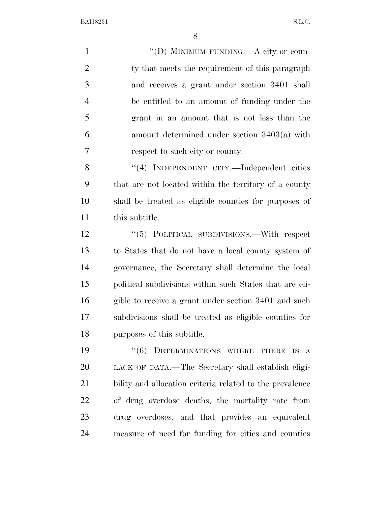$''(D)$  MINIMUM FUNDING.—A city or coun-2 ty that meets the requirement of this paragraph and receives a grant under section 3401 shall be entitled to an amount of funding under the grant in an amount that is not less than the amount determined under section 3403(a) with respect to such city or county. 8 "(4) INDEPENDENT CITY.—Independent cities

 that are not located within the territory of a county shall be treated as eligible counties for purposes of this subtitle.

12 "(5) POLITICAL SUBDIVISIONS.—With respect to States that do not have a local county system of governance, the Secretary shall determine the local political subdivisions within such States that are eli- gible to receive a grant under section 3401 and such subdivisions shall be treated as eligible counties for purposes of this subtitle.

19 "(6) DETERMINATIONS WHERE THERE IS A LACK OF DATA.—The Secretary shall establish eligi- bility and allocation criteria related to the prevalence of drug overdose deaths, the mortality rate from drug overdoses, and that provides an equivalent measure of need for funding for cities and counties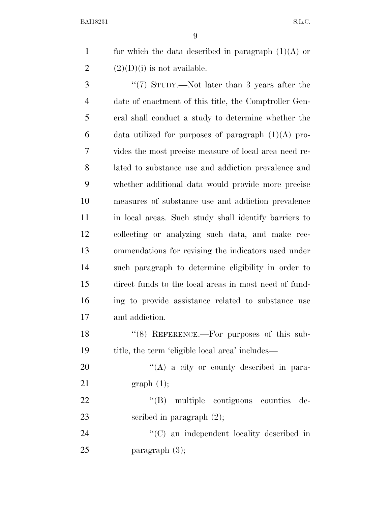9

1 for which the data described in paragraph  $(1)(A)$  or 2  $(2)(D)(i)$  is not available.

3 "(7) STUDY.—Not later than 3 years after the date of enactment of this title, the Comptroller Gen- eral shall conduct a study to determine whether the 6 data utilized for purposes of paragraph  $(1)(A)$  pro- vides the most precise measure of local area need re- lated to substance use and addiction prevalence and whether additional data would provide more precise measures of substance use and addiction prevalence in local areas. Such study shall identify barriers to collecting or analyzing such data, and make rec- ommendations for revising the indicators used under such paragraph to determine eligibility in order to direct funds to the local areas in most need of fund- ing to provide assistance related to substance use and addiction.

18 "(8) REFERENCE.—For purposes of this sub-19 title, the term 'eligible local area' includes—

20 "(A) a city or county described in para-21 graph (1);

22  $\text{``(B)}$  multiple contiguous counties de-23 scribed in paragraph  $(2)$ ;

24 ''(C) an independent locality described in 25 paragraph (3);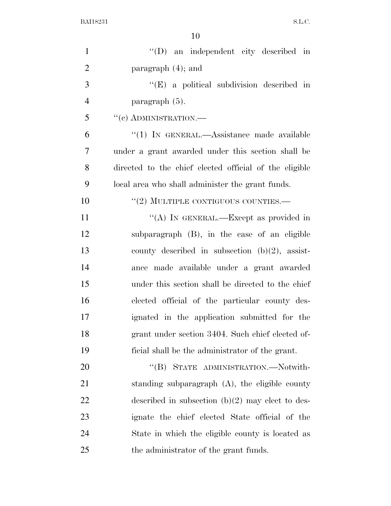| $\mathbf{1}$   | "(D) an independent city described in                  |
|----------------|--------------------------------------------------------|
| $\overline{2}$ | paragraph $(4)$ ; and                                  |
| 3              | $\lq\lq$ (E) a political subdivision described in      |
| $\overline{4}$ | paragraph $(5)$ .                                      |
| 5              | $``(c)$ ADMINISTRATION.—                               |
| 6              | " $(1)$ In GENERAL.—Assistance made available          |
| $\overline{7}$ | under a grant awarded under this section shall be      |
| 8              | directed to the chief elected official of the eligible |
| 9              | local area who shall administer the grant funds.       |
| 10             | $``(2)$ MULTIPLE CONTIGUOUS COUNTIES.—                 |
| 11             | "(A) IN GENERAL.—Except as provided in                 |
| 12             | subparagraph (B), in the case of an eligible           |
| 13             | county described in subsection $(b)(2)$ , assist-      |
| 14             | ance made available under a grant awarded              |
| 15             | under this section shall be directed to the chief      |
| 16             | elected official of the particular county des-         |
| 17             | ignated in the application submitted for the           |
| 18             | grant under section 3404. Such chief elected of-       |
| 19             | ficial shall be the administrator of the grant.        |
| 20             | STATE ADMINISTRATION.-Notwith-<br>$\lq\lq (B)$         |
| 21             | standing subparagraph $(A)$ , the eligible county      |
| 22             | described in subsection $(b)(2)$ may elect to des-     |
| 23             | ignate the chief elected State official of the         |
| 24             | State in which the eligible county is located as       |
| 25             | the administrator of the grant funds.                  |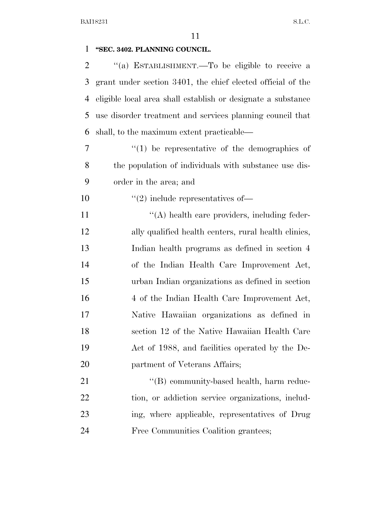| 1  | "SEC. 3402. PLANNING COUNCIL.                                |
|----|--------------------------------------------------------------|
| 2  | "(a) ESTABLISHMENT.—To be eligible to receive a              |
| 3  | grant under section 3401, the chief elected official of the  |
| 4  | eligible local area shall establish or designate a substance |
| 5  | use disorder treatment and services planning council that    |
| 6  | shall, to the maximum extent practicable—                    |
| 7  | $\lq(1)$ be representative of the demographics of            |
| 8  | the population of individuals with substance use dis-        |
| 9  | order in the area; and                                       |
| 10 | $\cdot\cdot\cdot(2)$ include representatives of —            |
| 11 | "(A) health care providers, including feder-                 |
| 12 | ally qualified health centers, rural health clinics,         |
| 13 | Indian health programs as defined in section 4               |
| 14 | of the Indian Health Care Improvement Act,                   |
| 15 | urban Indian organizations as defined in section             |
| 16 | 4 of the Indian Health Care Improvement Act,                 |
| 17 | Native Hawaiian organizations as defined in                  |
| 18 | section 12 of the Native Hawaiian Health Care                |
| 19 | Act of 1988, and facilities operated by the De-              |
| 20 | partment of Veterans Affairs;                                |
| 21 | "(B) community-based health, harm reduc-                     |
| 22 | tion, or addiction service organizations, includ-            |
| 23 | ing, where applicable, representatives of Drug               |
| 24 | Free Communities Coalition grantees;                         |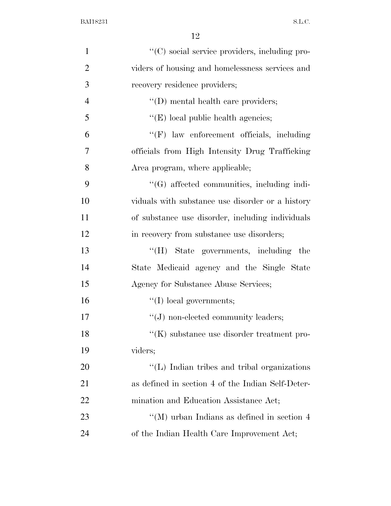| $\mathbf{1}$   | "(C) social service providers, including pro-     |
|----------------|---------------------------------------------------|
| $\overline{2}$ | viders of housing and homelessness services and   |
| 3              | recovery residence providers;                     |
| $\overline{4}$ | $\lq\lq$ (D) mental health care providers;        |
| 5              | $\lq\lq$ (E) local public health agencies;        |
| 6              | $\lq\lq(F)$ law enforcement officials, including  |
| 7              | officials from High Intensity Drug Trafficking    |
| 8              | Area program, where applicable;                   |
| 9              | "(G) affected communities, including indi-        |
| 10             | viduals with substance use disorder or a history  |
| 11             | of substance use disorder, including individuals  |
| 12             | in recovery from substance use disorders;         |
| 13             | "(H) State governments, including the             |
| 14             | State Medicaid agency and the Single State        |
| 15             | Agency for Substance Abuse Services;              |
| 16             | $\lq\lq$ (I) local governments;                   |
| 17             | $\lq\lq(J)$ non-elected community leaders;        |
| 18             | $H(K)$ substance use disorder treatment pro-      |
| 19             | viders;                                           |
| 20             | "(L) Indian tribes and tribal organizations       |
| 21             | as defined in section 4 of the Indian Self-Deter- |
| 22             | mination and Education Assistance Act;            |
| 23             | "(M) urban Indians as defined in section $4$      |
| 24             | of the Indian Health Care Improvement Act;        |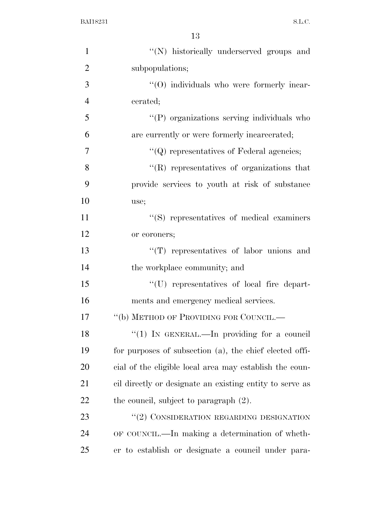| $\mathbf{1}$   | "(N) historically underserved groups and                 |
|----------------|----------------------------------------------------------|
| $\overline{2}$ | subpopulations;                                          |
| 3              | $\cdot$ (O) individuals who were formerly incar-         |
| $\overline{4}$ | cerated;                                                 |
| 5              | "(P) organizations serving individuals who               |
| 6              | are currently or were formerly incarcerated;             |
| 7              | $\lq\lq Q$ representatives of Federal agencies;          |
| 8              | $\lq\lq$ representatives of organizations that           |
| 9              | provide services to youth at risk of substance           |
| 10             | use;                                                     |
| 11             | "(S) representatives of medical examiners                |
| 12             | or coroners;                                             |
| 13             | "(T) representatives of labor unions and                 |
| 14             | the workplace community; and                             |
| 15             | "(U) representatives of local fire depart-               |
| 16             | ments and emergency medical services.                    |
| 17             | "(b) METHOD OF PROVIDING FOR COUNCIL.—                   |
| 18             | "(1) IN GENERAL.—In providing for a council              |
| 19             | for purposes of subsection (a), the chief elected offi-  |
| 20             | cial of the eligible local area may establish the coun-  |
| 21             | cil directly or designate an existing entity to serve as |
| 22             | the council, subject to paragraph $(2)$ .                |
| 23             | "(2) CONSIDERATION REGARDING DESIGNATION                 |
| 24             | OF COUNCIL.—In making a determination of wheth-          |
| 25             | er to establish or designate a council under para-       |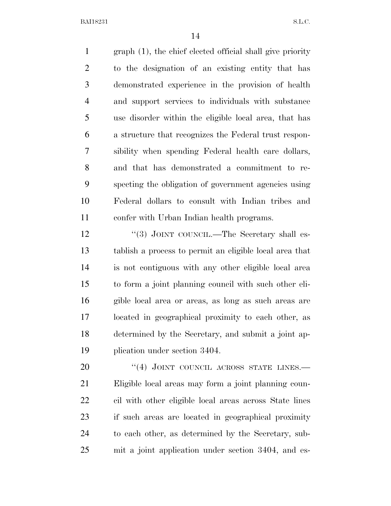graph (1), the chief elected official shall give priority to the designation of an existing entity that has demonstrated experience in the provision of health and support services to individuals with substance use disorder within the eligible local area, that has a structure that recognizes the Federal trust respon- sibility when spending Federal health care dollars, and that has demonstrated a commitment to re- specting the obligation of government agencies using Federal dollars to consult with Indian tribes and confer with Urban Indian health programs.

12 "(3) JOINT COUNCIL.—The Secretary shall es- tablish a process to permit an eligible local area that is not contiguous with any other eligible local area to form a joint planning council with such other eli- gible local area or areas, as long as such areas are located in geographical proximity to each other, as determined by the Secretary, and submit a joint ap-plication under section 3404.

20 "(4) JOINT COUNCIL ACROSS STATE LINES. Eligible local areas may form a joint planning coun- cil with other eligible local areas across State lines if such areas are located in geographical proximity to each other, as determined by the Secretary, sub-mit a joint application under section 3404, and es-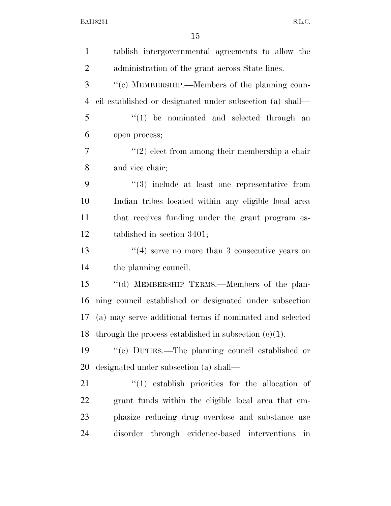| $\mathbf{1}$   | tablish intergovernmental agreements to allow the         |
|----------------|-----------------------------------------------------------|
| $\overline{2}$ | administration of the grant across State lines.           |
| 3              | "(c) MEMBERSHIP.—Members of the planning coun-            |
| $\overline{4}$ | cil established or designated under subsection (a) shall— |
| 5              | $\lq(1)$ be nominated and selected through an             |
| 6              | open process;                                             |
| $\overline{7}$ | $\lq(2)$ elect from among their membership a chair        |
| 8              | and vice chair;                                           |
| 9              | $\cdot$ (3) include at least one representative from      |
| 10             | Indian tribes located within any eligible local area      |
| 11             | that receives funding under the grant program es-         |
| 12             | tablished in section 3401;                                |
| 13             | $(4)$ serve no more than 3 consecutive years on           |
| 14             | the planning council.                                     |
| 15             | "(d) MEMBERSHIP TERMS.—Members of the plan-               |
| 16             | ning council established or designated under subsection   |
| 17             | (a) may serve additional terms if nominated and selected  |
| 18             | through the process established in subsection $(c)(1)$ .  |
| 19             | "(e) DUTIES.—The planning council established or          |
| 20             | designated under subsection (a) shall—                    |
| 21             | $(1)$ establish priorities for the allocation of          |
| 22             | grant funds within the eligible local area that em-       |
| 23             | phasize reducing drug overdose and substance use          |
| 24             | disorder through evidence-based interventions<br>in       |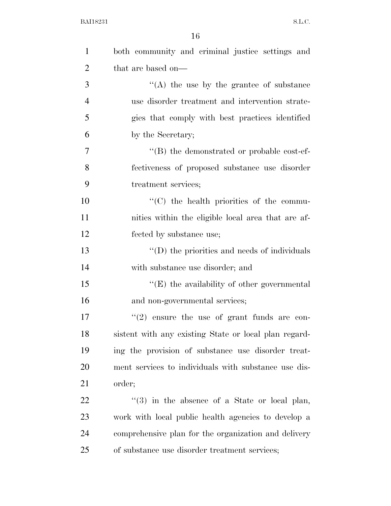| $\mathbf{1}$   | both community and criminal justice settings and      |
|----------------|-------------------------------------------------------|
| $\overline{2}$ | that are based on—                                    |
| 3              | $\lq\lq$ the use by the grantee of substance          |
| $\overline{4}$ | use disorder treatment and intervention strate-       |
| 5              | gies that comply with best practices identified       |
| 6              | by the Secretary;                                     |
| 7              | $\cdot$ (B) the demonstrated or probable cost-ef-     |
| 8              | fectiveness of proposed substance use disorder        |
| 9              | treatment services;                                   |
| 10             | "(C) the health priorities of the commu-              |
| 11             | nities within the eligible local area that are af-    |
| 12             | fected by substance use;                              |
| 13             | $\lq\lq$ (D) the priorities and needs of individuals  |
| 14             | with substance use disorder; and                      |
| 15             | $\lq\lq(E)$ the availability of other governmental    |
| 16             | and non-governmental services;                        |
| 17             | $\lq(2)$ ensure the use of grant funds are con-       |
| 18             | sistent with any existing State or local plan regard- |
| 19             | ing the provision of substance use disorder treat-    |
| 20             | ment services to individuals with substance use dis-  |
| 21             | order;                                                |
| 22             | $\lq(3)$ in the absence of a State or local plan,     |
| 23             | work with local public health agencies to develop a   |
| 24             | comprehensive plan for the organization and delivery  |
| 25             | of substance use disorder treatment services;         |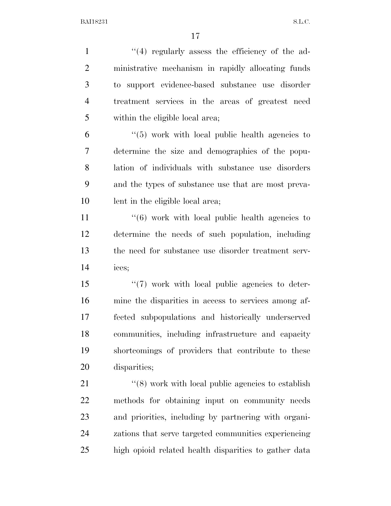1 ''(4) regularly assess the efficiency of the ad- ministrative mechanism in rapidly allocating funds to support evidence-based substance use disorder treatment services in the areas of greatest need within the eligible local area;

 ''(5) work with local public health agencies to determine the size and demographics of the popu- lation of individuals with substance use disorders and the types of substance use that are most preva-lent in the eligible local area;

11 ''(6) work with local public health agencies to determine the needs of such population, including the need for substance use disorder treatment serv-ices;

 $\frac{1}{2}$  T work with local public agencies to deter- mine the disparities in access to services among af- fected subpopulations and historically underserved communities, including infrastructure and capacity shortcomings of providers that contribute to these disparities;

21 ''(8) work with local public agencies to establish methods for obtaining input on community needs and priorities, including by partnering with organi- zations that serve targeted communities experiencing high opioid related health disparities to gather data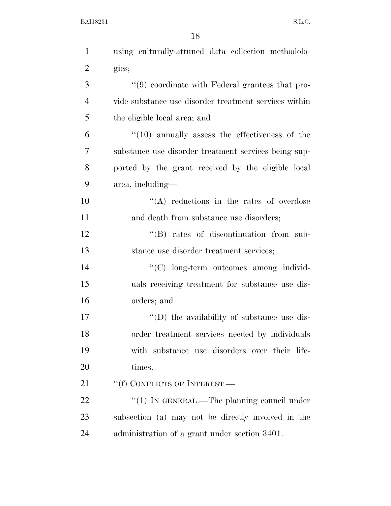| $\mathbf{1}$   | using culturally-attuned data collection methodolo-   |
|----------------|-------------------------------------------------------|
| $\overline{2}$ | gies;                                                 |
| 3              | "(9) coordinate with Federal grantees that pro-       |
| $\overline{4}$ | vide substance use disorder treatment services within |
| 5              | the eligible local area; and                          |
| 6              | $\cdot$ (10) annually assess the effectiveness of the |
| 7              | substance use disorder treatment services being sup-  |
| 8              | ported by the grant received by the eligible local    |
| 9              | area, including—                                      |
| 10             | "(A) reductions in the rates of overdose              |
| 11             | and death from substance use disorders;               |
| 12             | $\lq\lq$ rates of discontinuation from sub-           |
| 13             | stance use disorder treatment services;               |
| 14             | "(C) long-term outcomes among individ-                |
| 15             | uals receiving treatment for substance use dis-       |
| 16             | orders; and                                           |
| 17             | $\lq\lq$ the availability of substance use dis-       |
| 18             | order treatment services needed by individuals        |
| 19             | with substance use disorders over their life-         |
| 20             | times.                                                |
| 21             | "(f) CONFLICTS OF INTEREST.—                          |
| 22             | "(1) IN GENERAL.—The planning council under           |
| 23             | subsection (a) may not be directly involved in the    |
| 24             | administration of a grant under section 3401.         |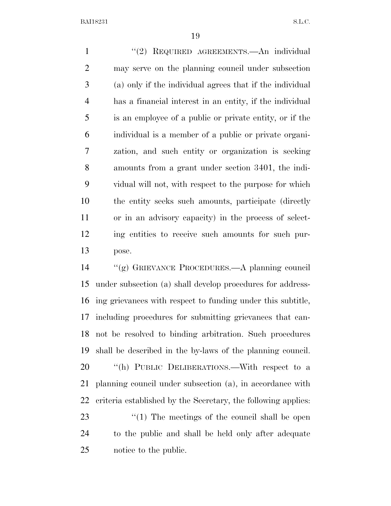1 "(2) REQUIRED AGREEMENTS.—An individual may serve on the planning council under subsection (a) only if the individual agrees that if the individual has a financial interest in an entity, if the individual is an employee of a public or private entity, or if the individual is a member of a public or private organi- zation, and such entity or organization is seeking amounts from a grant under section 3401, the indi- vidual will not, with respect to the purpose for which the entity seeks such amounts, participate (directly or in an advisory capacity) in the process of select- ing entities to receive such amounts for such pur-pose.

 ''(g) GRIEVANCE PROCEDURES.—A planning council under subsection (a) shall develop procedures for address- ing grievances with respect to funding under this subtitle, including procedures for submitting grievances that can- not be resolved to binding arbitration. Such procedures shall be described in the by-laws of the planning council. 20 "(h) PUBLIC DELIBERATIONS.—With respect to a planning council under subsection (a), in accordance with criteria established by the Secretary, the following applies: 23 ''(1) The meetings of the council shall be open to the public and shall be held only after adequate

notice to the public.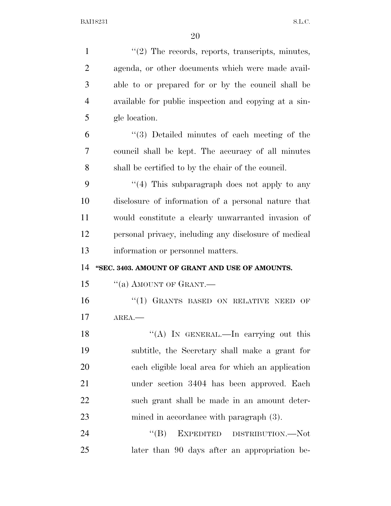| $\mathbf{1}$   | $\lq(2)$ The records, reports, transcripts, minutes,  |
|----------------|-------------------------------------------------------|
| $\overline{2}$ | agenda, or other documents which were made avail-     |
| 3              | able to or prepared for or by the council shall be    |
| $\overline{4}$ | available for public inspection and copying at a sin- |
| 5              | gle location.                                         |
| 6              | $\lq(3)$ Detailed minutes of each meeting of the      |
| 7              | council shall be kept. The accuracy of all minutes    |
| 8              | shall be certified to by the chair of the council.    |
| 9              | "(4) This subparagraph does not apply to any          |
| 10             | disclosure of information of a personal nature that   |
| 11             | would constitute a clearly unwarranted invasion of    |
| 12             | personal privacy, including any disclosure of medical |
| 13             | information or personnel matters.                     |
|                |                                                       |
| 14             | "SEC. 3403. AMOUNT OF GRANT AND USE OF AMOUNTS.       |
| 15             | "(a) AMOUNT OF GRANT.—                                |
| 16             | "(1) GRANTS BASED ON RELATIVE NEED<br>OF              |
| 17             | AREA.                                                 |
| 18             | "(A) IN GENERAL.—In carrying out this                 |
| 19             | subtitle, the Secretary shall make a grant for        |
| 20             | each eligible local area for which an application     |
| 21             | under section 3404 has been approved. Each            |
| 22             | such grant shall be made in an amount deter-          |
| 23             | mined in accordance with paragraph $(3)$ .            |
| 24             | EXPEDITED DISTRIBUTION.—Not<br>``(B)                  |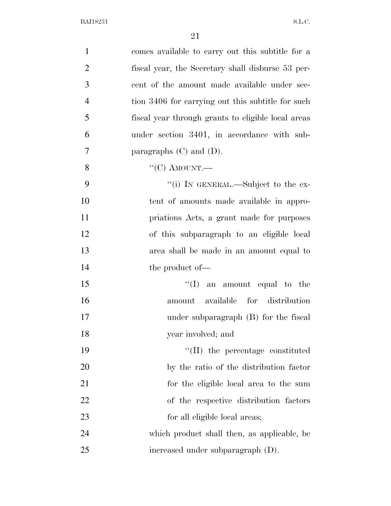| $\mathbf{1}$   | comes available to carry out this subtitle for a   |
|----------------|----------------------------------------------------|
| $\overline{2}$ | fiscal year, the Secretary shall disburse 53 per-  |
| 3              | cent of the amount made available under sec-       |
| $\overline{4}$ | tion 3406 for carrying out this subtitle for such  |
| 5              | fiscal year through grants to eligible local areas |
| 6              | under section 3401, in accordance with sub-        |
| 7              | paragraphs $(C)$ and $(D)$ .                       |
| 8              | " $(C)$ AMOUNT.—                                   |
| 9              | "(i) IN GENERAL.—Subject to the ex-                |
| 10             | tent of amounts made available in appro-           |
| 11             | priations Acts, a grant made for purposes          |
| 12             | of this subparagraph to an eligible local          |
| 13             | area shall be made in an amount equal to           |
| 14             | the product of—                                    |
| 15             | $\lq\lq$ an amount equal to the                    |
| 16             | amount available for distribution                  |
| 17             | under subparagraph (B) for the fiscal              |
| 18             | year involved; and                                 |
| 19             | $\lq\lq$ (II) the percentage constituted           |
| 20             | by the ratio of the distribution factor            |
| 21             | for the eligible local area to the sum             |
| 22             | of the respective distribution factors             |
| 23             | for all eligible local areas;                      |
| 24             | which product shall then, as applicable, be        |
| 25             | increased under subparagraph (D).                  |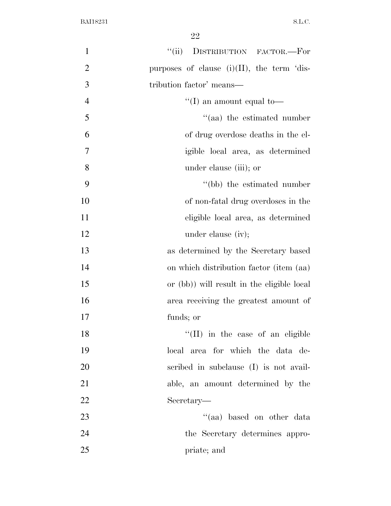| $\mathbf{1}$   | DISTRIBUTION FACTOR.-For<br>``(ii)            |
|----------------|-----------------------------------------------|
| $\overline{2}$ | purposes of clause $(i)(II)$ , the term 'dis- |
| 3              | tribution factor' means—                      |
| $\overline{4}$ | "(I) an amount equal to-                      |
| 5              | $\cdot$ (aa) the estimated number             |
| 6              | of drug overdose deaths in the el-            |
| 7              | igible local area, as determined              |
| 8              | under clause (iii); or                        |
| 9              | "(bb) the estimated number                    |
| 10             | of non-fatal drug overdoses in the            |
| 11             | eligible local area, as determined            |
| 12             | under clause (iv);                            |
| 13             | as determined by the Secretary based          |
| 14             | on which distribution factor (item (aa)       |
| 15             | or (bb)) will result in the eligible local    |
| 16             | area receiving the greatest amount of         |
| 17             | funds; or                                     |
| 18             | "(II) in the case of an eligible              |
| 19             | local area for which the data de-             |
| 20             | scribed in subclause (I) is not avail-        |
| 21             | able, an amount determined by the             |
| 22             | Secretary—                                    |
| 23             | "(aa) based on other data                     |
| 24             | the Secretary determines appro-               |
| 25             | priate; and                                   |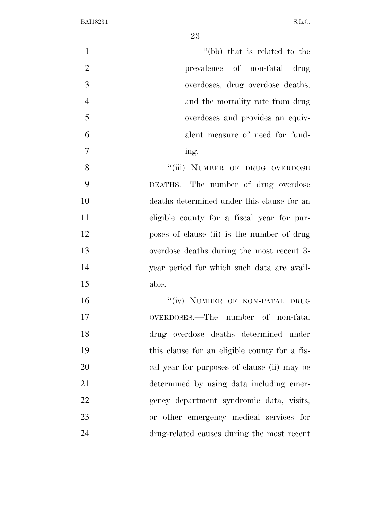| $\mathbf{1}$   | "(bb) that is related to the                  |
|----------------|-----------------------------------------------|
| $\overline{2}$ | prevalence of non-fatal drug                  |
| 3              | overdoses, drug overdose deaths,              |
| $\overline{4}$ | and the mortality rate from drug              |
| 5              | overdoses and provides an equiv-              |
| 6              | alent measure of need for fund-               |
| $\overline{7}$ | ing.                                          |
| 8              | "(iii) NUMBER OF DRUG OVERDOSE                |
| 9              | DEATHS.—The number of drug overdose           |
| 10             | deaths determined under this clause for an    |
| 11             | eligible county for a fiscal year for pur-    |
| 12             | poses of clause (ii) is the number of drug    |
| 13             | overdose deaths during the most recent 3-     |
| 14             | year period for which such data are avail-    |
| 15             | able.                                         |
| 16             | "(iv) NUMBER OF NON-FATAL DRUG                |
| 17             | OVERDOSES.—The number of non-fatal            |
| 18             | drug overdose deaths determined under         |
| 19             | this clause for an eligible county for a fis- |
| 20             | cal year for purposes of clause (ii) may be   |
| 21             | determined by using data including emer-      |
| 22             | gency department syndromic data, visits,      |
| 23             | or other emergency medical services for       |
| 24             | drug-related causes during the most recent    |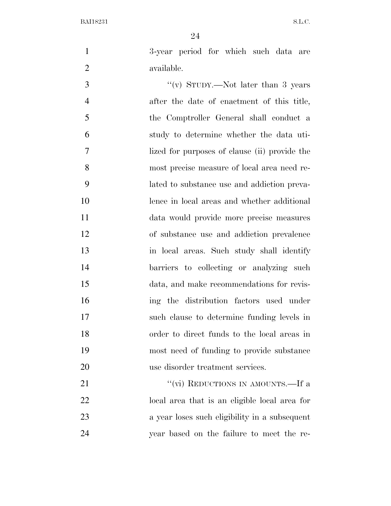3-year period for which such data are 2 available.

 ''(v) STUDY.—Not later than 3 years after the date of enactment of this title, the Comptroller General shall conduct a study to determine whether the data uti- lized for purposes of clause (ii) provide the most precise measure of local area need re- lated to substance use and addiction preva- lence in local areas and whether additional data would provide more precise measures of substance use and addiction prevalence in local areas. Such study shall identify 14 barriers to collecting or analyzing such data, and make recommendations for revis- ing the distribution factors used under such clause to determine funding levels in order to direct funds to the local areas in most need of funding to provide substance use disorder treatment services.

21 ''(vi) REDUCTIONS IN AMOUNTS.—If a local area that is an eligible local area for a year loses such eligibility in a subsequent year based on the failure to meet the re-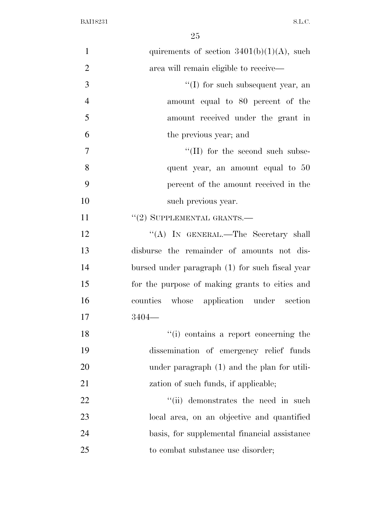| $\mathbf{1}$   | quirements of section $3401(b)(1)(A)$ , such    |
|----------------|-------------------------------------------------|
| $\overline{2}$ | area will remain eligible to receive—           |
| 3              | $\lq\lq$ (I) for such subsequent year, an       |
| $\overline{4}$ | amount equal to 80 percent of the               |
| 5              | amount received under the grant in              |
| 6              | the previous year; and                          |
| 7              | $\lq\lq$ (II) for the second such subse-        |
| 8              | quent year, an amount equal to 50               |
| 9              | percent of the amount received in the           |
| 10             | such previous year.                             |
| 11             | $"(2)$ SUPPLEMENTAL GRANTS.—                    |
| 12             | "(A) IN GENERAL.—The Secretary shall            |
| 13             | disburse the remainder of amounts not dis-      |
| 14             | bursed under paragraph (1) for such fiscal year |
| 15             | for the purpose of making grants to cities and  |
| 16             | counties whose application under section        |
| 17             | $3404-$                                         |
| 18             | "(i) contains a report concerning the           |
| 19             | dissemination of emergency relief funds         |
| 20             | under paragraph (1) and the plan for utili-     |
| 21             | zation of such funds, if applicable;            |
| 22             | "(ii) demonstrates the need in such             |
| 23             | local area, on an objective and quantified      |
| 24             | basis, for supplemental financial assistance    |
| 25             | to combat substance use disorder;               |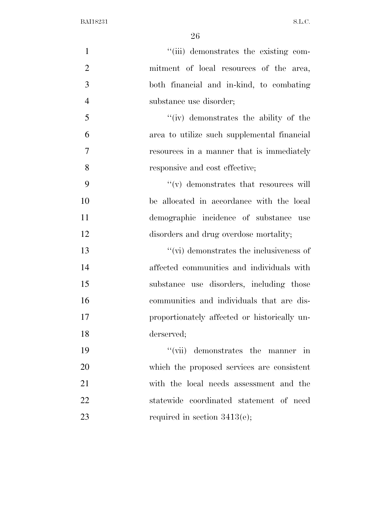| $\mathbf{1}$   | "(iii) demonstrates the existing com-             |
|----------------|---------------------------------------------------|
| $\overline{2}$ | mitment of local resources of the area,           |
| 3              | both financial and in-kind, to combating          |
| $\overline{4}$ | substance use disorder;                           |
| 5              | $``(iv)$ demonstrates the ability of the          |
| 6              | area to utilize such supplemental financial       |
| 7              | resources in a manner that is immediately         |
| 8              | responsive and cost effective;                    |
| 9              | $\mathcal{C}(v)$ demonstrates that resources will |
| 10             | be allocated in accordance with the local         |
| 11             | demographic incidence of substance use            |
| 12             | disorders and drug overdose mortality;            |
| 13             | $\lq\lq$ (vi) demonstrates the inclusiveness of   |
| 14             | affected communities and individuals with         |
| 15             | substance use disorders, including those          |
| 16             | communities and individuals that are dis-         |
| 17             | proportionately affected or historically un-      |
| 18             | derserved;                                        |
| 19             | $``(\text{vii})$ demonstrates the manner in       |
| 20             | which the proposed services are consistent        |
| 21             | with the local needs assessment and the           |
| 22             | statewide coordinated statement of need           |
| 23             | required in section $3413(e)$ ;                   |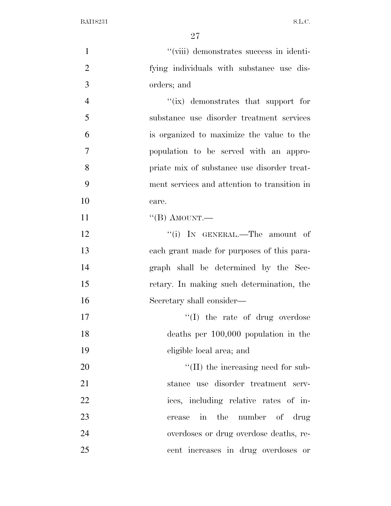| $\mathbf{1}$   | "(viii) demonstrates success in identi-      |
|----------------|----------------------------------------------|
| $\overline{2}$ | fying individuals with substance use dis-    |
| 3              | orders; and                                  |
| $\overline{4}$ | " $(ix)$ demonstrates that support for       |
| 5              | substance use disorder treatment services    |
| 6              | is organized to maximize the value to the    |
| 7              | population to be served with an appro-       |
| 8              | priate mix of substance use disorder treat-  |
| 9              | ment services and attention to transition in |
| 10             | care.                                        |
| 11             | $\lq$ <sup>"</sup> (B) AMOUNT.—              |
| 12             | "(i) IN GENERAL.—The amount of               |
| 13             | each grant made for purposes of this para-   |
| 14             | graph shall be determined by the Sec-        |
| 15             | retary. In making such determination, the    |
| 16             | Secretary shall consider—                    |
| 17             | $\lq\lq$ the rate of drug overdose           |
| 18             | deaths per $100,000$ population in the       |
| 19             | eligible local area; and                     |
| 20             | $\lq\lq$ (II) the increasing need for sub-   |
| 21             | stance use disorder treatment serv-          |
| 22             | ices, including relative rates of in-        |
| 23             | in the<br>number of drug<br>crease           |
| 24             | overdoses or drug overdose deaths, re-       |
| 25             | cent increases in drug overdoses or          |
|                |                                              |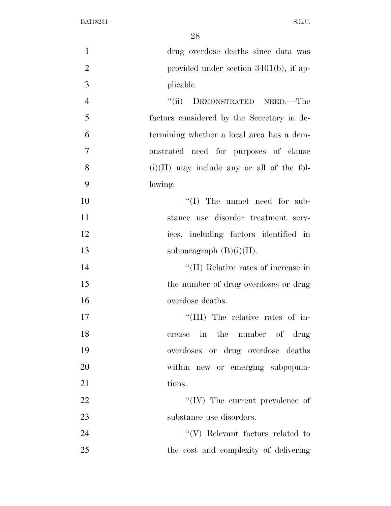| $\mathbf{1}$   | drug overdose deaths since data was          |
|----------------|----------------------------------------------|
| $\overline{2}$ | provided under section $3401(b)$ , if ap-    |
| 3              | plicable.                                    |
| $\overline{4}$ | "(ii) DEMONSTRATED NEED.—The                 |
| 5              | factors considered by the Secretary in de-   |
| 6              | termining whether a local area has a dem-    |
| $\overline{7}$ | onstrated need for purposes of clause        |
| 8              | $(i)(II)$ may include any or all of the fol- |
| 9              | lowing:                                      |
| 10             | $\lq\lq$ (I) The unmet need for sub-         |
| 11             | stance use disorder treatment serv-          |
| 12             | ices, including factors identified in        |
| 13             | subparagraph $(B)(i)(II)$ .                  |
| 14             | "(II) Relative rates of increase in          |
| 15             | the number of drug overdoses or drug         |
| 16             | overdose deaths.                             |
| 17             | "(III) The relative rates of in-             |
| 18             | crease in the number of drug                 |
| 19             | overdoses or drug overdose deaths            |
| 20             | within new or emerging subpopula-            |
| 21             | tions.                                       |
| 22             | $\lq\lq$ (IV) The current prevalence of      |
| 23             | substance use disorders.                     |
| 24             | $\lq\lq(V)$ Relevant factors related to      |
| 25             | the cost and complexity of delivering        |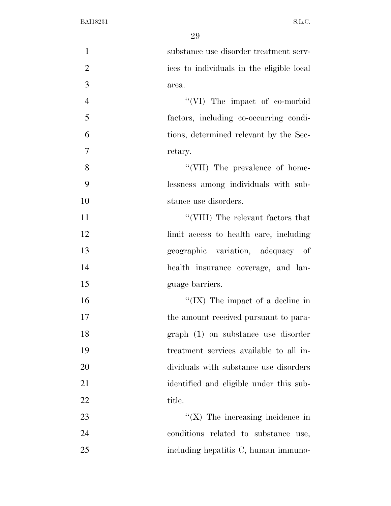| $\mathbf{1}$   | substance use disorder treatment serv-    |
|----------------|-------------------------------------------|
| $\overline{2}$ | ices to individuals in the eligible local |
| 3              | area.                                     |
| $\overline{4}$ | "(VI) The impact of co-morbid             |
| 5              | factors, including co-occurring condi-    |
| 6              | tions, determined relevant by the Sec-    |
| $\overline{7}$ | retary.                                   |
| 8              | "(VII) The prevalence of home-            |
| 9              | lessness among individuals with sub-      |
| 10             | stance use disorders.                     |
| 11             | "(VIII) The relevant factors that         |
| 12             | limit access to health care, including    |
| 13             | geographic variation, adequacy of         |
| 14             | health insurance coverage, and lan-       |
| 15             | guage barriers.                           |
| 16             | "(IX) The impact of a decline in          |
| 17             | the amount received pursuant to para-     |
| 18             | graph (1) on substance use disorder       |
| 19             | treatment services available to all in-   |
| 20             | dividuals with substance use disorders    |
| 21             | identified and eligible under this sub-   |
| 22             | title.                                    |
| 23             | $\lq\lq$ (X) The increasing incidence in  |
| 24             | conditions related to substance use,      |
| 25             | including hepatitis C, human immuno-      |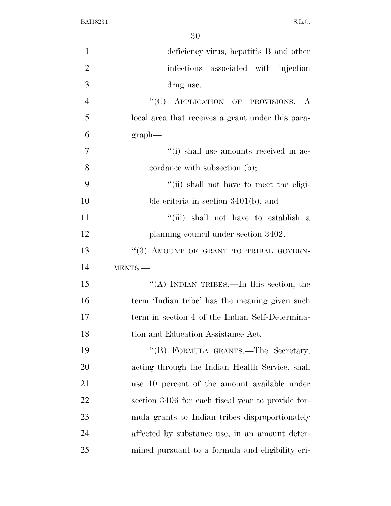| $\mathbf{1}$   | deficiency virus, hepatitis B and other           |
|----------------|---------------------------------------------------|
| $\overline{2}$ | infections associated with injection              |
| 3              | drug use.                                         |
| $\overline{4}$ | "(C) APPLICATION OF PROVISIONS.— $A$              |
| 5              | local area that receives a grant under this para- |
| 6              | $graph$ —                                         |
| $\overline{7}$ | "(i) shall use amounts received in ac-            |
| 8              | cordance with subsection (b);                     |
| 9              | "(ii) shall not have to meet the eligi-           |
| 10             | ble criteria in section $3401(b)$ ; and           |
| 11             | "(iii) shall not have to establish a              |
| 12             | planning council under section 3402.              |
| 13             | "(3) AMOUNT OF GRANT TO TRIBAL GOVERN-            |
| 14             | MENTS.                                            |
| 15             | "(A) INDIAN TRIBES.—In this section, the          |
| 16             | term 'Indian tribe' has the meaning given such    |
| 17             | term in section 4 of the Indian Self-Determina-   |
| 18             | tion and Education Assistance Act.                |
| 19             | "(B) FORMULA GRANTS.—The Secretary,               |
| 20             | acting through the Indian Health Service, shall   |
| 21             | use 10 percent of the amount available under      |
| 22             | section 3406 for each fiscal year to provide for- |
| 23             | mula grants to Indian tribes disproportionately   |
| 24             | affected by substance use, in an amount deter-    |
| 25             | mined pursuant to a formula and eligibility cri-  |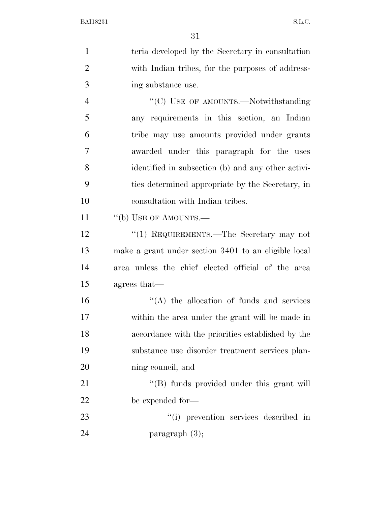teria developed by the Secretary in consultation with Indian tribes, for the purposes of address- ing substance use. 4 "'(C) USE OF AMOUNTS.—Notwithstanding any requirements in this section, an Indian tribe may use amounts provided under grants awarded under this paragraph for the uses identified in subsection (b) and any other activi- ties determined appropriate by the Secretary, in consultation with Indian tribes. 11 "(b) USE OF AMOUNTS.— 12 "(1) REQUIREMENTS.—The Secretary may not make a grant under section 3401 to an eligible local area unless the chief elected official of the area agrees that—  $\langle A \rangle$  the allocation of funds and services within the area under the grant will be made in accordance with the priorities established by the substance use disorder treatment services plan- ning council; and 21 ''(B) funds provided under this grant will be expended for—  $\frac{1}{1}$  prevention services described in paragraph (3);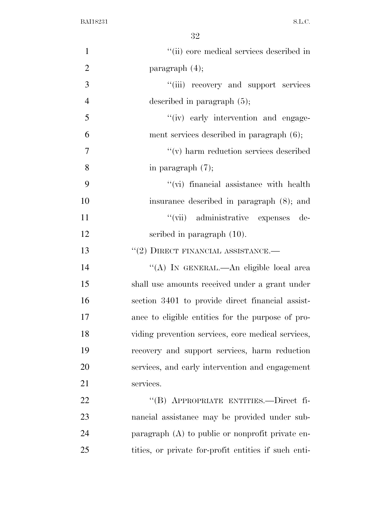| $\mathbf{1}$   | "(ii) core medical services described in             |
|----------------|------------------------------------------------------|
| $\overline{2}$ | paragraph $(4)$ ;                                    |
| 3              | "(iii) recovery and support services                 |
| $\overline{4}$ | described in paragraph $(5)$ ;                       |
| 5              | "(iv) early intervention and engage-                 |
| 6              | ment services described in paragraph $(6)$ ;         |
| 7              | $``(v)$ harm reduction services described            |
| 8              | in paragraph $(7)$ ;                                 |
| 9              | "(vi) financial assistance with health               |
| 10             | insurance described in paragraph (8); and            |
| 11             | "(vii) administrative expenses<br>de-                |
| 12             | scribed in paragraph $(10)$ .                        |
| 13             | $``(2)$ DIRECT FINANCIAL ASSISTANCE.—                |
| 14             | "(A) IN GENERAL.—An eligible local area              |
| 15             | shall use amounts received under a grant under       |
| 16             | section 3401 to provide direct financial assist-     |
| 17             | ance to eligible entities for the purpose of pro-    |
| 18             | viding prevention services, core medical services,   |
| 19             | recovery and support services, harm reduction        |
| 20             | services, and early intervention and engagement      |
| 21             | services.                                            |
| 22             | "(B) APPROPRIATE ENTITIES.—Direct fi-                |
| 23             | nancial assistance may be provided under sub-        |
| 24             | paragraph $(A)$ to public or nonprofit private en-   |
| 25             | tities, or private for-profit entities if such enti- |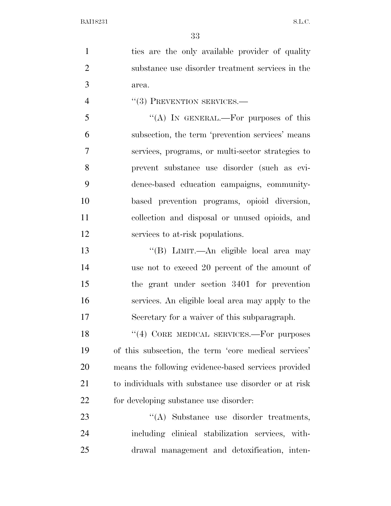1 ties are the only available provider of quality substance use disorder treatment services in the area.

4  $((3)$  PREVENTION SERVICES.—

 $\mathcal{F}$   $\mathcal{F}(A)$  In GENERAL.—For purposes of this subsection, the term 'prevention services' means services, programs, or multi-sector strategies to prevent substance use disorder (such as evi- dence-based education campaigns, community- based prevention programs, opioid diversion, collection and disposal or unused opioids, and services to at-risk populations.

 ''(B) LIMIT.—An eligible local area may use not to exceed 20 percent of the amount of the grant under section 3401 for prevention services. An eligible local area may apply to the Secretary for a waiver of this subparagraph.

18 "(4) CORE MEDICAL SERVICES.—For purposes of this subsection, the term 'core medical services' means the following evidence-based services provided to individuals with substance use disorder or at risk for developing substance use disorder:

23 "(A) Substance use disorder treatments, including clinical stabilization services, with-drawal management and detoxification, inten-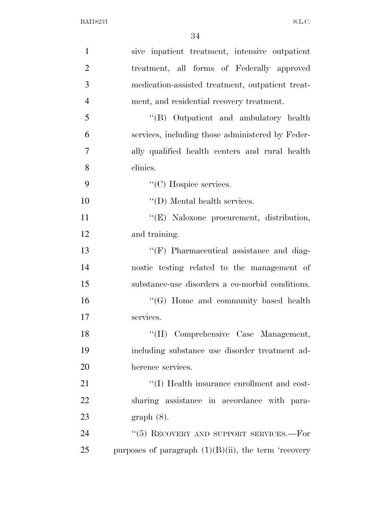| $\mathbf{1}$   | sive inpatient treatment, intensive outpatient          |
|----------------|---------------------------------------------------------|
| $\overline{2}$ | treatment, all forms of Federally approved              |
| 3              | medication-assisted treatment, outpatient treat-        |
| $\overline{4}$ | ment, and residential recovery treatment.               |
| 5              | "(B) Outpatient and ambulatory health                   |
| 6              | services, including those administered by Feder-        |
| $\overline{7}$ | ally qualified health centers and rural health          |
| 8              | clinics.                                                |
| 9              | $\lq\lq$ (C) Hospice services.                          |
| 10             | $\lq\lq$ (D) Mental health services.                    |
| 11             | "(E) Naloxone procurement, distribution,                |
| 12             | and training.                                           |
| 13             | "(F) Pharmaceutical assistance and diag-                |
| 14             | nostic testing related to the management of             |
| 15             | substance-use disorders a co-morbid conditions.         |
| 16             | $\lq\lq (G)$ Home and community based health            |
| 17             | services.                                               |
| 18             | "(H) Comprehensive Case Management,                     |
| 19             | including substance use disorder treatment ad-          |
| 20             | herence services.                                       |
| 21             | "(I) Health insurance enrollment and cost-              |
| 22             | sharing assistance in accordance with para-             |
| 23             | $graph(8)$ .                                            |
| 24             | "(5) RECOVERY AND SUPPORT SERVICES.-For                 |
| 25             | purposes of paragraph $(1)(B)(ii)$ , the term 'recovery |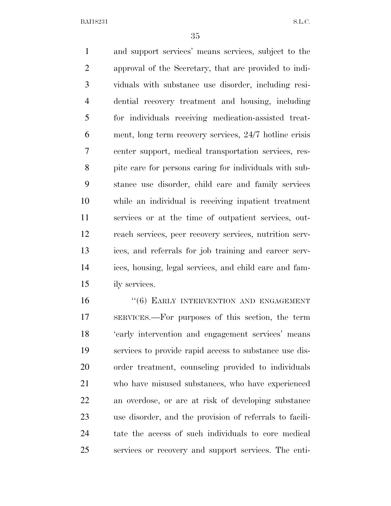and support services' means services, subject to the approval of the Secretary, that are provided to indi- viduals with substance use disorder, including resi- dential recovery treatment and housing, including for individuals receiving medication-assisted treat- ment, long term recovery services, 24/7 hotline crisis center support, medical transportation services, res- pite care for persons caring for individuals with sub- stance use disorder, child care and family services while an individual is receiving inpatient treatment services or at the time of outpatient services, out- reach services, peer recovery services, nutrition serv- ices, and referrals for job training and career serv- ices, housing, legal services, and child care and fam-ily services.

16 "(6) EARLY INTERVENTION AND ENGAGEMENT SERVICES.—For purposes of this section, the term 'early intervention and engagement services' means services to provide rapid access to substance use dis- order treatment, counseling provided to individuals who have misused substances, who have experienced an overdose, or are at risk of developing substance use disorder, and the provision of referrals to facili- tate the access of such individuals to core medical services or recovery and support services. The enti-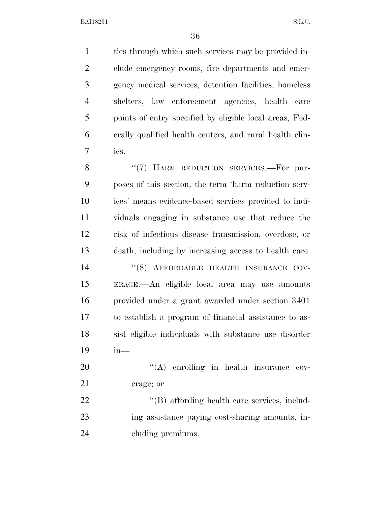ties through which such services may be provided in- clude emergency rooms, fire departments and emer- gency medical services, detention facilities, homeless shelters, law enforcement agencies, health care points of entry specified by eligible local areas, Fed- erally qualified health centers, and rural health clin-ics.

8 "(7) HARM REDUCTION SERVICES.—For pur- poses of this section, the term 'harm reduction serv- ices' means evidence-based services provided to indi- viduals engaging in substance use that reduce the risk of infectious disease transmission, overdose, or death, including by increasing access to health care. 14 "(8) AFFORDABLE HEALTH INSURANCE COV- ERAGE.—An eligible local area may use amounts provided under a grant awarded under section 3401 to establish a program of financial assistance to as- sist eligible individuals with substance use disorder in—

20  $\langle (A)$  enrolling in health insurance cov-erage; or

22  $\langle (B)$  affording health care services, includ- ing assistance paying cost-sharing amounts, in-cluding premiums.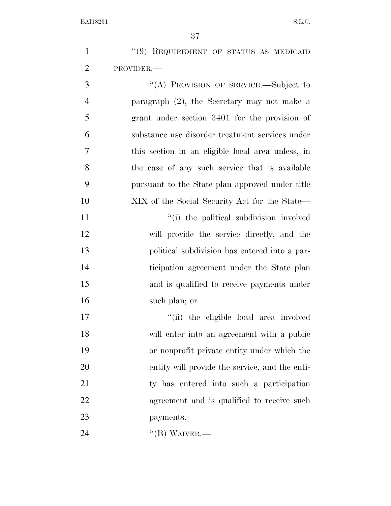1 "(9) REQUIREMENT OF STATUS AS MEDICAID PROVIDER.—

 ''(A) PROVISION OF SERVICE.—Subject to paragraph (2), the Secretary may not make a grant under section 3401 for the provision of substance use disorder treatment services under this section in an eligible local area unless, in the case of any such service that is available pursuant to the State plan approved under title XIX of the Social Security Act for the State—

 $\frac{1}{10}$  the political subdivision involved will provide the service directly, and the political subdivision has entered into a par- ticipation agreement under the State plan and is qualified to receive payments under such plan; or

 $\frac{1}{10}$  the eligible local area involved will enter into an agreement with a public or nonprofit private entity under which the entity will provide the service, and the enti- ty has entered into such a participation agreement and is qualified to receive such payments.

''(B) WAIVER.—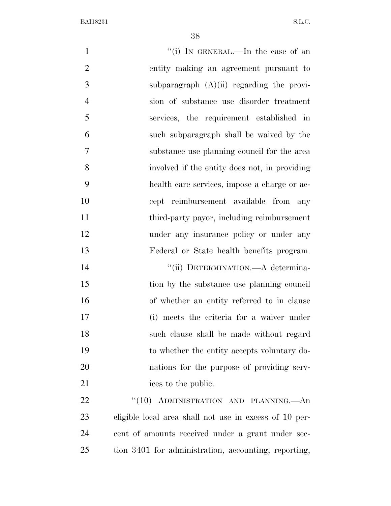1 ''(i) In GENERAL.—In the case of an entity making an agreement pursuant to 3 subparagraph  $(A)(ii)$  regarding the provi- sion of substance use disorder treatment services, the requirement established in such subparagraph shall be waived by the substance use planning council for the area involved if the entity does not, in providing health care services, impose a charge or ac- cept reimbursement available from any third-party payor, including reimbursement 12 under any insurance policy or under any Federal or State health benefits program.  $''(ii)$  DETERMINATION.—A determina-15 tion by the substance use planning council of whether an entity referred to in clause (i) meets the criteria for a waiver under such clause shall be made without regard to whether the entity accepts voluntary do- nations for the purpose of providing serv-21 ices to the public. 22 "(10) ADMINISTRATION AND PLANNING.—An eligible local area shall not use in excess of 10 per- cent of amounts received under a grant under sec-tion 3401 for administration, accounting, reporting,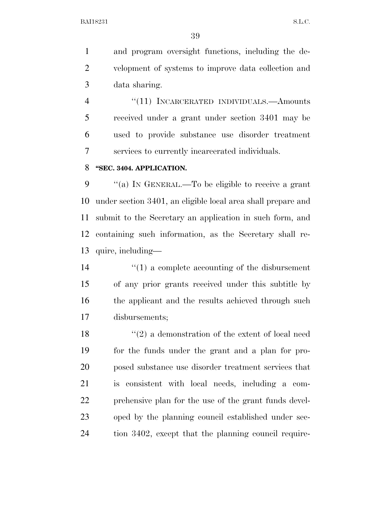and program oversight functions, including the de- velopment of systems to improve data collection and data sharing.

4 "(11) INCARCERATED INDIVIDUALS.—Amounts received under a grant under section 3401 may be used to provide substance use disorder treatment services to currently incarcerated individuals.

#### **''SEC. 3404. APPLICATION.**

 ''(a) IN GENERAL.—To be eligible to receive a grant under section 3401, an eligible local area shall prepare and submit to the Secretary an application in such form, and containing such information, as the Secretary shall re-quire, including—

 ''(1) a complete accounting of the disbursement of any prior grants received under this subtitle by 16 the applicant and the results achieved through such disbursements;

18 ''(2) a demonstration of the extent of local need for the funds under the grant and a plan for pro- posed substance use disorder treatment services that is consistent with local needs, including a com- prehensive plan for the use of the grant funds devel- oped by the planning council established under sec-tion 3402, except that the planning council require-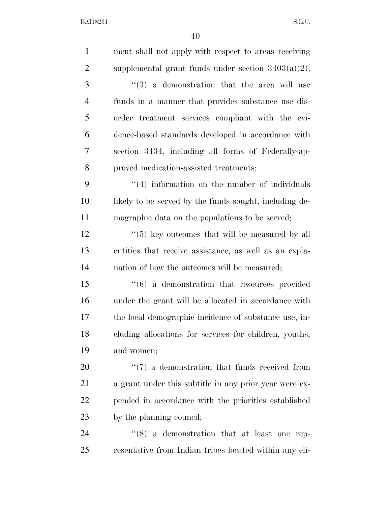| $\mathbf{1}$   | ment shall not apply with respect to areas receiving         |
|----------------|--------------------------------------------------------------|
| $\overline{2}$ | supplemental grant funds under section $3403(a)(2)$ ;        |
| 3              | $(3)$ a demonstration that the area will use                 |
| $\overline{4}$ | funds in a manner that provides substance use dis-           |
| 5              | order treatment services compliant with the evi-             |
| 6              | dence-based standards developed in accordance with           |
| 7              | section 3434, including all forms of Federally-ap-           |
| 8              | proved medication-assisted treatments;                       |
| 9              | $\cdot$ (4) information on the number of individuals         |
| 10             | likely to be served by the funds sought, including de-       |
| 11             | mographic data on the populations to be served;              |
| 12             | $\lq(5)$ key outcomes that will be measured by all           |
| 13             | entities that receive assistance, as well as an expla-       |
| 14             | nation of how the outcomes will be measured;                 |
| 15             | $\cdot\cdot\cdot(6)$ a demonstration that resources provided |
| 16             | under the grant will be allocated in accordance with         |
| 17             | the local demographic incidence of substance use, in-        |
| 18             | cluding allocations for services for children, youths,       |
| 19             | and women;                                                   |
| 20             | $\lq(7)$ a demonstration that funds received from            |
| 21             | a grant under this subtitle in any prior year were ex-       |
| 22             | pended in accordance with the priorities established         |
| 23             | by the planning council;                                     |
| 24             | $\cdot\cdot$ (8) a demonstration that at least one rep-      |
| 25             | resentative from Indian tribes located within any eli-       |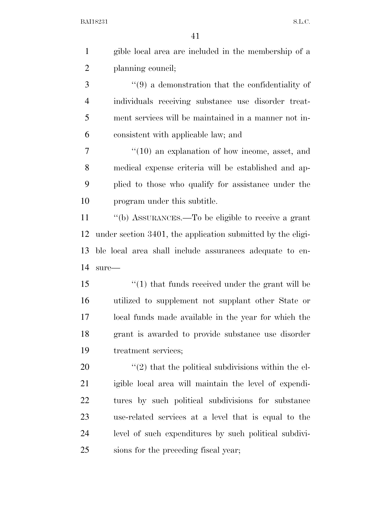| $\mathbf{1}$   | gible local area are included in the membership of a                |
|----------------|---------------------------------------------------------------------|
| $\overline{2}$ | planning council;                                                   |
| 3              | $\cdot$ (9) a demonstration that the confidentiality of             |
| $\overline{4}$ | individuals receiving substance use disorder treat-                 |
| 5              | ment services will be maintained in a manner not in-                |
| 6              | consistent with applicable law; and                                 |
| 7              | $\cdot\cdot(10)$ an explanation of how income, asset, and           |
| 8              | medical expense criteria will be established and ap-                |
| 9              | plied to those who qualify for assistance under the                 |
| 10             | program under this subtitle.                                        |
| 11             | "(b) ASSURANCES.—To be eligible to receive a grant                  |
| 12             | under section 3401, the application submitted by the eligi-         |
| 13             | ble local area shall include assurances adequate to en-             |
| 14             | $sure-$                                                             |
| 15             | $\cdot$ (1) that funds received under the grant will be             |
| 16             | utilized to supplement not supplant other State or                  |
| 17             | local funds made available in the year for which the                |
| 18             | grant is awarded to provide substance use disorder                  |
| 19             | treatment services;                                                 |
| 20             | $\cdot\cdot\cdot(2)$ that the political subdivisions within the el- |
| 21             | igible local area will maintain the level of expendi-               |
| 22             | tures by such political subdivisions for substance                  |
| 23             | use-related services at a level that is equal to the                |
| 24             | level of such expenditures by such political subdivi-               |
| 25             | sions for the preceding fiscal year;                                |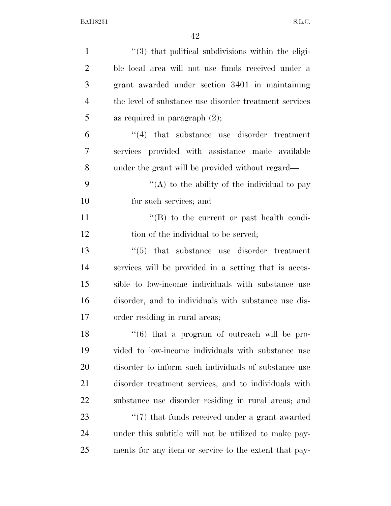| $\mathbf{1}$   | "(3) that political subdivisions within the eligi-             |
|----------------|----------------------------------------------------------------|
| $\overline{2}$ | ble local area will not use funds received under a             |
| 3              | grant awarded under section 3401 in maintaining                |
| $\overline{4}$ | the level of substance use disorder treatment services         |
| 5              | as required in paragraph $(2)$ ;                               |
| 6              | $\cdot$ (4) that substance use disorder treatment              |
| 7              | services provided with assistance made available               |
| 8              | under the grant will be provided without regard—               |
| 9              | "(A) to the ability of the individual to pay                   |
| 10             | for such services; and                                         |
| 11             | $\lq\lq (B)$ to the current or past health condi-              |
| 12             | tion of the individual to be served;                           |
| 13             | that substance use disorder treatment<br>(5)                   |
| 14             | services will be provided in a setting that is acces-          |
| 15             | sible to low-income individuals with substance use             |
| 16             | disorder, and to individuals with substance use dis-           |
| 17             | order residing in rural areas;                                 |
| 18             | $(6)$ that a program of outreach will be pro-                  |
| 19             | vided to low-income individuals with substance use             |
| 20             | disorder to inform such individuals of substance use           |
| 21             | disorder treatment services, and to individuals with           |
| 22             | substance use disorder residing in rural areas; and            |
| 23             | $\cdot\cdot\cdot(7)$ that funds received under a grant awarded |
| 24             | under this subtitle will not be utilized to make pay-          |
| 25             | ments for any item or service to the extent that pay-          |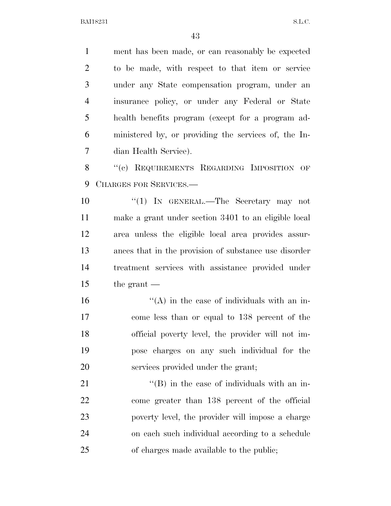ment has been made, or can reasonably be expected to be made, with respect to that item or service under any State compensation program, under an insurance policy, or under any Federal or State health benefits program (except for a program ad- ministered by, or providing the services of, the In-dian Health Service).

8 "(c) REQUIREMENTS REGARDING IMPOSITION OF CHARGES FOR SERVICES.—

 ''(1) IN GENERAL.—The Secretary may not make a grant under section 3401 to an eligible local area unless the eligible local area provides assur- ances that in the provision of substance use disorder treatment services with assistance provided under the grant —

 ''(A) in the case of individuals with an in- come less than or equal to 138 percent of the official poverty level, the provider will not im- pose charges on any such individual for the services provided under the grant;

 $\langle$  (B) in the case of individuals with an in- come greater than 138 percent of the official poverty level, the provider will impose a charge on each such individual according to a schedule of charges made available to the public;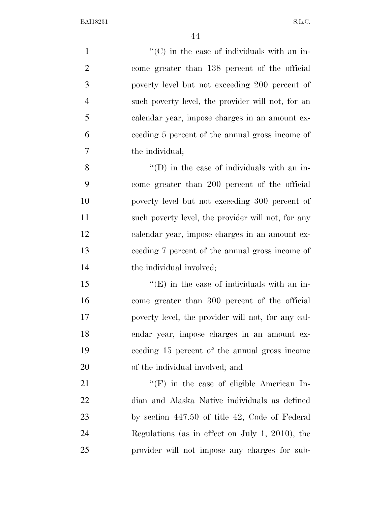$'$ (C) in the case of individuals with an in- come greater than 138 percent of the official poverty level but not exceeding 200 percent of such poverty level, the provider will not, for an calendar year, impose charges in an amount ex- ceeding 5 percent of the annual gross income of the individual; ''(D) in the case of individuals with an in- come greater than 200 percent of the official poverty level but not exceeding 300 percent of 11 such poverty level, the provider will not, for any calendar year, impose charges in an amount ex- ceeding 7 percent of the annual gross income of 14 the individual involved;  $\mathcal{L}^{\left(1\right)}$   $\mathcal{L}^{\left(1\right)}$  in the case of individuals with an in- come greater than 300 percent of the official poverty level, the provider will not, for any cal- endar year, impose charges in an amount ex- ceeding 15 percent of the annual gross income of the individual involved; and  $"({\rm F})$  in the case of eligible American In-

 dian and Alaska Native individuals as defined by section 447.50 of title 42, Code of Federal Regulations (as in effect on July 1, 2010), the provider will not impose any charges for sub-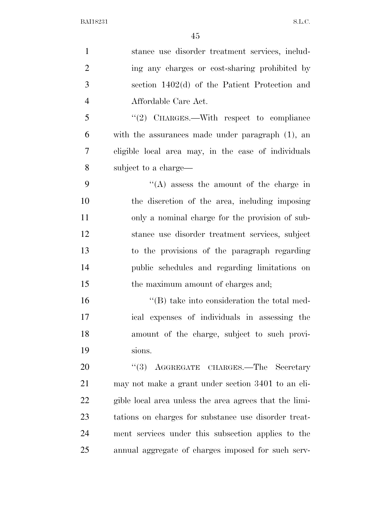| $\mathbf{1}$   | stance use disorder treatment services, includ-        |
|----------------|--------------------------------------------------------|
| $\overline{2}$ | ing any charges or cost-sharing prohibited by          |
| 3              | section $1402(d)$ of the Patient Protection and        |
| $\overline{4}$ | Affordable Care Act.                                   |
| 5              | "(2) CHARGES.—With respect to compliance               |
| 6              | with the assurances made under paragraph (1), an       |
| 7              | eligible local area may, in the case of individuals    |
| 8              | subject to a charge—                                   |
| 9              | "(A) assess the amount of the charge in                |
| 10             | the discretion of the area, including imposing         |
| 11             | only a nominal charge for the provision of sub-        |
| 12             | stance use disorder treatment services, subject        |
| 13             | to the provisions of the paragraph regarding           |
| 14             | public schedules and regarding limitations on          |
| 15             | the maximum amount of charges and;                     |
| 16             | $\lq\lq$ take into consideration the total med-        |
| 17             | ical expenses of individuals in assessing the          |
| 18             | amount of the charge, subject to such provi-           |
| 19             | sions.                                                 |
| 20             | AGGREGATE CHARGES.-The Secretary<br>(3)                |
| 21             | may not make a grant under section 3401 to an eli-     |
| 22             | gible local area unless the area agrees that the limi- |
| 23             | tations on charges for substance use disorder treat-   |
| 24             | ment services under this subsection applies to the     |
| 25             | annual aggregate of charges imposed for such serv-     |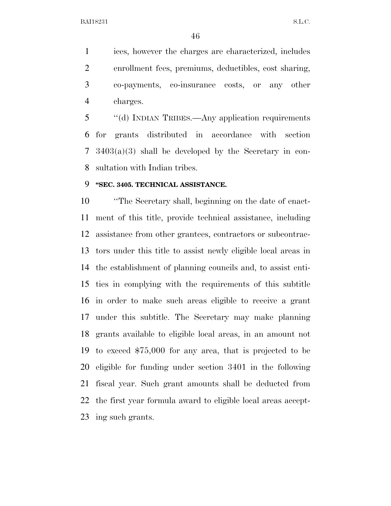ices, however the charges are characterized, includes enrollment fees, premiums, deductibles, cost sharing, co-payments, co-insurance costs, or any other charges.

 ''(d) INDIAN TRIBES.—Any application requirements for grants distributed in accordance with section 3403(a)(3) shall be developed by the Secretary in con-sultation with Indian tribes.

# **''SEC. 3405. TECHNICAL ASSISTANCE.**

 ''The Secretary shall, beginning on the date of enact- ment of this title, provide technical assistance, including assistance from other grantees, contractors or subcontrac- tors under this title to assist newly eligible local areas in the establishment of planning councils and, to assist enti- ties in complying with the requirements of this subtitle in order to make such areas eligible to receive a grant under this subtitle. The Secretary may make planning grants available to eligible local areas, in an amount not to exceed \$75,000 for any area, that is projected to be eligible for funding under section 3401 in the following fiscal year. Such grant amounts shall be deducted from the first year formula award to eligible local areas accept-ing such grants.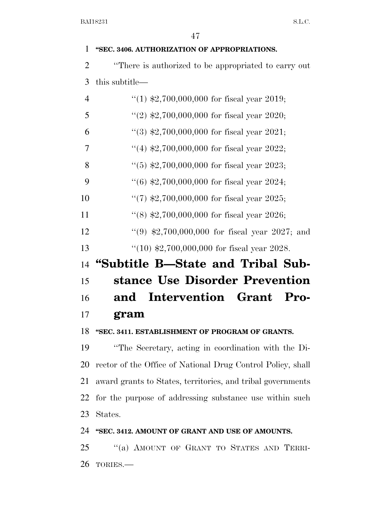### **''SEC. 3406. AUTHORIZATION OF APPROPRIATIONS.**

 ''There is authorized to be appropriated to carry out this subtitle—

| $\overline{4}$ | $(1)$ \$2,700,000,000 for fiscal year 2019;        |
|----------------|----------------------------------------------------|
| 5              | "(2) $\text{$}2,700,000,000$ for fiscal year 2020; |
| 6              | "(3) $$2,700,000,000$ for fiscal year 2021;        |
| 7              | "(4) $$2,700,000,000$ for fiscal year 2022;        |
| 8              | $(5)$ \$2,700,000,000 for fiscal year 2023;        |
| 9              | $(6)$ \$2,700,000,000 for fiscal year 2024;        |
| 10             | $\lq(7)$ \$2,700,000,000 for fiscal year 2025;     |
| 11             | $(8)$ \$2,700,000,000 for fiscal year 2026;        |
| 12             | "(9) $$2,700,000,000$ for fiscal year 2027; and    |
| 13             | $(10)$ \$2,700,000,000 for fiscal year 2028.       |
| 14             | "Subtitle B—State and Tribal Sub-                  |
| 15             | stance Use Disorder Prevention                     |
| 16             | Intervention Grant Pro-<br>and                     |
| 17             | gram                                               |

## **''SEC. 3411. ESTABLISHMENT OF PROGRAM OF GRANTS.**

 ''The Secretary, acting in coordination with the Di- rector of the Office of National Drug Control Policy, shall award grants to States, territories, and tribal governments for the purpose of addressing substance use within such States.

## **''SEC. 3412. AMOUNT OF GRANT AND USE OF AMOUNTS.**

 ''(a) AMOUNT OF GRANT TO STATES AND TERRI-TORIES.—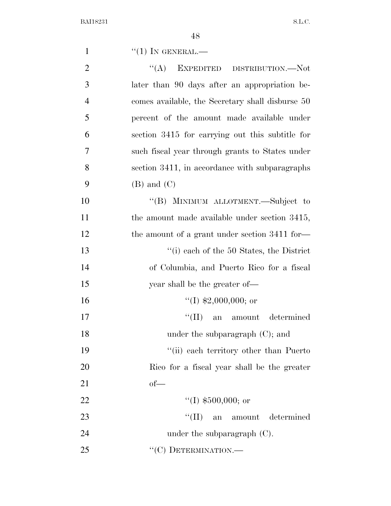| 1              | $``(1)$ IN GENERAL.—                             |
|----------------|--------------------------------------------------|
| $\overline{2}$ | "(A) EXPEDITED DISTRIBUTION.—Not                 |
| 3              | later than 90 days after an appropriation be-    |
| $\overline{4}$ | comes available, the Secretary shall disburse 50 |
| 5              | percent of the amount made available under       |
| 6              | section 3415 for carrying out this subtitle for  |
| $\overline{7}$ | such fiscal year through grants to States under  |
| 8              | section 3411, in accordance with subparagraphs   |
| 9              | $(B)$ and $(C)$                                  |
| 10             | "(B) MINIMUM ALLOTMENT.—Subject to               |
| 11             | the amount made available under section 3415,    |
| 12             | the amount of a grant under section 3411 for-    |
| 13             | $\lq\lq$ (i) each of the 50 States, the District |
| 14             | of Columbia, and Puerto Rico for a fiscal        |
| 15             | year shall be the greater of—                    |
| 16             | $\lq(1)$ \$2,000,000; or                         |
| 17             | ``(II)<br>an amount determined                   |
| 18             | under the subparagraph $(C)$ ; and               |
| 19             | "(ii) each territory other than Puerto"          |
| 20             | Rico for a fiscal year shall be the greater      |
| 21             | $of$ —                                           |
| 22             | "(I) $$500,000$ ; or                             |
| 23             | $``(\Pi)$<br>amount determined<br>an             |
| 24             | under the subparagraph $(C)$ .                   |
| 25             | "(C) DETERMINATION.—                             |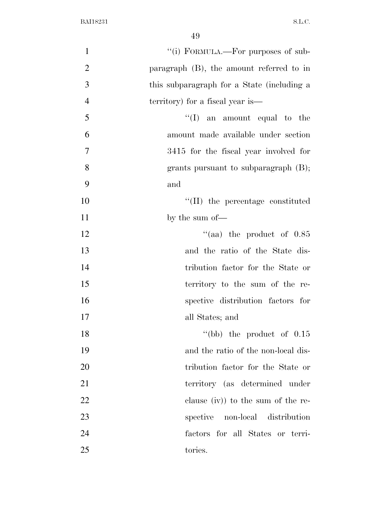| $\mathbf{1}$   | "(i) FORMULA.—For purposes of sub-          |
|----------------|---------------------------------------------|
| $\overline{2}$ | paragraph $(B)$ , the amount referred to in |
| 3              | this subparagraph for a State (including a  |
| $\overline{4}$ | territory) for a fiscal year is—            |
| 5              | $\lq\lq$ (I) an amount equal to the         |
| 6              | amount made available under section         |
| $\overline{7}$ | 3415 for the fiscal year involved for       |
| 8              | grants pursuant to subparagraph $(B)$ ;     |
| 9              | and                                         |
| 10             | "(II) the percentage constituted            |
| 11             | by the sum of-                              |
| 12             | "(aa) the product of $0.85$                 |
| 13             | and the ratio of the State dis-             |
| 14             | tribution factor for the State or           |
| 15             | territory to the sum of the re-             |
| 16             | spective distribution factors for           |
| 17             | all States; and                             |
| 18             | "(bb) the product of $0.15$                 |
| 19             | and the ratio of the non-local dis-         |
| 20             | tribution factor for the State or           |
| 21             | territory (as determined under              |
| 22             | clause $(iv)$ to the sum of the re-         |
| 23             | spective<br>non-local distribution          |
| 24             | factors for all States or terri-            |
| 25             | tories.                                     |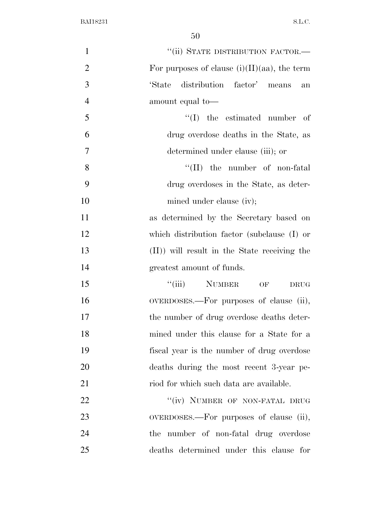| $\mathbf{1}$   | "(ii) STATE DISTRIBUTION FACTOR.-               |
|----------------|-------------------------------------------------|
| $\overline{2}$ | For purposes of clause $(i)(II)(aa)$ , the term |
| 3              | distribution factor' means<br>'State<br>an      |
| $\overline{4}$ | amount equal to-                                |
| 5              | $\lq\lq$ (I) the estimated number of            |
| 6              | drug overdose deaths in the State, as           |
| 7              | determined under clause (iii); or               |
| 8              | $\lq\lq$ (II) the number of non-fatal           |
| 9              | drug overdoses in the State, as deter-          |
| 10             | mined under clause (iv);                        |
| 11             | as determined by the Secretary based on         |
| 12             | which distribution factor (subclause (I) or     |
| 13             | (II)) will result in the State receiving the    |
| 14             | greatest amount of funds.                       |
| 15             | "(iii) NUMBER<br>OF<br>DRUG                     |
| 16             | OVERDOSES.—For purposes of clause (ii),         |
| 17             | the number of drug overdose deaths deter-       |
| 18             | mined under this clause for a State for a       |
| 19             | fiscal year is the number of drug overdose      |
| 20             | deaths during the most recent 3-year pe-        |
| 21             | riod for which such data are available.         |
| 22             | "(iv) NUMBER OF NON-FATAL DRUG                  |
| 23             | OVERDOSES.—For purposes of clause (ii),         |
| 24             | the number of non-fatal drug overdose           |
| 25             | deaths determined under this clause for         |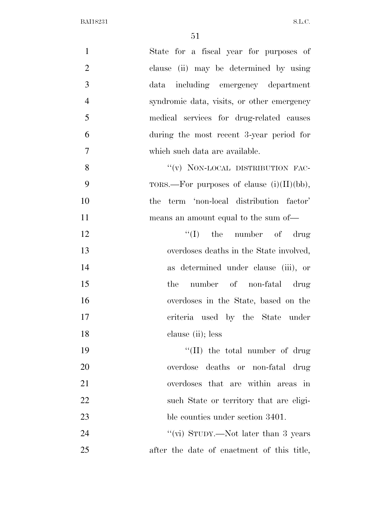| $\mathbf{1}$   | State for a fiscal year for purposes of      |
|----------------|----------------------------------------------|
| $\overline{2}$ | clause (ii) may be determined by using       |
| 3              | data including emergency department          |
| $\overline{4}$ | syndromic data, visits, or other emergency   |
| 5              | medical services for drug-related causes     |
| 6              | during the most recent 3-year period for     |
| $\overline{7}$ | which such data are available.               |
| 8              | "(v) NON-LOCAL DISTRIBUTION FAC-             |
| 9              | TORS.—For purposes of clause $(i)(II)(bb)$ , |
| 10             | the term 'non-local distribution factor'     |
| 11             | means an amount equal to the sum of—         |
| 12             | $\lq\lq$ (I) the number of drug              |
| 13             | overdoses deaths in the State involved,      |
| 14             | as determined under clause (iii), or         |
| 15             | number of non-fatal drug<br>the              |
| 16             | overdoses in the State, based on the         |
| 17             | criteria used by the State under             |
| 18             | clause (ii); less                            |
| 19             | $``(II)$ the total number of drug            |
| 20             | overdose deaths or non-fatal drug            |
| 21             | overdoses that are within areas in           |
| 22             | such State or territory that are eligi-      |
| 23             | ble counties under section 3401.             |
| 24             | "(vi) STUDY.—Not later than 3 years          |
| 25             | after the date of enactment of this title,   |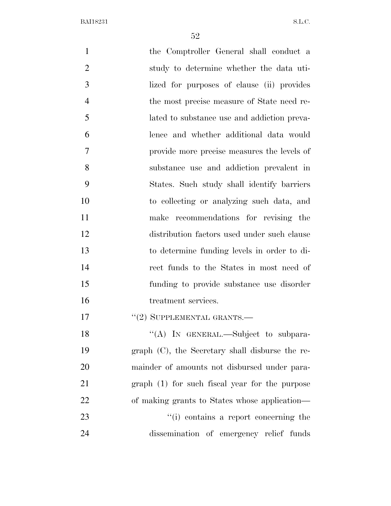| $\mathbf{1}$   | the Comptroller General shall conduct a            |
|----------------|----------------------------------------------------|
| $\overline{2}$ | study to determine whether the data uti-           |
| 3              | lized for purposes of clause (ii) provides         |
| $\overline{4}$ | the most precise measure of State need re-         |
| 5              | lated to substance use and addiction preva-        |
| 6              | lence and whether additional data would            |
| 7              | provide more precise measures the levels of        |
| 8              | substance use and addiction prevalent in           |
| 9              | States. Such study shall identify barriers         |
| 10             | to collecting or analyzing such data, and          |
| 11             | make recommendations for revising the              |
| 12             | distribution factors used under such clause        |
| 13             | to determine funding levels in order to di-        |
| 14             | rect funds to the States in most need of           |
| 15             | funding to provide substance use disorder          |
| 16             | treatment services.                                |
| 17             | $``(2)$ SUPPLEMENTAL GRANTS.—                      |
| 18             | "(A) IN GENERAL.—Subject to subpara-               |
| 19             | graph $(C)$ , the Secretary shall disburse the re- |
| 20             | mainder of amounts not disbursed under para-       |
| 21             | $graph(1)$ for such fiscal year for the purpose    |
| 22             | of making grants to States whose application—      |
| 23             | "(i) contains a report concerning the              |
| 24             | dissemination of emergency relief funds            |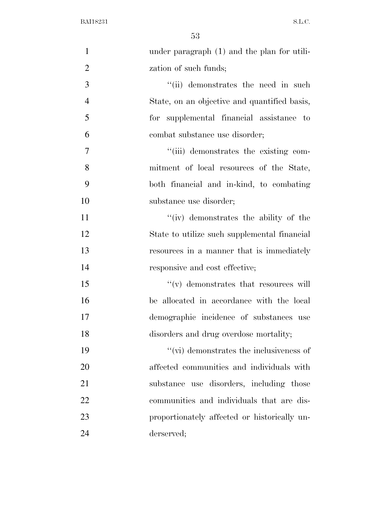| $\mathbf{1}$   | under paragraph (1) and the plan for utili-     |
|----------------|-------------------------------------------------|
| $\overline{2}$ | zation of such funds;                           |
| 3              | "(ii) demonstrates the need in such             |
| $\overline{4}$ | State, on an objective and quantified basis,    |
| 5              | for supplemental financial assistance to        |
| 6              | combat substance use disorder;                  |
| $\tau$         | "(iii) demonstrates the existing com-           |
| 8              | mitment of local resources of the State,        |
| 9              | both financial and in-kind, to combating        |
| 10             | substance use disorder;                         |
| 11             | "(iv) demonstrates the ability of the           |
| 12             | State to utilize such supplemental financial    |
| 13             | resources in a manner that is immediately       |
| 14             | responsive and cost effective;                  |
| 15             | $``(v)$ demonstrates that resources will        |
| 16             | be allocated in accordance with the local       |
| 17             | demographic incidence of substances use         |
| 18             | disorders and drug overdose mortality;          |
| 19             | $\lq\lq$ (vi) demonstrates the inclusiveness of |
| 20             | affected communities and individuals with       |
| 21             | substance use disorders, including those        |
| 22             | communities and individuals that are dis-       |
| 23             | proportionately affected or historically un-    |
| 24             | derserved;                                      |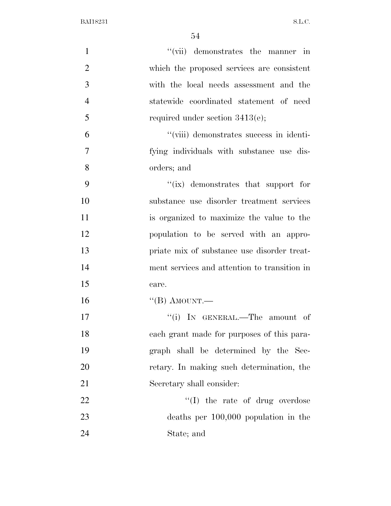| $\mathbf{1}$   | "(vii) demonstrates the manner in            |
|----------------|----------------------------------------------|
| $\overline{2}$ | which the proposed services are consistent   |
| 3              | with the local needs assessment and the      |
| $\overline{4}$ | statewide coordinated statement of need      |
| 5              | required under section $3413(e)$ ;           |
| 6              | "(viii) demonstrates success in identi-      |
| $\tau$         | fying individuals with substance use dis-    |
| 8              | orders; and                                  |
| 9              | "(ix) demonstrates that support for          |
| 10             | substance use disorder treatment services    |
| 11             | is organized to maximize the value to the    |
| 12             | population to be served with an appro-       |
| 13             | priate mix of substance use disorder treat-  |
| 14             | ment services and attention to transition in |
| 15             | care.                                        |
| 16             | "(B) AMOUNT.—                                |
| 17             | "(i) IN GENERAL.—The amount of               |
| 18             | each grant made for purposes of this para-   |
| 19             | graph shall be determined by the Sec-        |
| 20             | retary. In making such determination, the    |
| 21             | Secretary shall consider:                    |
| 22             | "(I) the rate of drug overdose               |
| 23             | deaths per $100,000$ population in the       |
| 24             | State; and                                   |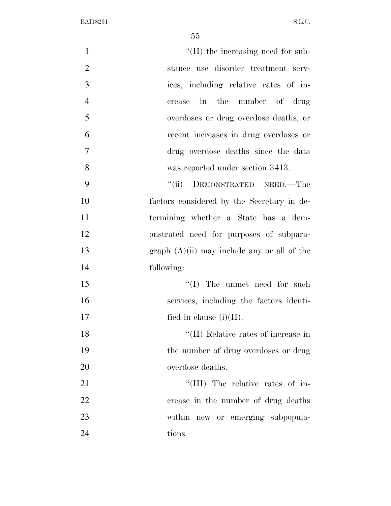| $\mathbf{1}$   | $\lq\lq$ (II) the increasing need for sub-        |
|----------------|---------------------------------------------------|
| $\overline{2}$ | stance use disorder treatment serv-               |
| 3              | ices, including relative rates of in-             |
| $\overline{4}$ | in the number of drug<br>crease                   |
| 5              | overdoses or drug overdose deaths, or             |
| 6              | recent increases in drug overdoses or             |
| $\overline{7}$ | drug overdose deaths since the data               |
| 8              | was reported under section 3413.                  |
| 9              | DEMONSTRATED NEED.—The<br>``(ii)                  |
| 10             | factors considered by the Secretary in de-        |
| 11             | termining whether a State has a dem-              |
| 12             | onstrated need for purposes of subpara-           |
| 13             | graph $(A)(ii)$ may include any or all of the     |
| 14             | following:                                        |
| 15             | $\lq\lq$ (I) The unmet need for such              |
| 16             | services, including the factors identi-           |
| 17             | fied in clause $(i)(II)$ .                        |
| 18             | $\lq\lq(\text{II})$ Relative rates of increase in |
| 19             | the number of drug overdoses or drug              |
| 20             | overdose deaths.                                  |
| 21             | "(III) The relative rates of in-                  |
| 22             | crease in the number of drug deaths               |
| 23             | within new or emerging subpopula-                 |
| 24             | tions.                                            |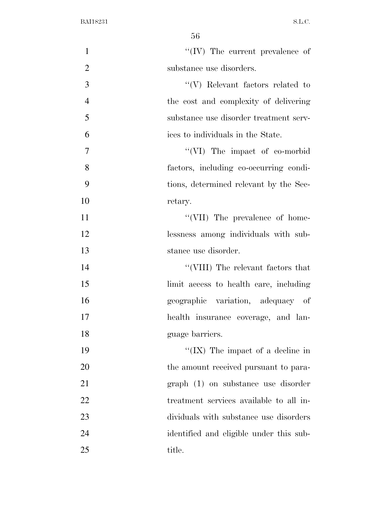| $\mathbf{1}$   | $``(IV)$ The current prevalence of      |
|----------------|-----------------------------------------|
| $\overline{2}$ | substance use disorders.                |
| 3              | $\lq\lq(V)$ Relevant factors related to |
| $\overline{4}$ | the cost and complexity of delivering   |
| 5              | substance use disorder treatment serv-  |
| 6              | ices to individuals in the State.       |
| 7              | $\lq\lq$ (VI) The impact of co-morbid   |
| 8              | factors, including co-occurring condi-  |
| 9              | tions, determined relevant by the Sec-  |
| 10             | retary.                                 |
| 11             | "(VII) The prevalence of home-          |
| 12             | lessness among individuals with sub-    |
| 13             | stance use disorder.                    |
| 14             | "(VIII) The relevant factors that       |
| 15             | limit access to health care, including  |
| 16             | geographic variation, adequacy of       |
| 17             | health insurance coverage, and lan-     |
| 18             | guage barriers.                         |
| 19             | "(IX) The impact of a decline in        |
| 20             | the amount received pursuant to para-   |
| 21             | graph (1) on substance use disorder     |
| 22             | treatment services available to all in- |
| 23             | dividuals with substance use disorders  |
| 24             | identified and eligible under this sub- |
| 25             | title.                                  |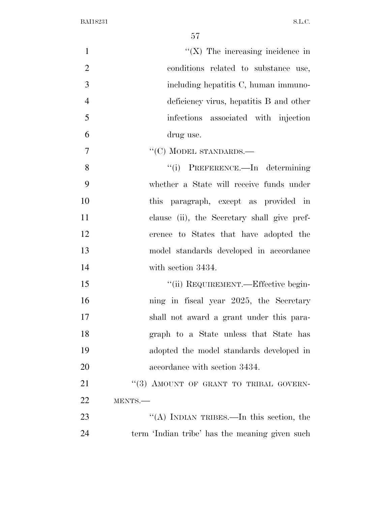| $\mathbf{1}$   | $\lq (X)$ The increasing incidence in          |
|----------------|------------------------------------------------|
| $\overline{2}$ | conditions related to substance use,           |
| 3              | including hepatitis C, human immuno-           |
| $\overline{4}$ | deficiency virus, hepatitis B and other        |
| 5              | infections associated with injection           |
| 6              | drug use.                                      |
| $\overline{7}$ | $``(C)$ MODEL STANDARDS.—                      |
| 8              | "(i) PREFERENCE.—In determining                |
| 9              | whether a State will receive funds under       |
| 10             | paragraph, except as provided in<br>this       |
| 11             | clause (ii), the Secretary shall give pref-    |
| 12             | erence to States that have adopted the         |
| 13             | model standards developed in accordance        |
| 14             | with section 3434.                             |
| 15             | "(ii) REQUIREMENT.—Effective begin-            |
| 16             | ning in fiscal year 2025, the Secretary        |
| 17             | shall not award a grant under this para-       |
| 18             | graph to a State unless that State has         |
| 19             | adopted the model standards developed in       |
| 20             | accordance with section 3434.                  |
| 21             | "(3) AMOUNT OF GRANT TO TRIBAL GOVERN-         |
| 22             | MENTS.                                         |
| 23             | "(A) INDIAN TRIBES.—In this section, the       |
| 24             | term 'Indian tribe' has the meaning given such |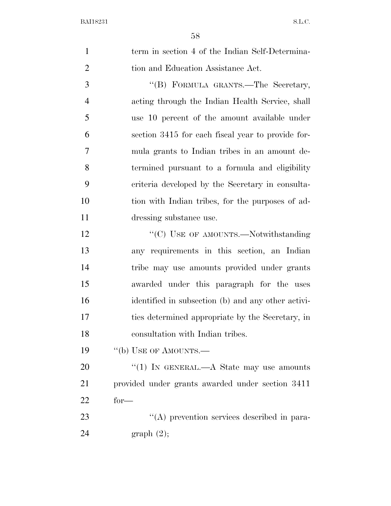| $\mathbf{1}$   | term in section 4 of the Indian Self-Determina-    |
|----------------|----------------------------------------------------|
| $\mathbf{2}$   | tion and Education Assistance Act.                 |
| 3              | "(B) FORMULA GRANTS.—The Secretary,                |
| $\overline{4}$ | acting through the Indian Health Service, shall    |
| 5              | use 10 percent of the amount available under       |
| 6              | section 3415 for each fiscal year to provide for-  |
| $\tau$         | mula grants to Indian tribes in an amount de-      |
| 8              | termined pursuant to a formula and eligibility     |
| 9              | criteria developed by the Secretary in consulta-   |
| 10             | tion with Indian tribes, for the purposes of ad-   |
| 11             | dressing substance use.                            |
| 12             | "(C) USE OF AMOUNTS.—Notwithstanding               |
| 13             | any requirements in this section, an Indian        |
| 14             | tribe may use amounts provided under grants        |
| 15             | awarded under this paragraph for the uses          |
| 16             | identified in subsection (b) and any other activi- |
| 17             | ties determined appropriate by the Secretary, in   |
| 18             | consultation with Indian tribes.                   |
| 19             | "(b) USE OF AMOUNTS.—                              |
| 20             | "(1) IN GENERAL.—A State may use amounts           |
| 21             | provided under grants awarded under section 3411   |
| 22             | $for-$                                             |
| 23             | "(A) prevention services described in para-        |
| 24             | graph(2);                                          |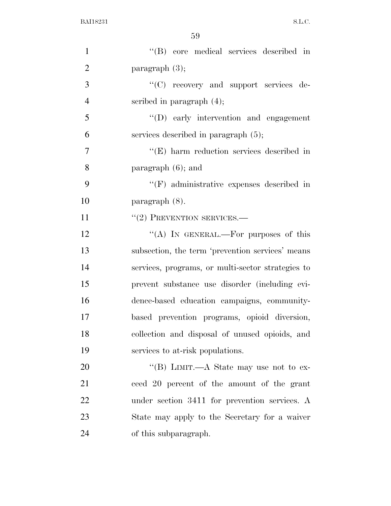| $\mathbf{1}$   | "(B) core medical services described in           |
|----------------|---------------------------------------------------|
| $\overline{2}$ | paragraph $(3)$ ;                                 |
| 3              | "(C) recovery and support services de-            |
| $\overline{4}$ | scribed in paragraph $(4)$ ;                      |
| 5              | $\lq\lq$ (D) early intervention and engagement    |
| 6              | services described in paragraph $(5)$ ;           |
| $\overline{7}$ | $\lq\lq$ (E) harm reduction services described in |
| 8              | paragraph $(6)$ ; and                             |
| 9              | $\lq\lq(F)$ administrative expenses described in  |
| 10             | $\text{param}$ (8).                               |
| 11             | $``(2)$ PREVENTION SERVICES.—                     |
| 12             | "(A) IN GENERAL.—For purposes of this             |
| 13             | subsection, the term 'prevention services' means  |
| 14             | services, programs, or multi-sector strategies to |
| 15             | prevent substance use disorder (including evi-    |
| 16             | dence-based education campaigns, community-       |
| 17             | based prevention programs, opioid diversion,      |
| 18             | collection and disposal of unused opioids, and    |
| 19             | services to at-risk populations.                  |
| 20             | "(B) LIMIT.—A State may use not to ex-            |
| 21             | ceed 20 percent of the amount of the grant        |
| 22             | under section 3411 for prevention services. A     |
| 23             | State may apply to the Secretary for a waiver     |
| 24             | of this subparagraph.                             |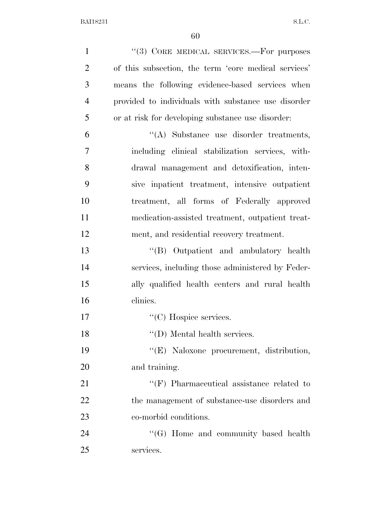| $\mathbf{1}$   | "(3) CORE MEDICAL SERVICES.—For purposes             |
|----------------|------------------------------------------------------|
| $\overline{2}$ | of this subsection, the term 'core medical services' |
| 3              | means the following evidence-based services when     |
| $\overline{4}$ | provided to individuals with substance use disorder  |
| 5              | or at risk for developing substance use disorder:    |
| 6              | $\lq\lq$ . Substance use disorder treatments,        |
| 7              | including clinical stabilization services, with-     |
| 8              | drawal management and detoxification, inten-         |
| 9              | sive inpatient treatment, intensive outpatient       |
| 10             | treatment, all forms of Federally approved           |
| 11             | medication-assisted treatment, outpatient treat-     |
| 12             | ment, and residential recovery treatment.            |
| 13             | "(B) Outpatient and ambulatory health                |
| 14             | services, including those administered by Feder-     |
| 15             | ally qualified health centers and rural health       |
| 16             | clinics.                                             |
| 17             | $\lq\lq$ (C) Hospice services.                       |
| 18             | $\lq\lq$ (D) Mental health services.                 |
| 19             | "(E) Naloxone procurement, distribution,             |
| 20             | and training.                                        |
| 21             | $\lq\lq(F)$ Pharmaceutical assistance related to     |
| 22             | the management of substance-use disorders and        |
| 23             | co-morbid conditions.                                |
| 24             | "(G) Home and community based health                 |
| 25             | services.                                            |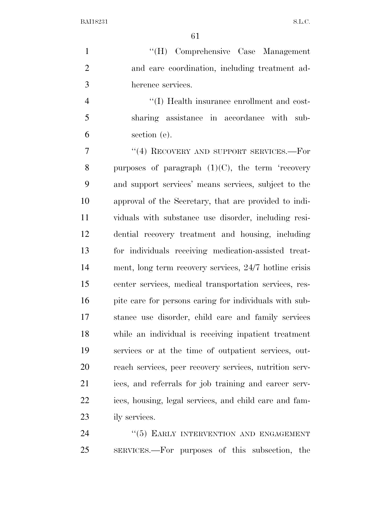''(H) Comprehensive Case Management and care coordination, including treatment ad-herence services.

 ''(I) Health insurance enrollment and cost- sharing assistance in accordance with sub-section (e).

7 "(4) RECOVERY AND SUPPORT SERVICES.—For 8 purposes of paragraph  $(1)(C)$ , the term 'recovery and support services' means services, subject to the approval of the Secretary, that are provided to indi- viduals with substance use disorder, including resi- dential recovery treatment and housing, including for individuals receiving medication-assisted treat- ment, long term recovery services, 24/7 hotline crisis center services, medical transportation services, res-16 pite care for persons caring for individuals with sub- stance use disorder, child care and family services while an individual is receiving inpatient treatment services or at the time of outpatient services, out- reach services, peer recovery services, nutrition serv- ices, and referrals for job training and career serv- ices, housing, legal services, and child care and fam-ily services.

24 "(5) EARLY INTERVENTION AND ENGAGEMENT SERVICES.—For purposes of this subsection, the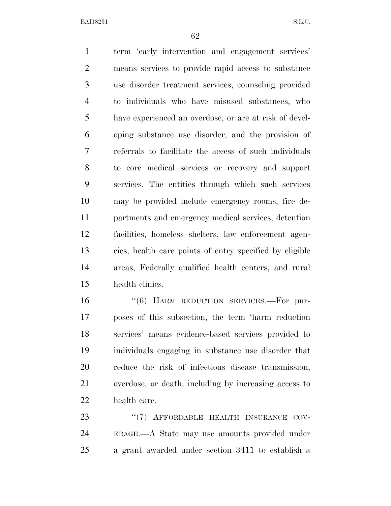term 'early intervention and engagement services' means services to provide rapid access to substance use disorder treatment services, counseling provided to individuals who have misused substances, who have experienced an overdose, or are at risk of devel- oping substance use disorder, and the provision of referrals to facilitate the access of such individuals to core medical services or recovery and support services. The entities through which such services may be provided include emergency rooms, fire de- partments and emergency medical services, detention facilities, homeless shelters, law enforcement agen- cies, health care points of entry specified by eligible areas, Federally qualified health centers, and rural health clinics.

16 "(6) HARM REDUCTION SERVICES.—For pur- poses of this subsection, the term 'harm reduction services' means evidence-based services provided to individuals engaging in substance use disorder that reduce the risk of infectious disease transmission, overdose, or death, including by increasing access to health care.

23 "(7) AFFORDABLE HEALTH INSURANCE COV- ERAGE.—A State may use amounts provided under a grant awarded under section 3411 to establish a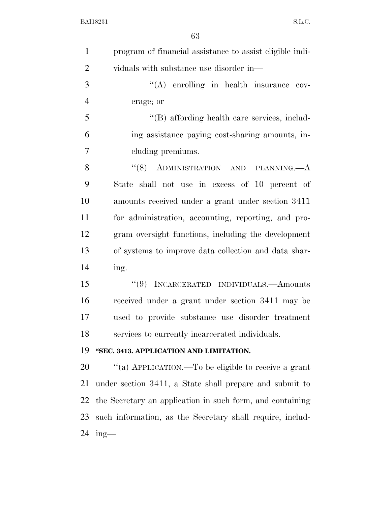| $\mathbf{1}$   | program of financial assistance to assist eligible indi-  |
|----------------|-----------------------------------------------------------|
| $\overline{2}$ | viduals with substance use disorder in—                   |
| 3              | "(A) enrolling in health insurance cov-                   |
| $\overline{4}$ | erage; or                                                 |
| 5              | "(B) affording health care services, includ-              |
| 6              | ing assistance paying cost-sharing amounts, in-           |
| 7              | cluding premiums.                                         |
| 8              | " $(8)$ ADMINISTRATION AND PLANNING.— $A$                 |
| 9              | State shall not use in excess of 10 percent of            |
| 10             | amounts received under a grant under section 3411         |
| 11             | for administration, accounting, reporting, and pro-       |
| 12             | gram oversight functions, including the development       |
| 13             | of systems to improve data collection and data shar-      |
| 14             | ing.                                                      |
| 15             | "(9) INCARCERATED INDIVIDUALS.—Amounts                    |
| 16             | received under a grant under section 3411 may be          |
| 17             | used to provide substance use disorder treatment          |
| 18             | services to currently incarcerated individuals.           |
| 19             | "SEC. 3413. APPLICATION AND LIMITATION.                   |
| 20             | "(a) APPLICATION.—To be eligible to receive a grant       |
| 21             | under section 3411, a State shall prepare and submit to   |
| 22             | the Secretary an application in such form, and containing |
| 23             | such information, as the Secretary shall require, includ- |
| 24             | $ing$ —                                                   |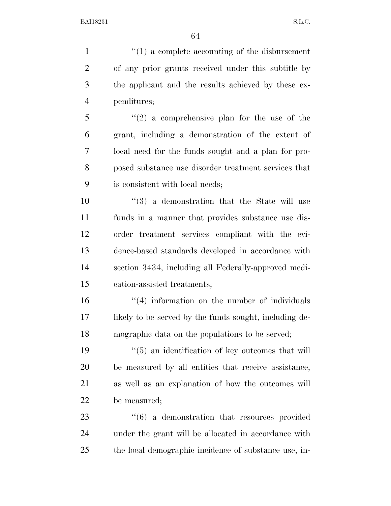$\frac{1}{1}$  <sup>(1)</sup> a complete accounting of the disbursement of any prior grants received under this subtitle by the applicant and the results achieved by these ex- penditures; ''(2) a comprehensive plan for the use of the grant, including a demonstration of the extent of local need for the funds sought and a plan for pro- posed substance use disorder treatment services that is consistent with local needs;  $(3)$  a demonstration that the State will use funds in a manner that provides substance use dis- order treatment services compliant with the evi- dence-based standards developed in accordance with section 3434, including all Federally-approved medi- cation-assisted treatments; 16 ''(4) information on the number of individuals 17 likely to be served by the funds sought, including de- mographic data on the populations to be served; 19 ''(5) an identification of key outcomes that will be measured by all entities that receive assistance, as well as an explanation of how the outcomes will be measured;

23  $\frac{1}{6}$  a demonstration that resources provided under the grant will be allocated in accordance with the local demographic incidence of substance use, in-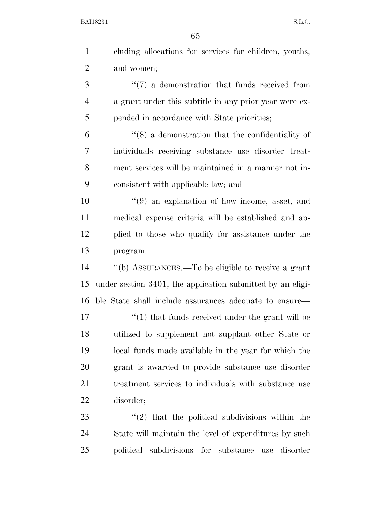| $\mathbf{1}$   | eluding allocations for services for children, youths,     |
|----------------|------------------------------------------------------------|
| $\overline{2}$ | and women;                                                 |
| 3              | $\lq(7)$ a demonstration that funds received from          |
| $\overline{4}$ | a grant under this subtitle in any prior year were ex-     |
| 5              | pended in accordance with State priorities;                |
| 6              | $\cdot$ (8) a demonstration that the confidentiality of    |
| 7              | individuals receiving substance use disorder treat-        |
| 8              | ment services will be maintained in a manner not in-       |
| 9              | consistent with applicable law; and                        |
| 10             | $(9)$ an explanation of how income, asset, and             |
| 11             | medical expense criteria will be established and ap-       |
| 12             | plied to those who qualify for assistance under the        |
| 13             | program.                                                   |
| 14             | "(b) ASSURANCES.—To be eligible to receive a grant         |
| 15             | under section 3401, the application submitted by an eligi- |
| 16             | ble State shall include assurances adequate to ensure—     |
| 17             | $"(1)$ that funds received under the grant will be         |
| 18             | utilized to supplement not supplant other State or         |
| 19             | local funds made available in the year for which the       |
| 20             | grant is awarded to provide substance use disorder         |
| 21             | treatment services to individuals with substance use       |
| 22             | disorder;                                                  |
| 23             | $"(2)$ that the political subdivisions within the          |
| 24             | State will maintain the level of expenditures by such      |
| 25             | political subdivisions for substance use disorder          |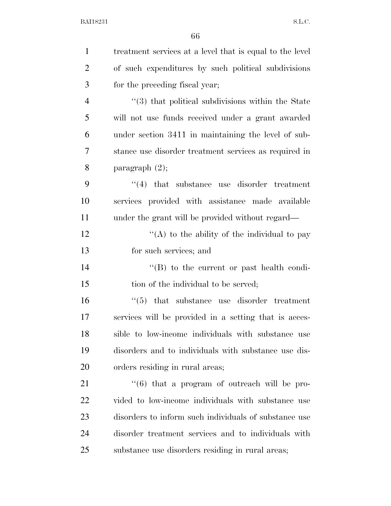| $\mathbf{1}$   | treatment services at a level that is equal to the level      |
|----------------|---------------------------------------------------------------|
| $\overline{2}$ | of such expenditures by such political subdivisions           |
| 3              | for the preceding fiscal year;                                |
| $\overline{4}$ | $\cdot\cdot$ (3) that political subdivisions within the State |
| 5              | will not use funds received under a grant awarded             |
| 6              | under section 3411 in maintaining the level of sub-           |
| 7              | stance use disorder treatment services as required in         |
| 8              | paragraph $(2)$ ;                                             |
| 9              | $\cdot$ (4) that substance use disorder treatment             |
| 10             | services provided with assistance made available              |
| 11             | under the grant will be provided without regard—              |
| 12             | "(A) to the ability of the individual to pay                  |
| 13             | for such services; and                                        |
| 14             | $\cdot$ (B) to the current or past health condi-              |
| 15             | tion of the individual to be served;                          |
| 16             | $\cdot$ (5) that substance use disorder treatment             |
| 17             | services will be provided in a setting that is acces-         |
| 18             | sible to low-income individuals with substance use            |
| 19             | disorders and to individuals with substance use dis-          |
| 20             | orders residing in rural areas;                               |
| 21             | $(6)$ that a program of outreach will be pro-                 |
| 22             | vided to low-income individuals with substance use            |
| 23             | disorders to inform such individuals of substance use         |
| 24             | disorder treatment services and to individuals with           |
| 25             | substance use disorders residing in rural areas;              |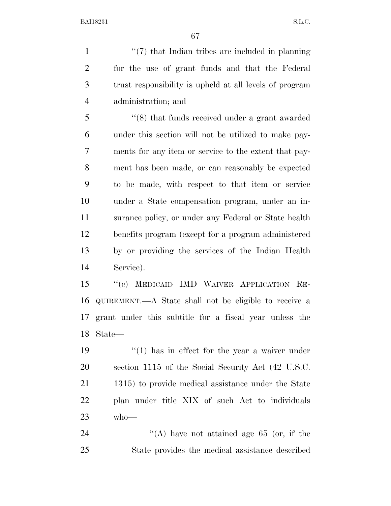$\frac{1}{2}$   $\frac{1}{2}$   $\frac{1}{2}$  that Indian tribes are included in planning for the use of grant funds and that the Federal trust responsibility is upheld at all levels of program administration; and

 ''(8) that funds received under a grant awarded under this section will not be utilized to make pay- ments for any item or service to the extent that pay- ment has been made, or can reasonably be expected to be made, with respect to that item or service under a State compensation program, under an in- surance policy, or under any Federal or State health benefits program (except for a program administered by or providing the services of the Indian Health Service).

 ''(c) MEDICAID IMD WAIVER APPLICATION RE- QUIREMENT.—A State shall not be eligible to receive a grant under this subtitle for a fiscal year unless the State—

 $\frac{1}{2}$  (1) has in effect for the year a waiver under section 1115 of the Social Security Act (42 U.S.C. 1315) to provide medical assistance under the State plan under title XIX of such Act to individuals who—

24  $\langle (A) \rangle$  have not attained age 65 (or, if the State provides the medical assistance described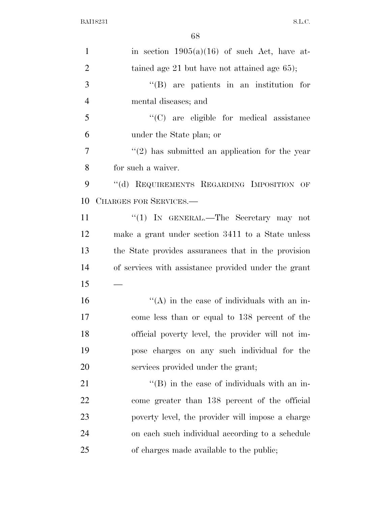| $\mathbf{1}$   | in section $1905(a)(16)$ of such Act, have at-       |
|----------------|------------------------------------------------------|
| $\overline{2}$ | tained age $21$ but have not attained age $65$ );    |
| 3              | $\lq\lq$ are patients in an institution for          |
| $\overline{4}$ | mental diseases; and                                 |
| 5              | $\lq\lq$ (C) are eligible for medical assistance     |
| 6              | under the State plan; or                             |
| $\overline{7}$ | $\lq(2)$ has submitted an application for the year   |
| 8              | for such a waiver.                                   |
| 9              | "(d) REQUIREMENTS REGARDING IMPOSITION OF            |
| 10             | CHARGES FOR SERVICES.-                               |
| 11             | "(1) IN GENERAL.—The Secretary may not               |
| 12             | make a grant under section 3411 to a State unless    |
| 13             | the State provides assurances that in the provision  |
| 14             | of services with assistance provided under the grant |
| 15             |                                                      |
| 16             | $\lq\lq$ in the case of individuals with an in-      |
| 17             | come less than or equal to 138 percent of the        |
| 18             | official poverty level, the provider will not im-    |
| 19             | pose charges on any such individual for the          |
| 20             | services provided under the grant;                   |
| 21             | $\lq\lq$ (B) in the case of individuals with an in-  |
| 22             | come greater than 138 percent of the official        |
| 23             | poverty level, the provider will impose a charge     |
| 24             | on each such individual according to a schedule      |
| 25             | of charges made available to the public;             |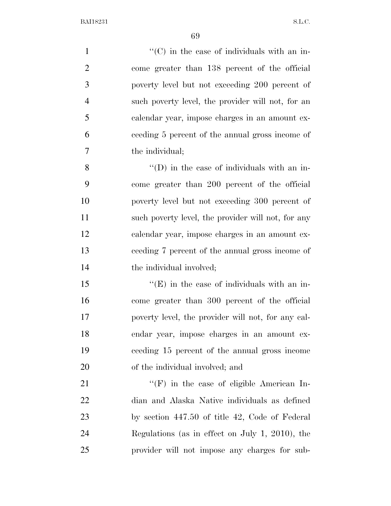$'$ (C) in the case of individuals with an in- come greater than 138 percent of the official poverty level but not exceeding 200 percent of such poverty level, the provider will not, for an calendar year, impose charges in an amount ex- ceeding 5 percent of the annual gross income of the individual; ''(D) in the case of individuals with an in- come greater than 200 percent of the official poverty level but not exceeding 300 percent of 11 such poverty level, the provider will not, for any calendar year, impose charges in an amount ex- ceeding 7 percent of the annual gross income of 14 the individual involved;  $\mathcal{L}^{\left(1\right)}$   $\mathcal{L}^{\left(1\right)}$  in the case of individuals with an in- come greater than 300 percent of the official poverty level, the provider will not, for any cal- endar year, impose charges in an amount ex- ceeding 15 percent of the annual gross income of the individual involved; and  $"({\rm F})$  in the case of eligible American In-

 dian and Alaska Native individuals as defined by section 447.50 of title 42, Code of Federal Regulations (as in effect on July 1, 2010), the provider will not impose any charges for sub-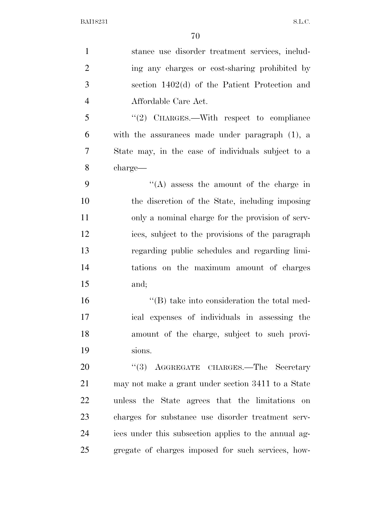| $\mathbf{1}$   | stance use disorder treatment services, includ-      |
|----------------|------------------------------------------------------|
| $\overline{2}$ | ing any charges or cost-sharing prohibited by        |
| 3              | section $1402(d)$ of the Patient Protection and      |
| $\overline{4}$ | Affordable Care Act.                                 |
| 5              | "(2) CHARGES.—With respect to compliance             |
| 6              | with the assurances made under paragraph $(1)$ , a   |
| 7              | State may, in the case of individuals subject to a   |
| 8              | charge—                                              |
| 9              | "(A) assess the amount of the charge in              |
| 10             | the discretion of the State, including imposing      |
| 11             | only a nominal charge for the provision of serv-     |
| 12             | ices, subject to the provisions of the paragraph     |
| 13             | regarding public schedules and regarding limi-       |
| 14             | tations on the maximum amount of charges             |
| 15             | and;                                                 |
| 16             | $\lq\lq$ take into consideration the total med-      |
| 17             | ical expenses of individuals in assessing the        |
| 18             | amount of the charge, subject to such provi-         |
| 19             | sions.                                               |
| 20             | "(3) AGGREGATE CHARGES.—The Secretary                |
| 21             | may not make a grant under section 3411 to a State   |
| 22             | unless the State agrees that the limitations on      |
| 23             | charges for substance use disorder treatment serv-   |
| 24             | ices under this subsection applies to the annual ag- |
| 25             | gregate of charges imposed for such services, how-   |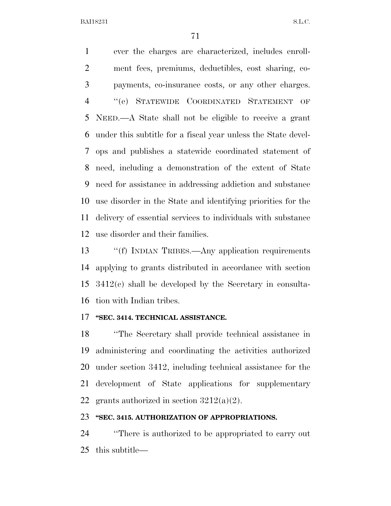ever the charges are characterized, includes enroll- ment fees, premiums, deductibles, cost sharing, co- payments, co-insurance costs, or any other charges. ''(e) STATEWIDE COORDINATED STATEMENT OF NEED.—A State shall not be eligible to receive a grant under this subtitle for a fiscal year unless the State devel- ops and publishes a statewide coordinated statement of need, including a demonstration of the extent of State need for assistance in addressing addiction and substance use disorder in the State and identifying priorities for the delivery of essential services to individuals with substance use disorder and their families.

 ''(f) INDIAN TRIBES.—Any application requirements applying to grants distributed in accordance with section 3412(c) shall be developed by the Secretary in consulta-tion with Indian tribes.

### **''SEC. 3414. TECHNICAL ASSISTANCE.**

 ''The Secretary shall provide technical assistance in administering and coordinating the activities authorized under section 3412, including technical assistance for the development of State applications for supplementary 22 grants authorized in section  $3212(a)(2)$ .

#### **''SEC. 3415. AUTHORIZATION OF APPROPRIATIONS.**

 ''There is authorized to be appropriated to carry out this subtitle—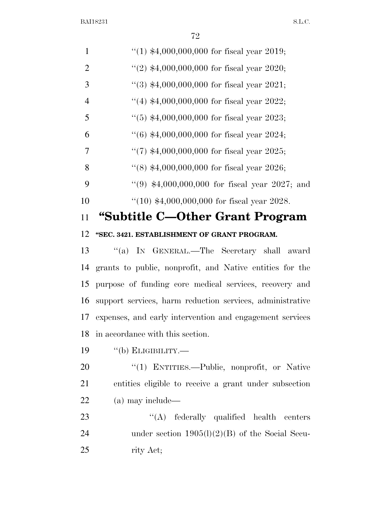| $\mathbf{1}$   | "(1) $*4,000,000,000$ for fiscal year 2019;               |
|----------------|-----------------------------------------------------------|
| $\overline{2}$ | "(2) $$4,000,000,000$ for fiscal year 2020;               |
| 3              | $(3)$ \$4,000,000,000 for fiscal year 2021;               |
| $\overline{4}$ | "(4) $$4,000,000,000$ for fiscal year 2022;               |
| 5              | $(5)$ \$4,000,000,000 for fiscal year 2023;               |
| 6              | $(6)$ \$4,000,000,000 for fiscal year 2024;               |
| 7              | "(7) $*4,000,000,000$ for fiscal year 2025;               |
| 8              | $(8)$ \$4,000,000,000 for fiscal year 2026;               |
| 9              | $(9)$ \$4,000,000,000 for fiscal year 2027; and           |
| 10             | $(10)$ \$4,000,000,000 for fiscal year 2028.              |
| 11             | "Subtitle C-Other Grant Program                           |
| 12             | "SEC. 3421. ESTABLISHMENT OF GRANT PROGRAM.               |
| 13             | "(a) IN GENERAL.—The Secretary shall award                |
| 14             | grants to public, nonprofit, and Native entities for the  |
| 15             | purpose of funding core medical services, recovery and    |
| 16             | support services, harm reduction services, administrative |
| 17             | expenses, and early intervention and engagement services  |
| 18             | in accordance with this section.                          |
| 19             | $``$ (b) ELIGIBILITY.—                                    |
| 20             | "(1) ENTITIES.—Public, nonprofit, or Native               |
| 21             | entities eligible to receive a grant under subsection     |
| 22             | (a) may include—                                          |
| 23             | $\lq\lq$ federally qualified health centers               |
| 24             | under section $1905(l)(2)(B)$ of the Social Secu-         |
| 25             | rity Act;                                                 |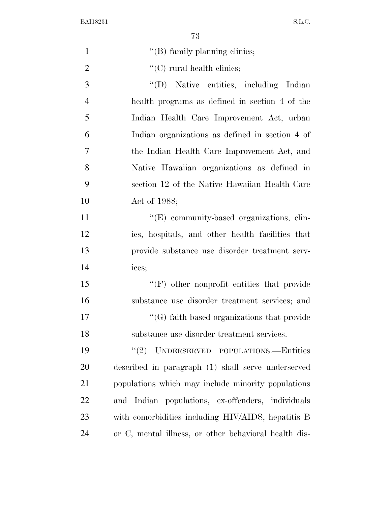| $\mathbf{1}$   | "(B) family planning clinics;                         |
|----------------|-------------------------------------------------------|
| $\overline{2}$ | $\lq\lq$ (C) rural health clinics;                    |
| 3              | "(D) Native entities, including Indian                |
| $\overline{4}$ | health programs as defined in section 4 of the        |
| 5              | Indian Health Care Improvement Act, urban             |
| 6              | Indian organizations as defined in section 4 of       |
| $\overline{7}$ | the Indian Health Care Improvement Act, and           |
| 8              | Native Hawaiian organizations as defined in           |
| 9              | section 12 of the Native Hawaiian Health Care         |
| 10             | Act of 1988;                                          |
| 11             | "(E) community-based organizations, clin-             |
| 12             | ics, hospitals, and other health facilities that      |
| 13             | provide substance use disorder treatment serv-        |
| 14             | ices;                                                 |
| 15             | $\lq\lq(F)$ other nonprofit entities that provide     |
| 16             | substance use disorder treatment services; and        |
| 17             | $\lq\lq(G)$ faith based organizations that provide    |
| 18             | substance use disorder treatment services.            |
| 19             | "(2) UNDERSERVED POPULATIONS.—Entities                |
| 20             | described in paragraph (1) shall serve underserved    |
| 21             | populations which may include minority populations    |
| 22             | and Indian populations, ex-offenders, individuals     |
| 23             | with comorbidities including HIV/AIDS, hepatitis B    |
| 24             | or C, mental illness, or other behavioral health dis- |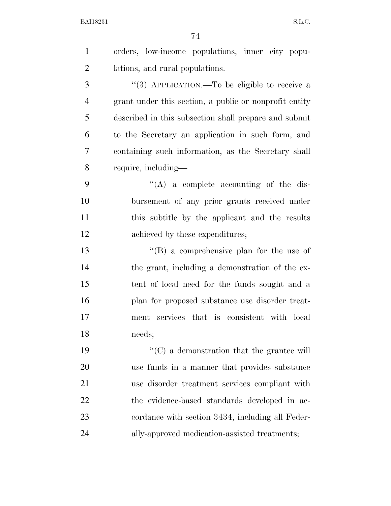| $\mathbf{1}$   | orders, low-income populations, inner city popu-       |
|----------------|--------------------------------------------------------|
| $\overline{2}$ | lations, and rural populations.                        |
| 3              | "(3) APPLICATION.—To be eligible to receive a          |
| 4              | grant under this section, a public or nonprofit entity |
| 5              | described in this subsection shall prepare and submit  |
| 6              | to the Secretary an application in such form, and      |
| 7              | containing such information, as the Secretary shall    |
| 8              | require, including—                                    |
| 9              | $\lq\lq$ a complete accounting of the dis-             |
| 10             | bursement of any prior grants received under           |
| 11             | this subtitle by the applicant and the results         |
| 12             | achieved by these expenditures;                        |
| 13             | $\lq\lq (B)$ a comprehensive plan for the use of       |
| 14             | the grant, including a demonstration of the ex-        |
| 15             | tent of local need for the funds sought and a          |
| 16             | plan for proposed substance use disorder treat-        |
| 17             | services that is consistent with local<br>ment         |
| 18             | needs;                                                 |
| 19             | $\cdot$ (C) a demonstration that the grantee will      |
| 20             | use funds in a manner that provides substance          |
| 21             | use disorder treatment services compliant with         |
| 22             | the evidence-based standards developed in ac-          |
| 23             | cordance with section 3434, including all Feder-       |
| 24             | ally-approved medication-assisted treatments;          |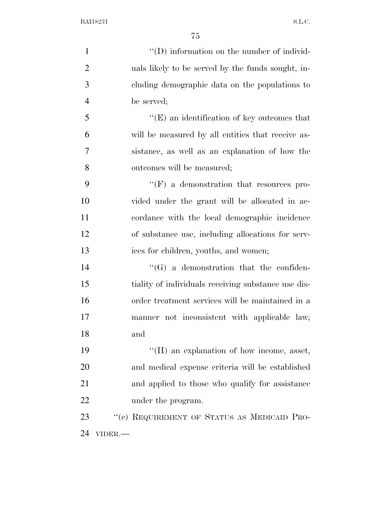$\langle ^{\prime}(D) \rangle$  information on the number of individ- uals likely to be served by the funds sought, in- cluding demographic data on the populations to be served; ''(E) an identification of key outcomes that will be measured by all entities that receive as- sistance, as well as an explanation of how the outcomes will be measured;  $\lq\lq$  (F) a demonstration that resources pro- vided under the grant will be allocated in ac- cordance with the local demographic incidence of substance use, including allocations for serv- ices for children, youths, and women; 14 ''(G) a demonstration that the confiden- tiality of individuals receiving substance use dis- order treatment services will be maintained in a manner not inconsistent with applicable law; and  $\langle H \rangle$  an explanation of how income, asset, and medical expense criteria will be established and applied to those who qualify for assistance 22 under the program. 23 "(c) REQUIREMENT OF STATUS AS MEDICAID PRO-VIDER.—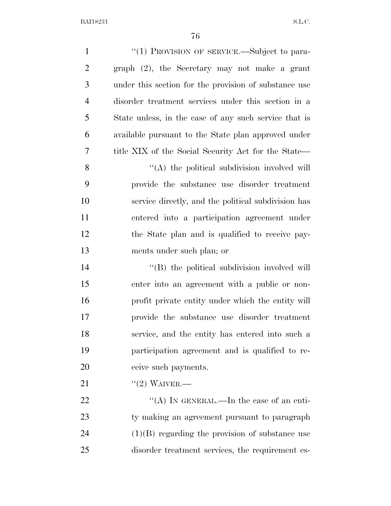| $\mathbf{1}$   | "(1) PROVISION OF SERVICE.—Subject to para-           |
|----------------|-------------------------------------------------------|
| $\overline{2}$ | graph (2), the Secretary may not make a grant         |
| 3              | under this section for the provision of substance use |
| $\overline{4}$ | disorder treatment services under this section in a   |
| 5              | State unless, in the case of any such service that is |
| 6              | available pursuant to the State plan approved under   |
| 7              | title XIX of the Social Security Act for the State—   |
| 8              | "(A) the political subdivision involved will          |
| 9              | provide the substance use disorder treatment          |
| 10             | service directly, and the political subdivision has   |
| 11             | entered into a participation agreement under          |
| 12             | the State plan and is qualified to receive pay-       |
| 13             | ments under such plan; or                             |
| 14             | "(B) the political subdivision involved will          |
| 15             | enter into an agreement with a public or non-         |
| 16             | profit private entity under which the entity will     |
| 17             | provide the substance use disorder treatment          |
| 18             | service, and the entity has entered into such a       |
| 19             | participation agreement and is qualified to re-       |
| 20             | ceive such payments.                                  |
| 21             | $"(2)$ WAIVER.—                                       |
| 22             | "(A) IN GENERAL.—In the case of an enti-              |
| 23             | ty making an agreement pursuant to paragraph          |
| 24             | $(1)(B)$ regarding the provision of substance use     |
| 25             | disorder treatment services, the requirement es-      |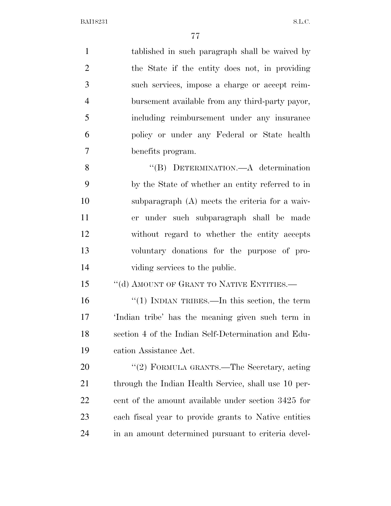| $\mathbf{1}$   | tablished in such paragraph shall be waived by        |
|----------------|-------------------------------------------------------|
| $\overline{2}$ | the State if the entity does not, in providing        |
| 3              | such services, impose a charge or accept reim-        |
| $\overline{4}$ | bursement available from any third-party payor,       |
| 5              | including reimbursement under any insurance           |
| 6              | policy or under any Federal or State health           |
| $\tau$         | benefits program.                                     |
| 8              | "(B) DETERMINATION.—A determination                   |
| 9              | by the State of whether an entity referred to in      |
| 10             | subparagraph $(A)$ meets the criteria for a waiv-     |
| 11             | er under such subparagraph shall be made              |
| 12             | without regard to whether the entity accepts          |
| 13             | voluntary donations for the purpose of pro-           |
| 14             | viding services to the public.                        |
| 15             | "(d) AMOUNT OF GRANT TO NATIVE ENTITIES.-             |
| 16             | " $(1)$ INDIAN TRIBES.—In this section, the term      |
| 17             | 'Indian tribe' has the meaning given such term in     |
| 18             | section 4 of the Indian Self-Determination and Edu-   |
| 19             | cation Assistance Act.                                |
| 20             | "(2) FORMULA GRANTS.—The Secretary, acting            |
| 21             | through the Indian Health Service, shall use 10 per-  |
| 22             | cent of the amount available under section 3425 for   |
| 23             | each fiscal year to provide grants to Native entities |
| 24             | in an amount determined pursuant to criteria devel-   |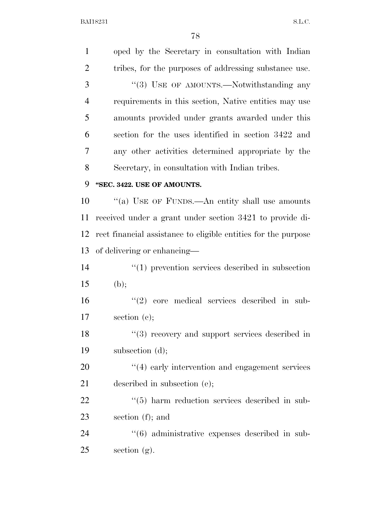| $\mathbf{1}$   | oped by the Secretary in consultation with Indian              |
|----------------|----------------------------------------------------------------|
| $\overline{2}$ | tribes, for the purposes of addressing substance use.          |
| 3              | "(3) USE OF AMOUNTS.—Notwithstanding any                       |
| $\overline{4}$ | requirements in this section, Native entities may use          |
| 5              | amounts provided under grants awarded under this               |
| 6              | section for the uses identified in section 3422 and            |
| 7              | any other activities determined appropriate by the             |
| 8              | Secretary, in consultation with Indian tribes.                 |
| 9              | "SEC. 3422. USE OF AMOUNTS.                                    |
| 10             | "(a) USE OF FUNDS.—An entity shall use amounts                 |
| 11             | received under a grant under section 3421 to provide di-       |
| 12             | rect financial assistance to eligible entities for the purpose |
| 13             | of delivering or enhancing—                                    |
| 14             | $\cdot$ (1) prevention services described in subsection        |
| 15             | (b);                                                           |
| 16             | $(2)$ core medical services described in sub-                  |
| 17             | section $(e)$ ;                                                |
| 18             | $(3)$ recovery and support services described in               |
| 19             | subsection (d);                                                |
| 20             | $\cdot$ (4) early intervention and engagement services         |
| 21             | described in subsection (e);                                   |
| 22             | $\cdot\cdot$ (5) harm reduction services described in sub-     |
| 23             | section $(f)$ ; and                                            |
| 24             | $\cdot\cdot\cdot(6)$ administrative expenses described in sub- |
| 25             | section $(g)$ .                                                |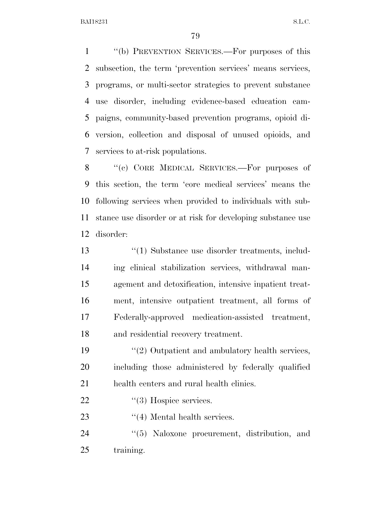''(b) PREVENTION SERVICES.—For purposes of this subsection, the term 'prevention services' means services, programs, or multi-sector strategies to prevent substance use disorder, including evidence-based education cam- paigns, community-based prevention programs, opioid di- version, collection and disposal of unused opioids, and services to at-risk populations.

8 "(c) CORE MEDICAL SERVICES.—For purposes of this section, the term 'core medical services' means the following services when provided to individuals with sub- stance use disorder or at risk for developing substance use disorder:

 ''(1) Substance use disorder treatments, includ- ing clinical stabilization services, withdrawal man- agement and detoxification, intensive inpatient treat- ment, intensive outpatient treatment, all forms of Federally-approved medication-assisted treatment, and residential recovery treatment.

19 ''(2) Outpatient and ambulatory health services, including those administered by federally qualified health centers and rural health clinics.

22  $\frac{1}{3}$  Hospice services.

23 ''(4) Mental health services.

24  $(5)$  Naloxone procurement, distribution, and training.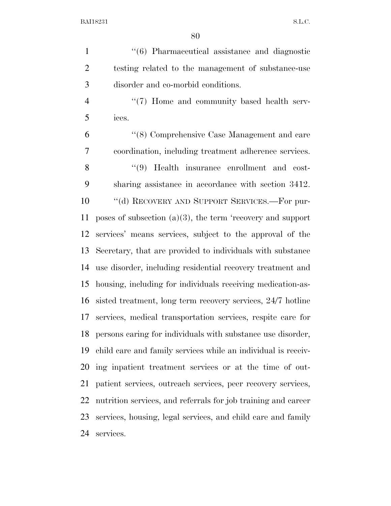1 ''(6) Pharmaceutical assistance and diagnostic testing related to the management of substance-use disorder and co-morbid conditions. 4 "(7) Home and community based health serv-

ices.

 ''(8) Comprehensive Case Management and care coordination, including treatment adherence services. 8 ''(9) Health insurance enrollment and cost- sharing assistance in accordance with section 3412. 10 "(d) RECOVERY AND SUPPORT SERVICES.—For pur- poses of subsection (a)(3), the term 'recovery and support services' means services, subject to the approval of the Secretary, that are provided to individuals with substance use disorder, including residential recovery treatment and housing, including for individuals receiving medication-as- sisted treatment, long term recovery services, 24/7 hotline services, medical transportation services, respite care for persons caring for individuals with substance use disorder, child care and family services while an individual is receiv- ing inpatient treatment services or at the time of out- patient services, outreach services, peer recovery services, nutrition services, and referrals for job training and career services, housing, legal services, and child care and family services.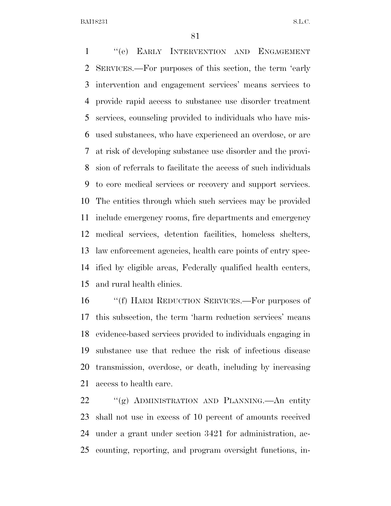''(e) EARLY INTERVENTION AND ENGAGEMENT SERVICES.—For purposes of this section, the term 'early intervention and engagement services' means services to provide rapid access to substance use disorder treatment services, counseling provided to individuals who have mis- used substances, who have experienced an overdose, or are at risk of developing substance use disorder and the provi- sion of referrals to facilitate the access of such individuals to core medical services or recovery and support services. The entities through which such services may be provided include emergency rooms, fire departments and emergency medical services, detention facilities, homeless shelters, law enforcement agencies, health care points of entry spec- ified by eligible areas, Federally qualified health centers, and rural health clinics.

 ''(f) HARM REDUCTION SERVICES.—For purposes of this subsection, the term 'harm reduction services' means evidence-based services provided to individuals engaging in substance use that reduce the risk of infectious disease transmission, overdose, or death, including by increasing access to health care.

 ''(g) ADMINISTRATION AND PLANNING.—An entity shall not use in excess of 10 percent of amounts received under a grant under section 3421 for administration, ac-counting, reporting, and program oversight functions, in-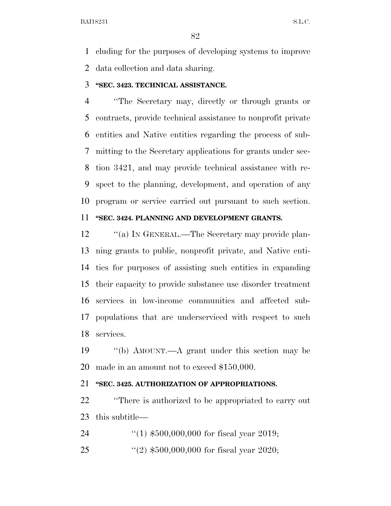cluding for the purposes of developing systems to improve data collection and data sharing.

#### **''SEC. 3423. TECHNICAL ASSISTANCE.**

 ''The Secretary may, directly or through grants or contracts, provide technical assistance to nonprofit private entities and Native entities regarding the process of sub- mitting to the Secretary applications for grants under sec- tion 3421, and may provide technical assistance with re- spect to the planning, development, and operation of any program or service carried out pursuant to such section.

## **''SEC. 3424. PLANNING AND DEVELOPMENT GRANTS.**

12 "(a) In GENERAL.—The Secretary may provide plan- ning grants to public, nonprofit private, and Native enti- ties for purposes of assisting such entities in expanding their capacity to provide substance use disorder treatment services in low-income communities and affected sub- populations that are underserviced with respect to such services.

 ''(b) AMOUNT.—A grant under this section may be made in an amount not to exceed \$150,000.

# **''SEC. 3425. AUTHORIZATION OF APPROPRIATIONS.**

 ''There is authorized to be appropriated to carry out this subtitle—

''(1) \$500,000,000 for fiscal year 2019;

''(2) \$500,000,000 for fiscal year 2020;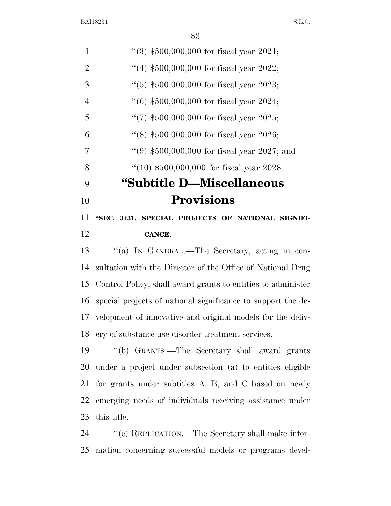| 1              | $(3)$ \$500,000,000 for fiscal year 2021;         |
|----------------|---------------------------------------------------|
| 2              | "(4) $$500,000,000$ for fiscal year 2022;         |
| 3              | "(5) $$500,000,000$ for fiscal year 2023;         |
| $\overline{4}$ | $(6)$ \$500,000,000 for fiscal year 2024;         |
| 5              | $\lq(7)$ \$500,000,000 for fiscal year 2025;      |
| 6              | $(8)$ \$500,000,000 for fiscal year 2026;         |
| 7              | $(9)$ \$500,000,000 for fiscal year 2027; and     |
| 8              | $(10)$ \$500,000,000 for fiscal year 2028.        |
| 9              | "Subtitle D—Miscellaneous                         |
| 10             | <b>Provisions</b>                                 |
| 11             | "SEC. 3431. SPECIAL PROJECTS OF NATIONAL SIGNIFI- |
| 12             | CANCE.                                            |
| 13             | "(a) IN GENERAL.—The Secretary, acting in con-    |
|                |                                                   |

 sultation with the Director of the Office of National Drug Control Policy, shall award grants to entities to administer special projects of national significance to support the de- velopment of innovative and original models for the deliv-ery of substance use disorder treatment services.

 ''(b) GRANTS.—The Secretary shall award grants under a project under subsection (a) to entities eligible for grants under subtitles A, B, and C based on newly emerging needs of individuals receiving assistance under this title.

 ''(c) REPLICATION.—The Secretary shall make infor-mation concerning successful models or programs devel-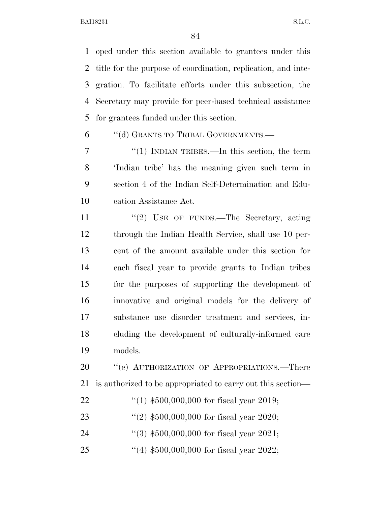oped under this section available to grantees under this title for the purpose of coordination, replication, and inte- gration. To facilitate efforts under this subsection, the Secretary may provide for peer-based technical assistance for grantees funded under this section.

''(d) GRANTS TO TRIBAL GOVERNMENTS.—

7 "(1) INDIAN TRIBES.—In this section, the term 'Indian tribe' has the meaning given such term in section 4 of the Indian Self-Determination and Edu-cation Assistance Act.

11 "(2) USE OF FUNDS.—The Secretary, acting through the Indian Health Service, shall use 10 per- cent of the amount available under this section for each fiscal year to provide grants to Indian tribes for the purposes of supporting the development of innovative and original models for the delivery of substance use disorder treatment and services, in- cluding the development of culturally-informed care models.

20 "'(e) AUTHORIZATION OF APPROPRIATIONS.—There is authorized to be appropriated to carry out this section—

- ''(1) \$500,000,000 for fiscal year 2019;
- ''(2) \$500,000,000 for fiscal year 2020;
- ''(3) \$500,000,000 for fiscal year 2021;
- ''(4) \$500,000,000 for fiscal year 2022;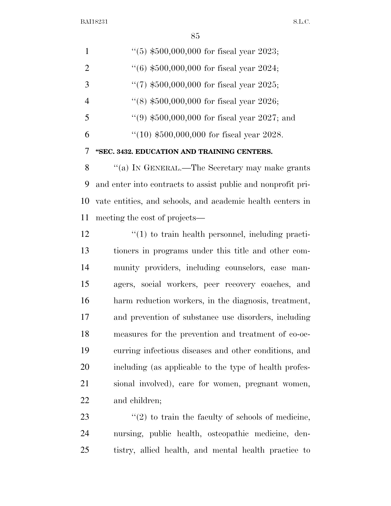$\sim$ 

|                | 85                                                           |
|----------------|--------------------------------------------------------------|
| $\mathbf{1}$   | $(5)$ \$500,000,000 for fiscal year 2023;                    |
| $\overline{2}$ | $(6)$ \$500,000,000 for fiscal year 2024;                    |
| 3              | "(7) $$500,000,000$ for fiscal year 2025;                    |
| $\overline{4}$ | $(8)$ \$500,000,000 for fiscal year 2026;                    |
| 5              | "(9) $$500,000,000$ for fiscal year 2027; and                |
| 6              | $(10)$ \$500,000,000 for fiscal year 2028.                   |
| 7              | "SEC. 3432. EDUCATION AND TRAINING CENTERS.                  |
| 8              | "(a) In GENERAL.—The Secretary may make grants               |
| 9              | and enter into contracts to assist public and nonprofit pri- |
| 10             | vate entities, and schools, and academic health centers in   |
| 11             | meeting the cost of projects—                                |
| 12             | $\lq(1)$ to train health personnel, including practi-        |
| 13             | tioners in programs under this title and other com-          |
| 14             | munity providers, including counselors, case man-            |
| 15             | agers, social workers, peer recovery coaches, and            |
| 16             | harm reduction workers, in the diagnosis, treatment,         |
| 17             | and prevention of substance use disorders, including         |
| 18             | measures for the prevention and treatment of co-oc-          |
| 19             | curring infectious diseases and other conditions, and        |

 including (as applicable to the type of health profes- sional involved), care for women, pregnant women, and children;

23  $\qquad$  ''(2) to train the faculty of schools of medicine, nursing, public health, osteopathic medicine, den-tistry, allied health, and mental health practice to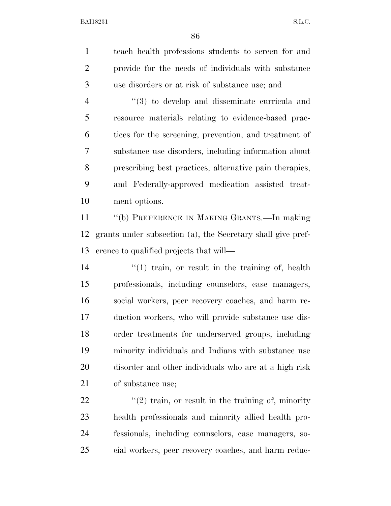| $\mathbf{1}$   | teach health professions students to screen for and           |
|----------------|---------------------------------------------------------------|
| $\overline{2}$ | provide for the needs of individuals with substance           |
| 3              | use disorders or at risk of substance use; and                |
| $\overline{4}$ | $\cdot\cdot\cdot(3)$ to develop and disseminate curricula and |
| 5              | resource materials relating to evidence-based prac-           |
| 6              | tices for the screening, prevention, and treatment of         |
| 7              | substance use disorders, including information about          |
| 8              | prescribing best practices, alternative pain therapies,       |
| 9              | and Federally-approved medication assisted treat-             |
| 10             | ment options.                                                 |
| 11             | "(b) PREFERENCE IN MAKING GRANTS.-In making                   |
| 12             | grants under subsection (a), the Secretary shall give pref-   |
| 13             | erence to qualified projects that will—                       |
| 14             | $f'(1)$ train, or result in the training of, health           |
| 15             | professionals, including counselors, case managers,           |
| 16             | social workers, peer recovery coaches, and harm re-           |
| 17             | duction workers, who will provide substance use dis-          |
| 18             | order treatments for underserved groups, including            |
| 19             | minority individuals and Indians with substance use           |
| 20             | disorder and other individuals who are at a high risk         |
| 21             | of substance use;                                             |
| 22             | $\lq(2)$ train, or result in the training of, minority        |
| 23             | health professionals and minority allied health pro-          |
| 24             | fessionals, including counselors, case managers, so-          |

cial workers, peer recovery coaches, and harm reduc-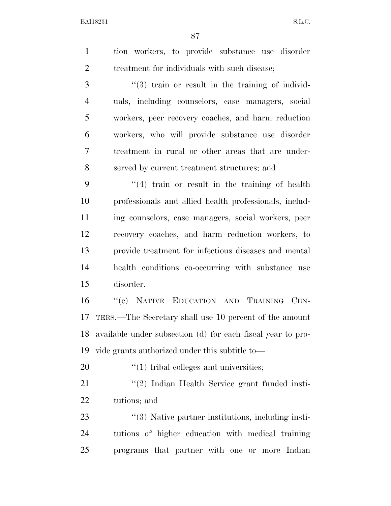|  |  | tion workers, to provide substance use disorder |  |
|--|--|-------------------------------------------------|--|
|  |  | treatment for individuals with such disease;    |  |

3 (3) train or result in the training of individ- uals, including counselors, case managers, social workers, peer recovery coaches, and harm reduction workers, who will provide substance use disorder treatment in rural or other areas that are under-served by current treatment structures; and

 ''(4) train or result in the training of health professionals and allied health professionals, includ- ing counselors, case managers, social workers, peer recovery coaches, and harm reduction workers, to provide treatment for infectious diseases and mental health conditions co-occurring with substance use disorder.

 ''(c) NATIVE EDUCATION AND TRAINING CEN- TERS.—The Secretary shall use 10 percent of the amount available under subsection (d) for each fiscal year to pro-vide grants authorized under this subtitle to—

''(1) tribal colleges and universities;

21 ''(2) Indian Health Service grant funded insti-tutions; and

23 ''(3) Native partner institutions, including insti- tutions of higher education with medical training programs that partner with one or more Indian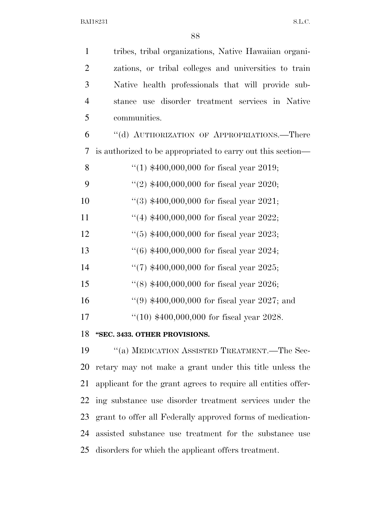| $\mathbf{1}$   | tribes, tribal organizations, Native Hawaiian organi-         |
|----------------|---------------------------------------------------------------|
| $\overline{2}$ | zations, or tribal colleges and universities to train         |
| 3              | Native health professionals that will provide sub-            |
| $\overline{4}$ | stance use disorder treatment services in Native              |
| 5              | communities.                                                  |
| 6              | "(d) AUTHORIZATION OF APPROPRIATIONS.—There                   |
| 7              | is authorized to be appropriated to carry out this section—   |
| 8              | "(1) $$400,000,000$ for fiscal year 2019;                     |
| 9              | "(2) $$400,000,000$ for fiscal year 2020;                     |
| 10             | "(3) $$400,000,000$ for fiscal year 2021;                     |
| 11             | "(4) $$400,000,000$ for fiscal year 2022;                     |
| 12             | $(5)$ \$400,000,000 for fiscal year 2023;                     |
| 13             | $(6)$ \$400,000,000 for fiscal year 2024;                     |
| 14             | "(7) $$400,000,000$ for fiscal year 2025;                     |
| 15             | "(8) $$400,000,000$ for fiscal year 2026;                     |
| 16             | "(9) $$400,000,000$ for fiscal year 2027; and                 |
| 17             | "(10) $$400,000,000$ for fiscal year 2028.                    |
|                | 18 "SEC. 3433. OTHER PROVISIONS.                              |
| 19             | "(a) MEDICATION ASSISTED TREATMENT.—The Sec-                  |
| 20             | retary may not make a grant under this title unless the       |
| 21             | applicant for the grant agrees to require all entities offer- |
| 22             | ing substance use disorder treatment services under the       |
| 23             | grant to offer all Federally approved forms of medication-    |

 assisted substance use treatment for the substance use disorders for which the applicant offers treatment.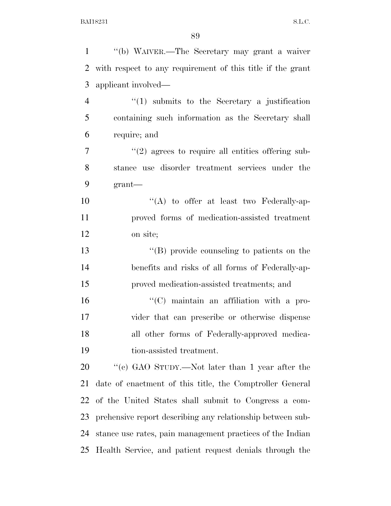| $\mathbf{1}$   | "(b) WAIVER.—The Secretary may grant a waiver              |
|----------------|------------------------------------------------------------|
| $\overline{2}$ | with respect to any requirement of this title if the grant |
| 3              | applicant involved—                                        |
| $\overline{4}$ | $\lq(1)$ submits to the Secretary a justification          |
| 5              | containing such information as the Secretary shall         |
| 6              | require; and                                               |
| 7              | $\lq(2)$ agrees to require all entities offering sub-      |
| 8              | stance use disorder treatment services under the           |
| 9              | grant                                                      |
| 10             | $\lq\lq$ to offer at least two Federally-ap-               |
| 11             | proved forms of medication-assisted treatment              |
| 12             | on site;                                                   |
| 13             | "(B) provide counseling to patients on the                 |
| 14             | benefits and risks of all forms of Federally-ap-           |
| 15             | proved medication-assisted treatments; and                 |
| 16             | $\lq\lq$ maintain an affiliation with a pro-               |
| 17             | vider that can prescribe or otherwise dispense             |
| 18             | all other forms of Federally-approved medica-              |
| 19             | tion-assisted treatment.                                   |
| 20             | "(c) GAO STUDY.—Not later than 1 year after the            |
| 21             | date of enactment of this title, the Comptroller General   |
| 22             | of the United States shall submit to Congress a com-       |
| 23             | prehensive report describing any relationship between sub- |
| 24             | stance use rates, pain management practices of the Indian  |
| 25             | Health Service, and patient request denials through the    |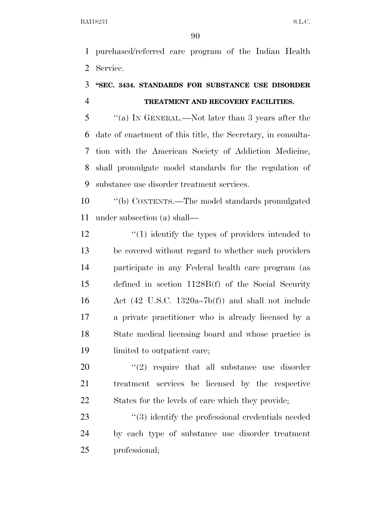purchased/referred care program of the Indian Health Service.

# **''SEC. 3434. STANDARDS FOR SUBSTANCE USE DISORDER TREATMENT AND RECOVERY FACILITIES.**

 ''(a) IN GENERAL.—Not later than 3 years after the date of enactment of this title, the Secretary, in consulta- tion with the American Society of Addiction Medicine, shall promulgate model standards for the regulation of substance use disorder treatment services.

 ''(b) CONTENTS.—The model standards promulgated under subsection (a) shall—

12 ''(1) identify the types of providers intended to be covered without regard to whether such providers participate in any Federal health care program (as defined in section 1128B(f) of the Social Security Act (42 U.S.C. 1320a–7b(f)) and shall not include a private practitioner who is already licensed by a State medical licensing board and whose practice is limited to outpatient care;

  $(2)$  require that all substance use disorder treatment services be licensed by the respective States for the levels of care which they provide;

23 ''(3) identify the professional credentials needed by each type of substance use disorder treatment professional;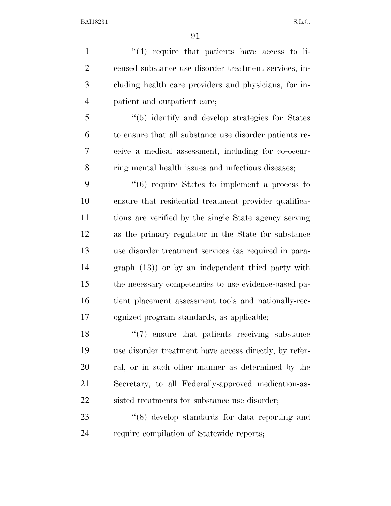1 ''(4) require that patients have access to li- censed substance use disorder treatment services, in- cluding health care providers and physicians, for in- patient and outpatient care; ''(5) identify and develop strategies for States to ensure that all substance use disorder patients re- ceive a medical assessment, including for co-occur- ring mental health issues and infectious diseases; ''(6) require States to implement a process to ensure that residential treatment provider qualifica- tions are verified by the single State agency serving as the primary regulator in the State for substance use disorder treatment services (as required in para- graph (13)) or by an independent third party with the necessary competencies to use evidence-based pa- tient placement assessment tools and nationally-rec- ognized program standards, as applicable; 18 ''(7) ensure that patients receiving substance use disorder treatment have access directly, by refer- ral, or in such other manner as determined by the Secretary, to all Federally-approved medication-as-

22 sisted treatments for substance use disorder;

23 ''(8) develop standards for data reporting and require compilation of Statewide reports;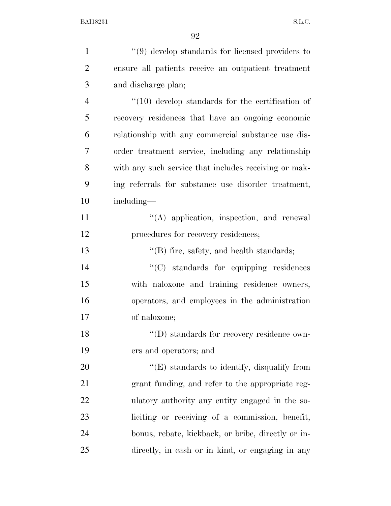| $\mathbf{1}$   | $``(9)$ develop standards for licensed providers to       |
|----------------|-----------------------------------------------------------|
| $\overline{2}$ | ensure all patients receive an outpatient treatment       |
| 3              | and discharge plan;                                       |
| $\overline{4}$ | $\degree$ (10) develop standards for the certification of |
| 5              | recovery residences that have an ongoing economic         |
| 6              | relationship with any commercial substance use dis-       |
| $\overline{7}$ | order treatment service, including any relationship       |
| 8              | with any such service that includes receiving or mak-     |
| 9              | ing referrals for substance use disorder treatment,       |
| 10             | including—                                                |
| 11             | $\lq\lq$ application, inspection, and renewal             |
| 12             | procedures for recovery residences;                       |
| 13             | $\lq\lq$ fire, safety, and health standards;              |
| 14             | $\lq\lq$ standards for equipping residences               |
| 15             | with naloxone and training residence owners,              |
| 16             | operators, and employees in the administration            |
| 17             | of naloxone;                                              |
| 18             | "(D) standards for recovery residence own-                |
| 19             | ers and operators; and                                    |
| 20             | $\lq\lq(E)$ standards to identify, disqualify from        |
| 21             | grant funding, and refer to the appropriate reg-          |
| 22             | ulatory authority any entity engaged in the so-           |
| 23             | liciting or receiving of a commission, benefit,           |
| 24             | bonus, rebate, kickback, or bribe, directly or in-        |
| 25             | directly, in cash or in kind, or engaging in any          |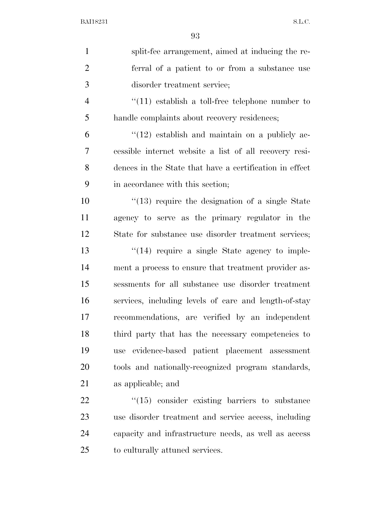| $\mathbf{1}$   | split-fee arrangement, aimed at inducing the re-         |
|----------------|----------------------------------------------------------|
| $\overline{2}$ | ferral of a patient to or from a substance use           |
| 3              | disorder treatment service;                              |
| $\overline{4}$ | $\lq(11)$ establish a toll-free telephone number to      |
| 5              | handle complaints about recovery residences;             |
| 6              | $\lq(12)$ establish and maintain on a publicly ac-       |
| 7              | cessible internet website a list of all recovery resi-   |
| 8              | dences in the State that have a certification in effect  |
| 9              | in accordance with this section;                         |
| 10             | $\degree$ (13) require the designation of a single State |
| 11             | agency to serve as the primary regulator in the          |
| 12             | State for substance use disorder treatment services;     |
| 13             | $\cdot$ (14) require a single State agency to imple-     |
| 14             | ment a process to ensure that treatment provider as-     |
| 15             | sessments for all substance use disorder treatment       |
| 16             | services, including levels of care and length-of-stay    |
| 17             | recommendations, are verified by an independent          |
| 18             | third party that has the necessary competencies to       |
| 19             | evidence-based patient placement assessment<br>use       |
| 20             | tools and nationally-recognized program standards,       |
| 21             | as applicable; and                                       |
| 22             | $"(15)$ consider existing barriers to substance          |
| 23             | use disorder treatment and service access, including     |
| 24             | capacity and infrastructure needs, as well as access     |
| 25             | to culturally attuned services.                          |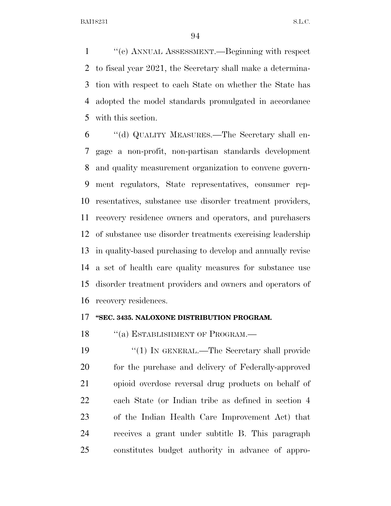''(c) ANNUAL ASSESSMENT.—Beginning with respect to fiscal year 2021, the Secretary shall make a determina- tion with respect to each State on whether the State has adopted the model standards promulgated in accordance with this section.

 ''(d) QUALITY MEASURES.—The Secretary shall en- gage a non-profit, non-partisan standards development and quality measurement organization to convene govern- ment regulators, State representatives, consumer rep- resentatives, substance use disorder treatment providers, recovery residence owners and operators, and purchasers of substance use disorder treatments exercising leadership in quality-based purchasing to develop and annually revise a set of health care quality measures for substance use disorder treatment providers and owners and operators of recovery residences.

### **''SEC. 3435. NALOXONE DISTRIBUTION PROGRAM.**

18 "(a) ESTABLISHMENT OF PROGRAM.—

19 "(1) IN GENERAL.—The Secretary shall provide 20 for the purchase and delivery of Federally-approved opioid overdose reversal drug products on behalf of each State (or Indian tribe as defined in section 4 of the Indian Health Care Improvement Act) that receives a grant under subtitle B. This paragraph constitutes budget authority in advance of appro-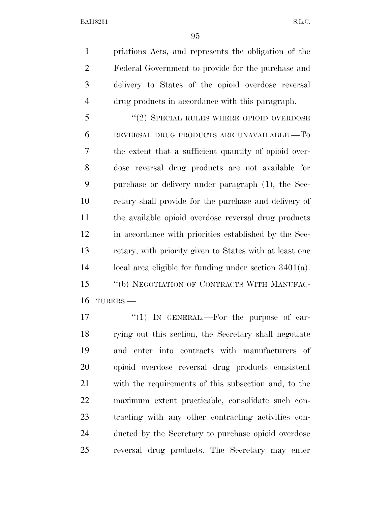priations Acts, and represents the obligation of the Federal Government to provide for the purchase and delivery to States of the opioid overdose reversal drug products in accordance with this paragraph.

5 "(2) SPECIAL RULES WHERE OPIOID OVERDOSE REVERSAL DRUG PRODUCTS ARE UNAVAILABLE.—To the extent that a sufficient quantity of opioid over- dose reversal drug products are not available for purchase or delivery under paragraph (1), the Sec- retary shall provide for the purchase and delivery of the available opioid overdose reversal drug products in accordance with priorities established by the Sec- retary, with priority given to States with at least one local area eligible for funding under section 3401(a). ''(b) NEGOTIATION OF CONTRACTS WITH MANUFAC-TURERS.—

 $\frac{17}{10}$  In GENERAL.—For the purpose of car- rying out this section, the Secretary shall negotiate and enter into contracts with manufacturers of opioid overdose reversal drug products consistent with the requirements of this subsection and, to the maximum extent practicable, consolidate such con- tracting with any other contracting activities con- ducted by the Secretary to purchase opioid overdose reversal drug products. The Secretary may enter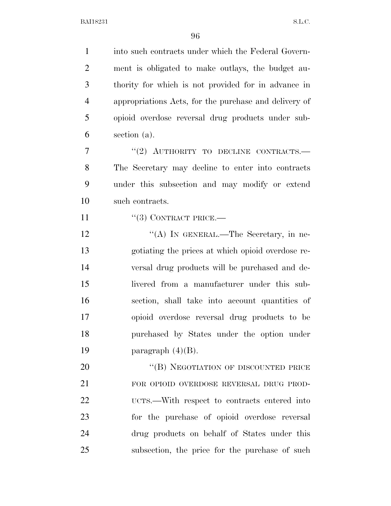into such contracts under which the Federal Govern- ment is obligated to make outlays, the budget au- thority for which is not provided for in advance in appropriations Acts, for the purchase and delivery of opioid overdose reversal drug products under sub- section (a). 7 "(2) AUTHORITY TO DECLINE CONTRACTS.— The Secretary may decline to enter into contracts under this subsection and may modify or extend such contracts. 11 "(3) CONTRACT PRICE.— 12 ""(A) IN GENERAL.—The Secretary, in ne- gotiating the prices at which opioid overdose re- versal drug products will be purchased and de- livered from a manufacturer under this sub- section, shall take into account quantities of opioid overdose reversal drug products to be purchased by States under the option under 19 paragraph  $(4)(B)$ . 20 "(B) NEGOTIATION OF DISCOUNTED PRICE FOR OPIOID OVERDOSE REVERSAL DRUG PROD- UCTS.—With respect to contracts entered into for the purchase of opioid overdose reversal drug products on behalf of States under this subsection, the price for the purchase of such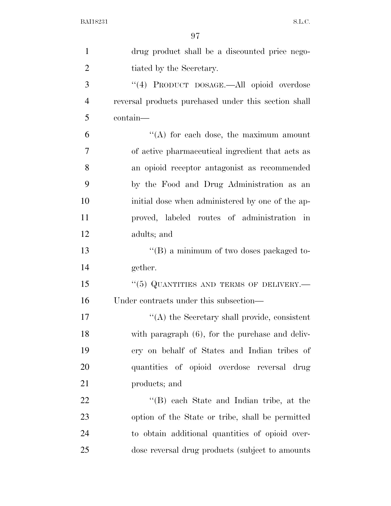| $\mathbf{1}$   | drug product shall be a discounted price nego-       |
|----------------|------------------------------------------------------|
| $\overline{2}$ | tiated by the Secretary.                             |
| 3              | "(4) PRODUCT DOSAGE.—All opioid overdose             |
| $\overline{4}$ | reversal products purchased under this section shall |
| 5              | contain—                                             |
| 6              | "(A) for each dose, the maximum amount               |
| 7              | of active pharmaceutical ingredient that acts as     |
| 8              | an opioid receptor antagonist as recommended         |
| 9              | by the Food and Drug Administration as an            |
| 10             | initial dose when administered by one of the ap-     |
| 11             | proved, labeled routes of administration in          |
| 12             | adults; and                                          |
| 13             | $\lq\lq (B)$ a minimum of two doses packaged to-     |
| 14             | gether.                                              |
| 15             | "(5) QUANTITIES AND TERMS OF DELIVERY.—              |
| 16             | Under contracts under this subsection—               |
| 17             | $\lq\lq$ the Secretary shall provide, consistent     |
| 18             | with paragraph (6), for the purchase and deliv-      |
| 19             | ery on behalf of States and Indian tribes of         |
| 20             | quantities of opioid overdose reversal drug          |
| 21             | products; and                                        |
| 22             | "(B) each State and Indian tribe, at the             |
| 23             | option of the State or tribe, shall be permitted     |
| 24             | to obtain additional quantities of opioid over-      |
| 25             | dose reversal drug products (subject to amounts)     |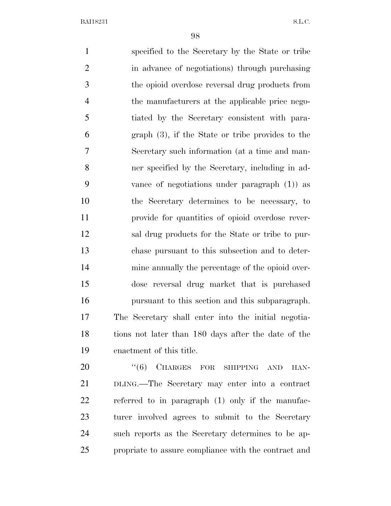specified to the Secretary by the State or tribe in advance of negotiations) through purchasing the opioid overdose reversal drug products from the manufacturers at the applicable price nego- tiated by the Secretary consistent with para- graph (3), if the State or tribe provides to the Secretary such information (at a time and man- ner specified by the Secretary, including in ad- vance of negotiations under paragraph (1)) as the Secretary determines to be necessary, to provide for quantities of opioid overdose rever- sal drug products for the State or tribe to pur- chase pursuant to this subsection and to deter- mine annually the percentage of the opioid over- dose reversal drug market that is purchased pursuant to this section and this subparagraph. The Secretary shall enter into the initial negotia- tions not later than 180 days after the date of the enactment of this title.

20 "(6) CHARGES FOR SHIPPING AND HAN- DLING.—The Secretary may enter into a contract referred to in paragraph (1) only if the manufac- turer involved agrees to submit to the Secretary such reports as the Secretary determines to be ap-propriate to assure compliance with the contract and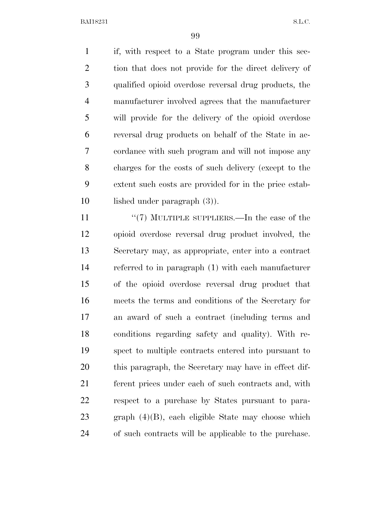if, with respect to a State program under this sec-2 tion that does not provide for the direct delivery of qualified opioid overdose reversal drug products, the manufacturer involved agrees that the manufacturer will provide for the delivery of the opioid overdose reversal drug products on behalf of the State in ac- cordance with such program and will not impose any charges for the costs of such delivery (except to the extent such costs are provided for in the price estab-lished under paragraph (3)).

11 ''(7) MULTIPLE SUPPLIERS.—In the case of the opioid overdose reversal drug product involved, the Secretary may, as appropriate, enter into a contract referred to in paragraph (1) with each manufacturer of the opioid overdose reversal drug product that meets the terms and conditions of the Secretary for an award of such a contract (including terms and conditions regarding safety and quality). With re- spect to multiple contracts entered into pursuant to this paragraph, the Secretary may have in effect dif- ferent prices under each of such contracts and, with respect to a purchase by States pursuant to para- graph (4)(B), each eligible State may choose which of such contracts will be applicable to the purchase.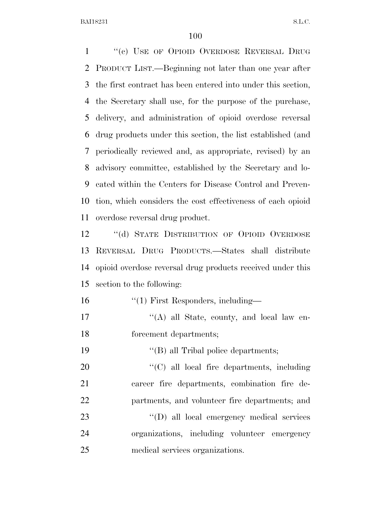1 "(c) USE OF OPIOID OVERDOSE REVERSAL DRUG PRODUCT LIST.—Beginning not later than one year after the first contract has been entered into under this section, the Secretary shall use, for the purpose of the purchase, delivery, and administration of opioid overdose reversal drug products under this section, the list established (and periodically reviewed and, as appropriate, revised) by an advisory committee, established by the Secretary and lo- cated within the Centers for Disease Control and Preven- tion, which considers the cost effectiveness of each opioid overdose reversal drug product.

12 "(d) STATE DISTRIBUTION OF OPIOID OVERDOSE REVERSAL DRUG PRODUCTS.—States shall distribute opioid overdose reversal drug products received under this section to the following:

- 16 ''(1) First Responders, including-
- 17 "'(A) all State, county, and local law en-forcement departments;
- ''(B) all Tribal police departments;

20  $\cdot$  (C) all local fire departments, including career fire departments, combination fire de-partments, and volunteer fire departments; and

23  $'(D)$  all local emergency medical services organizations, including volunteer emergency medical services organizations.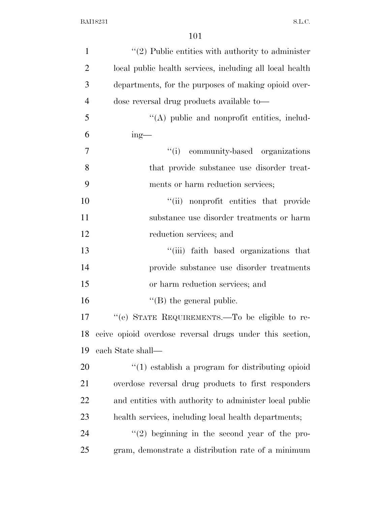| $\mathbf{1}$   | $\lq(2)$ Public entities with authority to administer    |
|----------------|----------------------------------------------------------|
| $\overline{2}$ | local public health services, including all local health |
| 3              | departments, for the purposes of making opioid over-     |
| $\overline{4}$ | dose reversal drug products available to-                |
| 5              | "(A) public and nonprofit entities, includ-              |
| 6              | $ing$ —                                                  |
| $\overline{7}$ | community-based organizations<br>``(i)                   |
| 8              | that provide substance use disorder treat-               |
| 9              | ments or harm reduction services;                        |
| 10             | "(ii) nonprofit entities that provide                    |
| 11             | substance use disorder treatments or harm                |
| 12             | reduction services; and                                  |
| 13             | "(iii) faith based organizations that                    |
| 14             | provide substance use disorder treatments                |
| 15             | or harm reduction services; and                          |
| 16             | $\lq\lq$ (B) the general public.                         |
| 17             | "(e) STATE REQUIREMENTS.—To be eligible to re-           |
| 18             | ceive opioid overdose reversal drugs under this section, |
| 19             | each State shall—                                        |
| 20             | $\cdot$ (1) establish a program for distributing opioid  |
| 21             | overdose reversal drug products to first responders      |
| 22             | and entities with authority to administer local public   |
| 23             | health services, including local health departments;     |
| 24             | $\lq(2)$ beginning in the second year of the pro-        |
| 25             | gram, demonstrate a distribution rate of a minimum       |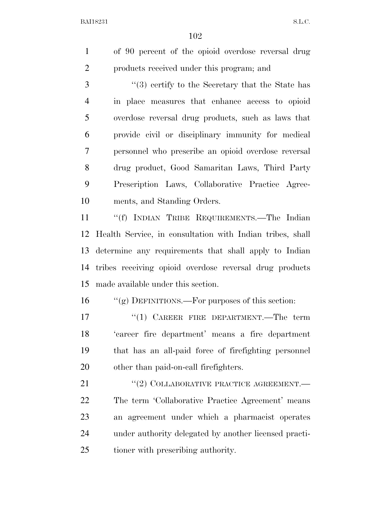of 90 percent of the opioid overdose reversal drug products received under this program; and

 ''(3) certify to the Secretary that the State has in place measures that enhance access to opioid overdose reversal drug products, such as laws that provide civil or disciplinary immunity for medical personnel who prescribe an opioid overdose reversal drug product, Good Samaritan Laws, Third Party Prescription Laws, Collaborative Practice Agree-ments, and Standing Orders.

 ''(f) INDIAN TRIBE REQUIREMENTS.—The Indian Health Service, in consultation with Indian tribes, shall determine any requirements that shall apply to Indian tribes receiving opioid overdose reversal drug products made available under this section.

''(g) DEFINITIONS.—For purposes of this section:

17 <sup>"(1)</sup> CAREER FIRE DEPARTMENT.—The term 'career fire department' means a fire department that has an all-paid force of firefighting personnel other than paid-on-call firefighters.

21 "(2) COLLABORATIVE PRACTICE AGREEMENT.— The term 'Collaborative Practice Agreement' means an agreement under which a pharmacist operates under authority delegated by another licensed practi-tioner with prescribing authority.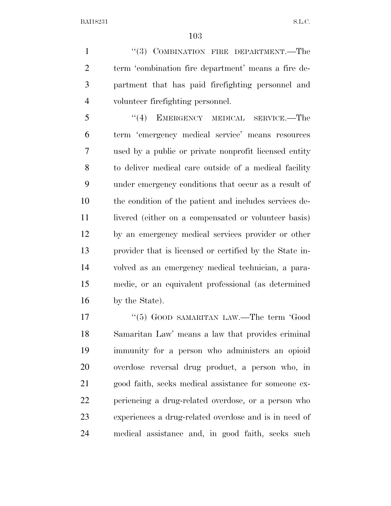1 "(3) COMBINATION FIRE DEPARTMENT.—The term 'combination fire department' means a fire de- partment that has paid firefighting personnel and volunteer firefighting personnel.

 ''(4) EMERGENCY MEDICAL SERVICE.—The term 'emergency medical service' means resources used by a public or private nonprofit licensed entity to deliver medical care outside of a medical facility under emergency conditions that occur as a result of the condition of the patient and includes services de-11 livered (either on a compensated or volunteer basis) by an emergency medical services provider or other provider that is licensed or certified by the State in- volved as an emergency medical technician, a para- medic, or an equivalent professional (as determined by the State).

17 "(5) GOOD SAMARITAN LAW.—The term 'Good Samaritan Law' means a law that provides criminal immunity for a person who administers an opioid overdose reversal drug product, a person who, in good faith, seeks medical assistance for someone ex- periencing a drug-related overdose, or a person who experiences a drug-related overdose and is in need of medical assistance and, in good faith, seeks such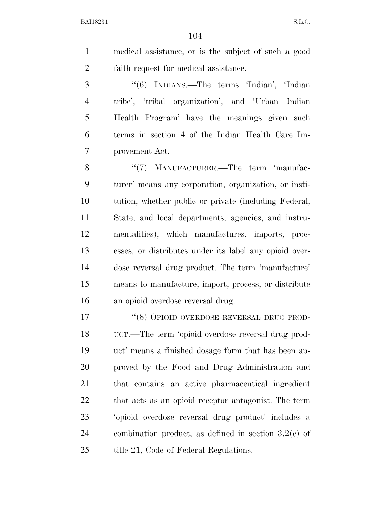medical assistance, or is the subject of such a good faith request for medical assistance.

 ''(6) INDIANS.—The terms 'Indian', 'Indian tribe', 'tribal organization', and 'Urban Indian Health Program' have the meanings given such terms in section 4 of the Indian Health Care Im-provement Act.

8 "(7) MANUFACTURER.—The term 'manufac- turer' means any corporation, organization, or insti- tution, whether public or private (including Federal, State, and local departments, agencies, and instru- mentalities), which manufactures, imports, proc- esses, or distributes under its label any opioid over- dose reversal drug product. The term 'manufacture' means to manufacture, import, process, or distribute an opioid overdose reversal drug.

17 "(8) OPIOID OVERDOSE REVERSAL DRUG PROD- UCT.—The term 'opioid overdose reversal drug prod- uct' means a finished dosage form that has been ap- proved by the Food and Drug Administration and that contains an active pharmaceutical ingredient that acts as an opioid receptor antagonist. The term 'opioid overdose reversal drug product' includes a combination product, as defined in section 3.2(e) of 25 title 21, Code of Federal Regulations.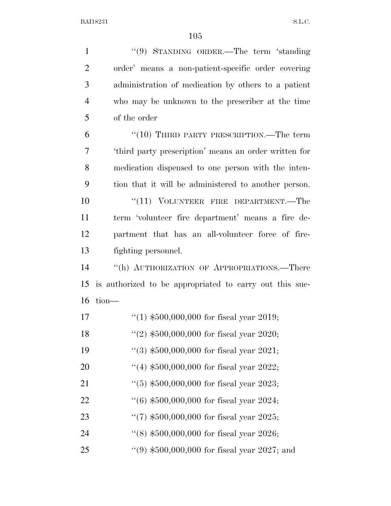''(9) STANDING ORDER.—The term 'standing order' means a non-patient-specific order covering administration of medication by others to a patient who may be unknown to the prescriber at the time of the order 6 "(10) THIRD PARTY PRESCRIPTION.—The term 'third party prescription' means an order written for medication dispensed to one person with the inten- tion that it will be administered to another person. 10 "(11) VOLUNTEER FIRE DEPARTMENT.—The term 'volunteer fire department' means a fire de- partment that has an all-volunteer force of fire- fighting personnel. ''(h) AUTHORIZATION OF APPROPRIATIONS.—There is authorized to be appropriated to carry out this suc- tion— ''(1) \$500,000,000 for fiscal year 2019; ''(2) \$500,000,000 for fiscal year 2020; ''(3) \$500,000,000 for fiscal year 2021; ''(4) \$500,000,000 for fiscal year 2022; 21 ''(5) \$500,000,000 for fiscal year 2023; ''(6) \$500,000,000 for fiscal year 2024; ''(7) \$500,000,000 for fiscal year 2025; 24 ''(8) \$500,000,000 for fiscal year 2026;

''(9) \$500,000,000 for fiscal year 2027; and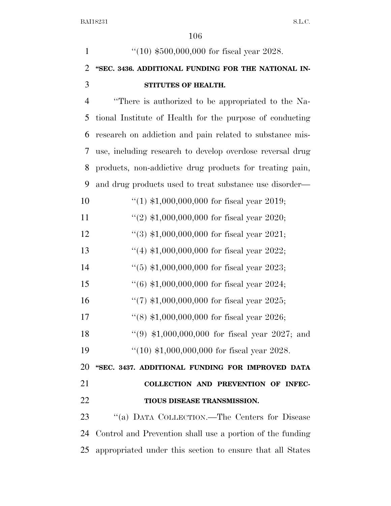| $\mathbf{1}$   | "(10) $$500,000,000$ for fiscal year 2028.                |
|----------------|-----------------------------------------------------------|
| $\overline{2}$ | "SEC. 3436. ADDITIONAL FUNDING FOR THE NATIONAL IN-       |
| 3              | STITUTES OF HEALTH.                                       |
| $\overline{4}$ | "There is authorized to be appropriated to the Na-        |
| 5              | tional Institute of Health for the purpose of conducting  |
| 6              | research on addiction and pain related to substance mis-  |
| 7              | use, including research to develop overdose reversal drug |
| 8              | products, non-addictive drug products for treating pain,  |
| 9              | and drug products used to treat substance use disorder—   |
| 10             | $(1)$ \$1,000,000,000 for fiscal year 2019;               |
| 11             | "(2) $$1,000,000,000$ for fiscal year 2020;               |
| 12             | $(3)$ \$1,000,000,000 for fiscal year 2021;               |
| 13             | "(4) $$1,000,000,000$ for fiscal year 2022;               |
| 14             | $(5)$ \$1,000,000,000 for fiscal year 2023;               |
| 15             | $(6)$ \$1,000,000,000 for fiscal year 2024;               |
| 16             | "(7) $$1,000,000,000$ for fiscal year 2025;               |
| 17             | "(8) $$1,000,000,000$ for fiscal year 2026;               |
| 18             | $(9)$ \$1,000,000,000 for fiscal year 2027; and           |
| 19             | " $(10)$ \$1,000,000,000 for fiscal year 2028.            |
| 20             | "SEC. 3437. ADDITIONAL FUNDING FOR IMPROVED DATA          |
| 21             | COLLECTION AND PREVENTION OF INFEC-                       |
| 22             | TIOUS DISEASE TRANSMISSION.                               |
| 23             | "(a) DATA COLLECTION.—The Centers for Disease             |
| 24             | Control and Prevention shall use a portion of the funding |
| 25             | appropriated under this section to ensure that all States |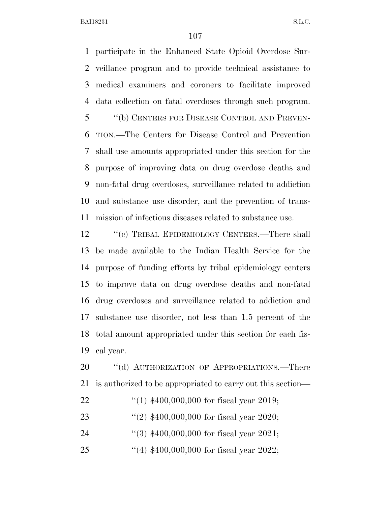participate in the Enhanced State Opioid Overdose Sur- veillance program and to provide technical assistance to medical examiners and coroners to facilitate improved data collection on fatal overdoses through such program. ''(b) CENTERS FOR DISEASE CONTROL AND PREVEN- TION.—The Centers for Disease Control and Prevention shall use amounts appropriated under this section for the purpose of improving data on drug overdose deaths and non-fatal drug overdoses, surveillance related to addiction and substance use disorder, and the prevention of trans-mission of infectious diseases related to substance use.

12 "(c) TRIBAL EPIDEMIOLOGY CENTERS.—There shall be made available to the Indian Health Service for the purpose of funding efforts by tribal epidemiology centers to improve data on drug overdose deaths and non-fatal drug overdoses and surveillance related to addiction and substance use disorder, not less than 1.5 percent of the total amount appropriated under this section for each fis-cal year.

20 "(d) AUTHORIZATION OF APPROPRIATIONS.—There is authorized to be appropriated to carry out this section—

- ''(1) \$400,000,000 for fiscal year 2019;
- ''(2) \$400,000,000 for fiscal year 2020;
- ''(3) \$400,000,000 for fiscal year 2021;
- ''(4) \$400,000,000 for fiscal year 2022;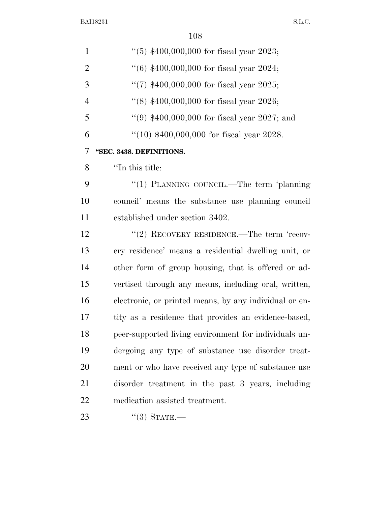| $\mathbf{1}$   | $(5)$ \$400,000,000 for fiscal year 2023;              |
|----------------|--------------------------------------------------------|
| $\overline{2}$ | $(6)$ \$400,000,000 for fiscal year 2024;              |
| 3              | "(7) $$400,000,000$ for fiscal year 2025;              |
| $\overline{4}$ | $(8)$ \$400,000,000 for fiscal year 2026;              |
| 5              | "(9) $$400,000,000$ for fiscal year 2027; and          |
| 6              | $(10)$ \$400,000,000 for fiscal year 2028.             |
| 7              | "SEC. 3438. DEFINITIONS.                               |
| 8              | "In this title:                                        |
| 9              | "(1) PLANNING COUNCIL.—The term 'planning              |
| 10             | council' means the substance use planning council      |
| 11             | established under section 3402.                        |
| 12             | $\cdot\cdot(2)$ RECOVERY RESIDENCE.—The term 'recov-   |
| 13             | ery residence' means a residential dwelling unit, or   |
| 14             | other form of group housing, that is offered or ad-    |
| 15             | vertised through any means, including oral, written,   |
| 16             | electronic, or printed means, by any individual or en- |
| 17             | tity as a residence that provides an evidence-based,   |
| 18             | peer-supported living environment for individuals un-  |
| 19             | dergoing any type of substance use disorder treat-     |
| 20             | ment or who have received any type of substance use    |
| 21             | disorder treatment in the past 3 years, including      |
| 22             | medication assisted treatment.                         |
| 23             | $``(3)$ STATE.—                                        |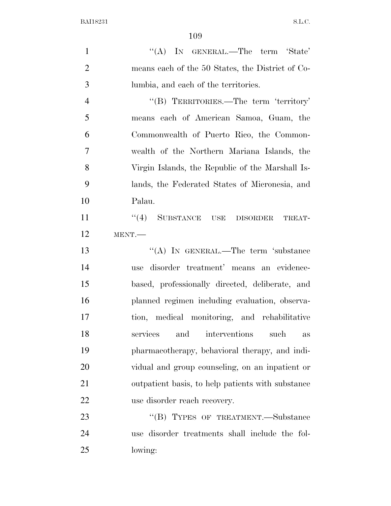1 "'(A) In GENERAL.—The term 'State' means each of the 50 States, the District of Co- lumbia, and each of the territories. ''(B) TERRITORIES.—The term 'territory' means each of American Samoa, Guam, the Commonwealth of Puerto Rico, the Common- wealth of the Northern Mariana Islands, the Virgin Islands, the Republic of the Marshall Is- lands, the Federated States of Micronesia, and Palau. 11 "(4) SUBSTANCE USE DISORDER TREAT- MENT.— 13 "(A) IN GENERAL.—The term 'substance use disorder treatment' means an evidence- based, professionally directed, deliberate, and planned regimen including evaluation, observa- tion, medical monitoring, and rehabilitative services and interventions such as pharmacotherapy, behavioral therapy, and indi- vidual and group counseling, on an inpatient or outpatient basis, to help patients with substance use disorder reach recovery. 23 "(B) TYPES OF TREATMENT.—Substance use disorder treatments shall include the fol-

lowing: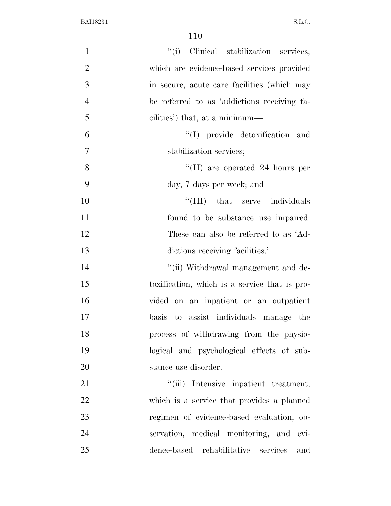| "(i) Clinical stabilization services,<br>$\mathbf{1}$         |     |
|---------------------------------------------------------------|-----|
| $\overline{2}$<br>which are evidence-based services provided  |     |
| 3<br>in secure, acute care facilities (which may              |     |
| $\overline{4}$<br>be referred to as 'addictions receiving fa- |     |
| 5<br>cilities') that, at a minimum—                           |     |
| "(I) provide detoxification and<br>6                          |     |
| 7<br>stabilization services;                                  |     |
| 8<br>$\lq$ (II) are operated 24 hours per                     |     |
| 9<br>day, 7 days per week; and                                |     |
| 10<br>"(III) that serve individuals                           |     |
| 11<br>found to be substance use impaired.                     |     |
| 12<br>These can also be referred to as 'Ad-                   |     |
| 13<br>dictions receiving facilities.'                         |     |
| 14<br>"(ii) Withdrawal management and de-                     |     |
| 15<br>toxification, which is a service that is pro-           |     |
| 16<br>vided on an inpatient or an outpatient                  |     |
| 17<br>basis to assist individuals manage the                  |     |
| 18<br>process of withdrawing from the physio-                 |     |
| 19<br>logical and psychological effects of sub-               |     |
| 20<br>stance use disorder.                                    |     |
| 21<br>"(iii) Intensive inpatient treatment,                   |     |
| <u>22</u><br>which is a service that provides a planned       |     |
| 23<br>regimen of evidence-based evaluation, ob-               |     |
| 24<br>servation, medical monitoring, and evi-                 |     |
| 25<br>dence-based rehabilitative services                     | and |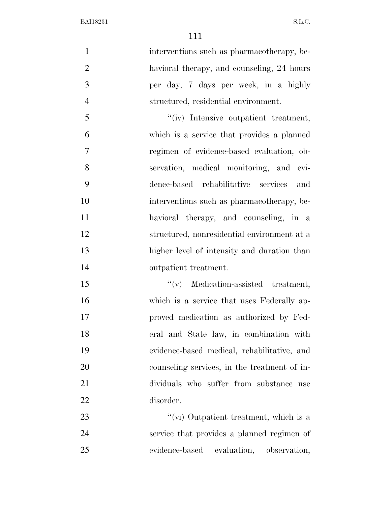$BAI18231$  S.L.C.

1 interventions such as pharmacotherapy, be-2 havioral therapy, and counseling, 24 hours per day, 7 days per week, in a highly structured, residential environment. ''(iv) Intensive outpatient treatment, which is a service that provides a planned regimen of evidence-based evaluation, ob- servation, medical monitoring, and evi- dence-based rehabilitative services and interventions such as pharmacotherapy, be- havioral therapy, and counseling, in a structured, nonresidential environment at a higher level of intensity and duration than outpatient treatment. ''(v) Medication-assisted treatment, which is a service that uses Federally ap-proved medication as authorized by Fed-

 eral and State law, in combination with evidence-based medical, rehabilitative, and counseling services, in the treatment of in- dividuals who suffer from substance use disorder.

23 ''(vi) Outpatient treatment, which is a service that provides a planned regimen of evidence-based evaluation, observation,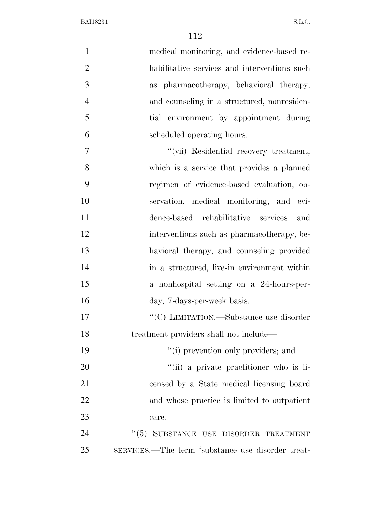BAI18231 S.L.C.

| $\mathbf{1}$   | medical monitoring, and evidence-based re-        |
|----------------|---------------------------------------------------|
| $\overline{2}$ | habilitative services and interventions such      |
| 3              | as pharmacotherapy, behavioral therapy,           |
| $\overline{4}$ | and counseling in a structured, nonresiden-       |
| 5              | tial environment by appointment during            |
| 6              | scheduled operating hours.                        |
| 7              | "(vii) Residential recovery treatment,            |
| 8              | which is a service that provides a planned        |
| 9              | regimen of evidence-based evaluation, ob-         |
| 10             | servation, medical monitoring, and evi-           |
| 11             | dence-based rehabilitative services<br>and        |
| 12             | interventions such as pharmacotherapy, be-        |
| 13             | havioral therapy, and counseling provided         |
| 14             | in a structured, live-in environment within       |
| 15             | a nonhospital setting on a 24-hours-per-          |
| 16             | day, 7-days-per-week basis.                       |
| 17             | $\lq\lq (C)$ LIMITATION.—Substance use disorder   |
| 18             | treatment providers shall not include—            |
| 19             | "(i) prevention only providers; and               |
| 20             | "(ii) a private practitioner who is li-           |
| 21             | censed by a State medical licensing board         |
| 22             | and whose practice is limited to outpatient       |
| 23             | care.                                             |
| 24             | "(5) SUBSTANCE USE DISORDER TREATMENT             |
| 25             | SERVICES.—The term 'substance use disorder treat- |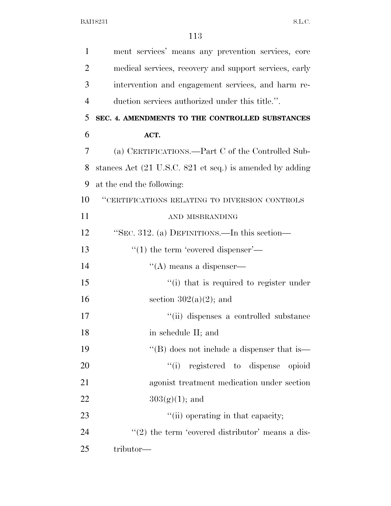| $\mathbf{1}$   | ment services' means any prevention services, core       |
|----------------|----------------------------------------------------------|
| $\overline{2}$ | medical services, recovery and support services, early   |
| 3              | intervention and engagement services, and harm re-       |
| $\overline{4}$ | duction services authorized under this title.".          |
| 5              | SEC. 4. AMENDMENTS TO THE CONTROLLED SUBSTANCES          |
| 6              | ACT.                                                     |
| $\overline{7}$ | (a) CERTIFICATIONS.—Part C of the Controlled Sub-        |
| 8              | stances Act (21 U.S.C. 821 et seq.) is amended by adding |
| 9              | at the end the following:                                |
| 10             | "CERTIFICATIONS RELATING TO DIVERSION CONTROLS           |
| 11             | AND MISBRANDING                                          |
| 12             | "SEC. 312. (a) DEFINITIONS.—In this section—             |
| 13             | $\cdot\cdot(1)$ the term 'covered dispenser'—            |
| 14             | $\lq\lq$ means a dispenser—                              |
| 15             | "(i) that is required to register under                  |
| 16             | section $302(a)(2)$ ; and                                |
| 17             | "(ii) dispenses a controlled substance                   |
| 18             | in schedule II; and                                      |
| 19             | "(B) does not include a dispenser that is—               |
| 20             | ``(i)<br>registered to dispense<br>opioid                |
| 21             | agonist treatment medication under section               |
| 22             | $303(g)(1)$ ; and                                        |
| 23             | "(ii) operating in that capacity;                        |
| 24             | $\lq(2)$ the term 'covered distributor' means a dis-     |
| 25             | tributor—                                                |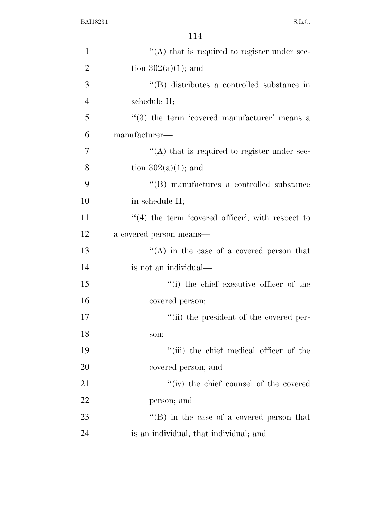| $\mathbf{1}$   | $\cdot$ (A) that is required to register under sec-  |
|----------------|------------------------------------------------------|
| $\overline{2}$ | tion $302(a)(1)$ ; and                               |
| 3              | "(B) distributes a controlled substance in           |
| $\overline{4}$ | schedule II;                                         |
| 5              | $(3)$ the term 'covered manufacturer' means a        |
| 6              | manufacturer—                                        |
| 7              | $\cdot$ (A) that is required to register under sec-  |
| 8              | tion $302(a)(1)$ ; and                               |
| 9              | "(B) manufactures a controlled substance             |
| 10             | in schedule II;                                      |
| 11             | $\lq(4)$ the term 'covered officer', with respect to |
| 12             | a covered person means—                              |
| 13             | "(A) in the case of a covered person that            |
| 14             | is not an individual—                                |
| 15             | "(i) the chief executive officer of the              |
| 16             | covered person;                                      |
| 17             | "(ii) the president of the covered per-              |
| 18             | son;                                                 |
| 19             | "(iii) the chief medical officer of the              |
| 20             | covered person; and                                  |
| 21             | "(iv) the chief counsel of the covered               |
| 22             | person; and                                          |
| 23             | "(B) in the case of a covered person that            |
| 24             | is an individual, that individual; and               |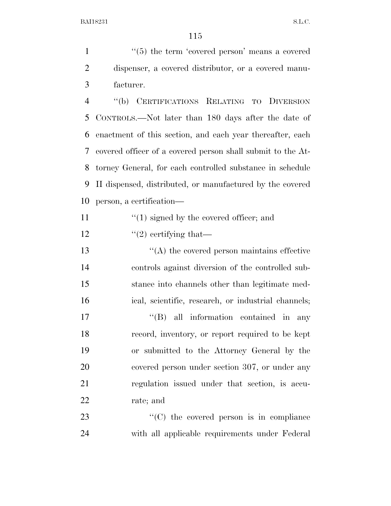1 ''(5) the term 'covered person' means a covered dispenser, a covered distributor, or a covered manu-facturer.

 ''(b) CERTIFICATIONS RELATING TO DIVERSION CONTROLS.—Not later than 180 days after the date of enactment of this section, and each year thereafter, each covered officer of a covered person shall submit to the At- torney General, for each controlled substance in schedule II dispensed, distributed, or manufactured by the covered person, a certification—

- 11  $\frac{1}{2}$  (1) signed by the covered officer; and
- 12  $\frac{1}{2}$  ertifying that—
- ''(A) the covered person maintains effective controls against diversion of the controlled sub- stance into channels other than legitimate med-ical, scientific, research, or industrial channels;

 $\langle$  (B) all information contained in any record, inventory, or report required to be kept or submitted to the Attorney General by the covered person under section 307, or under any regulation issued under that section, is accu-rate; and

23 "'(C) the covered person is in compliance with all applicable requirements under Federal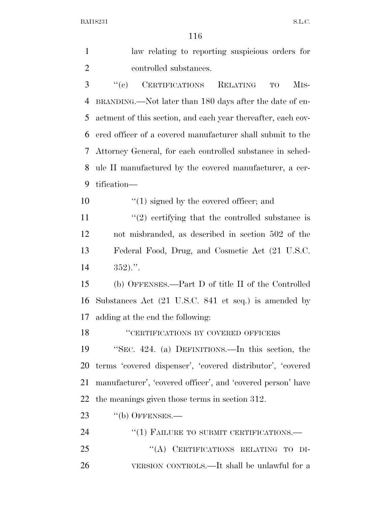| $\mathbf{1}$   | law relating to reporting suspicious orders for                       |
|----------------|-----------------------------------------------------------------------|
| $\overline{2}$ | controlled substances.                                                |
| 3              | ``(e)<br>CERTIFICATIONS<br>RELATING<br>M <sub>IS</sub> -<br><b>TO</b> |
| 4              | BRANDING.—Not later than 180 days after the date of en-               |
| 5              | actment of this section, and each year thereafter, each cov-          |
| 6              | ered officer of a covered manufacturer shall submit to the            |
| 7              | Attorney General, for each controlled substance in sched-             |
| 8              | ule II manufactured by the covered manufacturer, a cer-               |
| 9              | tification—                                                           |
| 10             | $\lq(1)$ signed by the covered officer; and                           |
| 11             | $\lq(2)$ certifying that the controlled substance is                  |
| 12             | not misbranded, as described in section 502 of the                    |
| 13             | Federal Food, Drug, and Cosmetic Act (21 U.S.C.                       |
| 14             | $352)$ .".                                                            |
| 15             | (b) OFFENSES.—Part D of title II of the Controlled                    |
| 16             | Substances Act (21 U.S.C. 841 et seq.) is amended by                  |
| 17             | adding at the end the following:                                      |
| 18             | "CERTIFICATIONS BY COVERED OFFICERS                                   |
| 19             | "SEC. 424. (a) DEFINITIONS.—In this section, the                      |
| 20             | terms 'covered dispenser', 'covered distributor', 'covered            |
| 21             | manufacturer', 'covered officer', and 'covered person' have           |
| 22             | the meanings given those terms in section 312.                        |
| 23             | $``$ (b) OFFENSES.—                                                   |
| 24             | $``(1)$ FAILURE TO SUBMIT CERTIFICATIONS.—                            |
| 25             | "(A) CERTIFICATIONS RELATING TO DI-                                   |
| 26             | VERSION CONTROLS.—It shall be unlawful for a                          |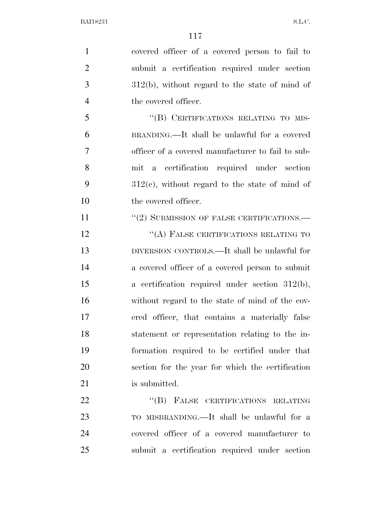covered officer of a covered person to fail to submit a certification required under section 312(b), without regard to the state of mind of 4 the covered officer. 5 "(B) CERTIFICATIONS RELATING TO MIS- BRANDING.—It shall be unlawful for a covered officer of a covered manufacturer to fail to sub- mit a certification required under section  $312(e)$ , without regard to the state of mind of the covered officer. 11 "(2) SUBMISSION OF FALSE CERTIFICATIONS.— 12 "(A) FALSE CERTIFICATIONS RELATING TO DIVERSION CONTROLS.—It shall be unlawful for a covered officer of a covered person to submit a certification required under section 312(b), without regard to the state of mind of the cov- ered officer, that contains a materially false statement or representation relating to the in- formation required to be certified under that section for the year for which the certification 21 is submitted. 22 "(B) FALSE CERTIFICATIONS RELATING TO MISBRANDING.—It shall be unlawful for a covered officer of a covered manufacturer to submit a certification required under section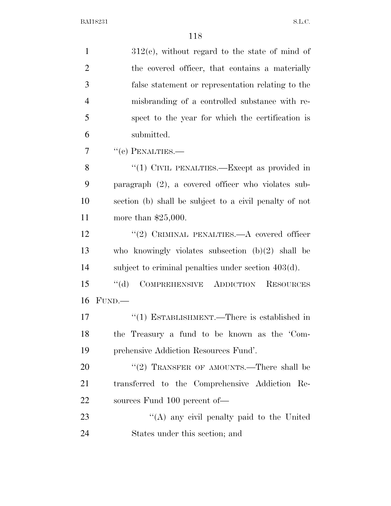| $\mathbf{1}$   | $312(c)$ , without regard to the state of mind of      |
|----------------|--------------------------------------------------------|
| $\overline{2}$ | the covered officer, that contains a materially        |
| 3              | false statement or representation relating to the      |
| $\overline{4}$ | misbranding of a controlled substance with re-         |
| 5              | spect to the year for which the certification is       |
| 6              | submitted.                                             |
| 7              | $``(c)$ PENALTIES.—                                    |
| 8              | "(1) CIVIL PENALTIES.—Except as provided in            |
| 9              | paragraph $(2)$ , a covered officer who violates sub-  |
| 10             | section (b) shall be subject to a civil penalty of not |
| 11             | more than $$25,000$ .                                  |
| 12             | "(2) CRIMINAL PENALTIES. $-A$ covered officer          |
| 13             | who knowingly violates subsection $(b)(2)$ shall be    |
| 14             | subject to criminal penalties under section $403(d)$ . |
| 15             | COMPREHENSIVE ADDICTION RESOURCES<br>$\lq\lq (d)$      |
| 16             | FUND.                                                  |
| 17             | "(1) ESTABLISHMENT.—There is established in            |
| 18             | the Treasury a fund to be known as the 'Com-           |
| 19             | prehensive Addiction Resources Fund'.                  |
| 20             | "(2) TRANSFER OF AMOUNTS.—There shall be               |
| 21             | transferred to the Comprehensive Addiction Re-         |
| 22             | sources Fund 100 percent of-                           |
| 23             | "(A) any civil penalty paid to the United              |
| 24             | States under this section; and                         |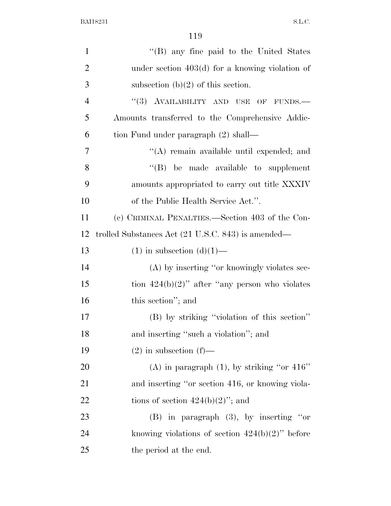| $\mathbf{1}$   | "(B) any fine paid to the United States            |
|----------------|----------------------------------------------------|
| $\overline{2}$ | under section $403(d)$ for a knowing violation of  |
| 3              | subsection $(b)(2)$ of this section.               |
| $\overline{4}$ | "(3) AVAILABILITY AND USE OF FUNDS.-               |
| 5              | Amounts transferred to the Comprehensive Addic-    |
| 6              | tion Fund under paragraph (2) shall—               |
| 7              | "(A) remain available until expended; and          |
| 8              | "(B) be made available to supplement               |
| 9              | amounts appropriated to carry out title XXXIV      |
| 10             | of the Public Health Service Act.".                |
| 11             | (c) CRIMINAL PENALTIES.—Section 403 of the Con-    |
| 12             | trolled Substances Act (21 U.S.C. 843) is amended— |
| 13             | $(1)$ in subsection $(d)(1)$ —                     |
| 14             | (A) by inserting "or knowingly violates sec-       |
| 15             | tion $424(b)(2)$ " after "any person who violates" |
| 16             | this section"; and                                 |
| 17             | (B) by striking "violation of this section"        |
| 18             | and inserting "such a violation"; and              |
| 19             | $(2)$ in subsection $(f)$ —                        |
| 20             | (A) in paragraph $(1)$ , by striking "or 416"      |
| 21             | and inserting "or section 416, or knowing viola-   |
| 22             | tions of section $424(b)(2)$ "; and                |
| 23             | $(B)$ in paragraph $(3)$ , by inserting "or        |
| 24             | knowing violations of section $424(b)(2)$ " before |
| 25             | the period at the end.                             |